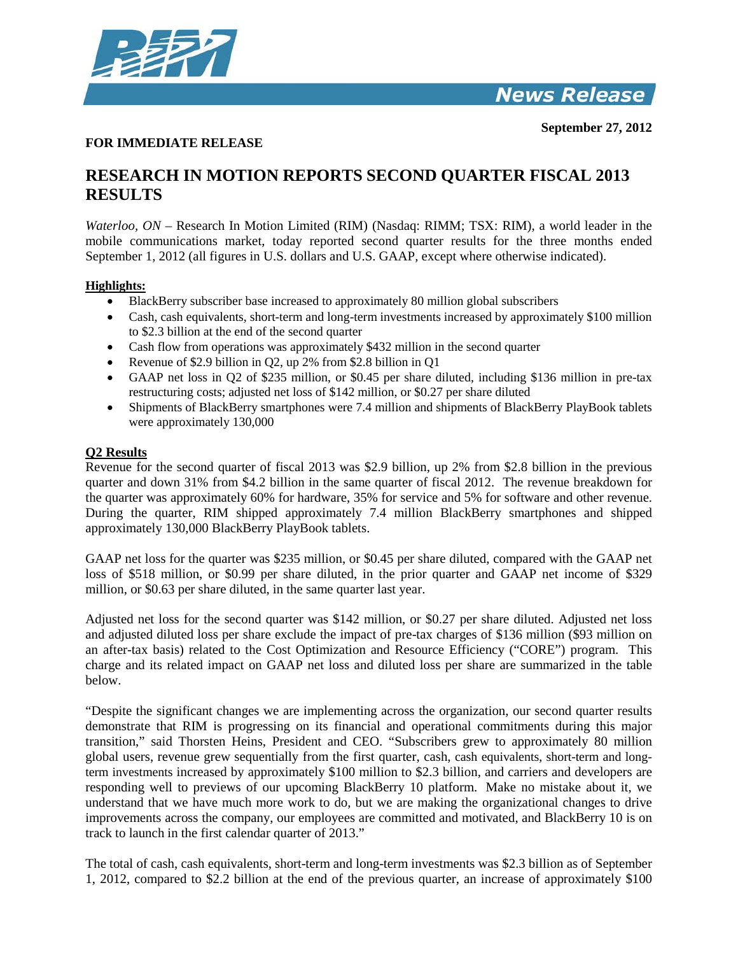



**September 27, 2012**

## **FOR IMMEDIATE RELEASE**

# **RESEARCH IN MOTION REPORTS SECOND QUARTER FISCAL 2013 RESULTS**

*Waterloo, ON* – Research In Motion Limited (RIM) (Nasdaq: RIMM; TSX: RIM), a world leader in the mobile communications market, today reported second quarter results for the three months ended September 1, 2012 (all figures in U.S. dollars and U.S. GAAP, except where otherwise indicated).

## **Highlights:**

- BlackBerry subscriber base increased to approximately 80 million global subscribers
- Cash, cash equivalents, short-term and long-term investments increased by approximately \$100 million to \$2.3 billion at the end of the second quarter
- Cash flow from operations was approximately \$432 million in the second quarter
- Revenue of \$2.9 billion in Q2, up 2% from \$2.8 billion in Q1
- GAAP net loss in Q2 of \$235 million, or \$0.45 per share diluted, including \$136 million in pre-tax restructuring costs; adjusted net loss of \$142 million, or \$0.27 per share diluted
- Shipments of BlackBerry smartphones were 7.4 million and shipments of BlackBerry PlayBook tablets were approximately 130,000

## **Q2 Results**

Revenue for the second quarter of fiscal 2013 was \$2.9 billion, up 2% from \$2.8 billion in the previous quarter and down 31% from \$4.2 billion in the same quarter of fiscal 2012. The revenue breakdown for the quarter was approximately 60% for hardware, 35% for service and 5% for software and other revenue. During the quarter, RIM shipped approximately 7.4 million BlackBerry smartphones and shipped approximately 130,000 BlackBerry PlayBook tablets.

GAAP net loss for the quarter was \$235 million, or \$0.45 per share diluted, compared with the GAAP net loss of \$518 million, or \$0.99 per share diluted, in the prior quarter and GAAP net income of \$329 million, or \$0.63 per share diluted, in the same quarter last year.

Adjusted net loss for the second quarter was \$142 million, or \$0.27 per share diluted. Adjusted net loss and adjusted diluted loss per share exclude the impact of pre-tax charges of \$136 million (\$93 million on an after-tax basis) related to the Cost Optimization and Resource Efficiency ("CORE") program. This charge and its related impact on GAAP net loss and diluted loss per share are summarized in the table below.

"Despite the significant changes we are implementing across the organization, our second quarter results demonstrate that RIM is progressing on its financial and operational commitments during this major transition," said Thorsten Heins, President and CEO. "Subscribers grew to approximately 80 million global users, revenue grew sequentially from the first quarter, cash, cash equivalents, short-term and longterm investments increased by approximately \$100 million to \$2.3 billion, and carriers and developers are responding well to previews of our upcoming BlackBerry 10 platform. Make no mistake about it, we understand that we have much more work to do, but we are making the organizational changes to drive improvements across the company, our employees are committed and motivated, and BlackBerry 10 is on track to launch in the first calendar quarter of 2013."

The total of cash, cash equivalents, short-term and long-term investments was \$2.3 billion as of September 1, 2012, compared to \$2.2 billion at the end of the previous quarter, an increase of approximately \$100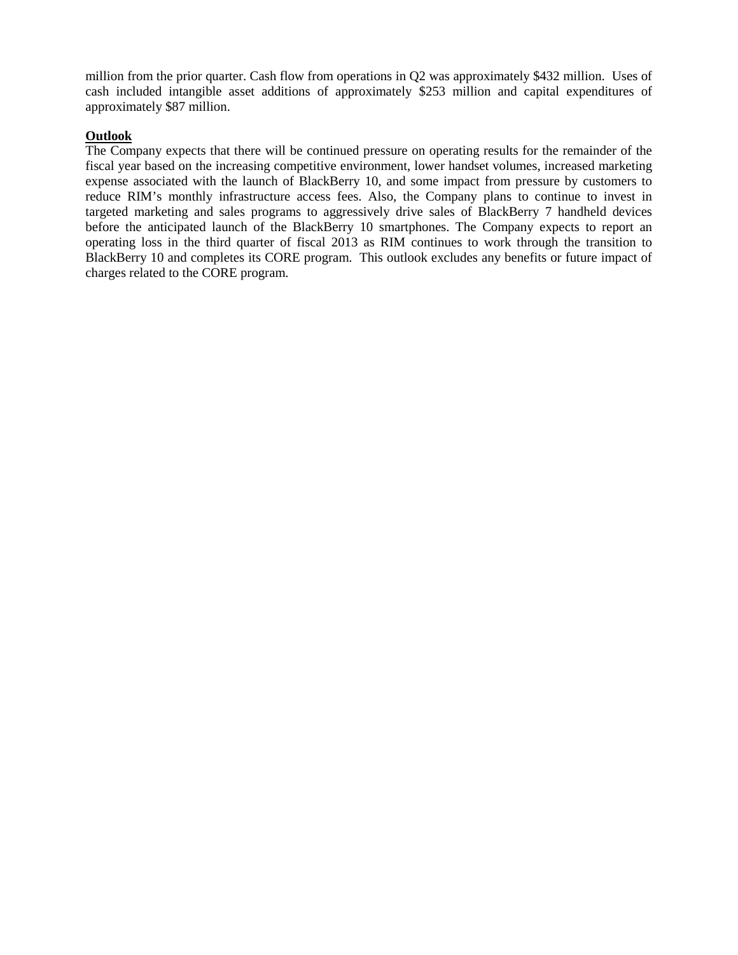million from the prior quarter. Cash flow from operations in Q2 was approximately \$432 million. Uses of cash included intangible asset additions of approximately \$253 million and capital expenditures of approximately \$87 million.

## **Outlook**

The Company expects that there will be continued pressure on operating results for the remainder of the fiscal year based on the increasing competitive environment, lower handset volumes, increased marketing expense associated with the launch of BlackBerry 10, and some impact from pressure by customers to reduce RIM's monthly infrastructure access fees. Also, the Company plans to continue to invest in targeted marketing and sales programs to aggressively drive sales of BlackBerry 7 handheld devices before the anticipated launch of the BlackBerry 10 smartphones. The Company expects to report an operating loss in the third quarter of fiscal 2013 as RIM continues to work through the transition to BlackBerry 10 and completes its CORE program. This outlook excludes any benefits or future impact of charges related to the CORE program.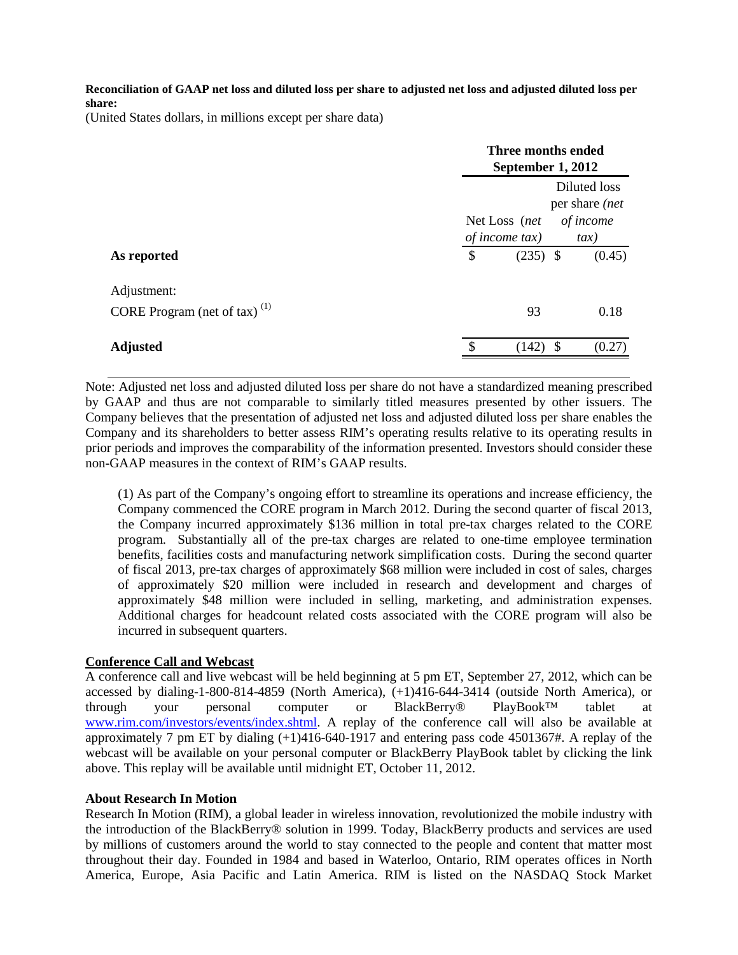**Reconciliation of GAAP net loss and diluted loss per share to adjusted net loss and adjusted diluted loss per share:**

(United States dollars, in millions except per share data)

|                                                   |               | Three months ended<br>September 1, 2012<br>Net Loss (net<br><i>of income tax</i> )<br>$\iota$ ax |               |                                             |  |  |  |
|---------------------------------------------------|---------------|--------------------------------------------------------------------------------------------------|---------------|---------------------------------------------|--|--|--|
|                                                   |               |                                                                                                  |               | Diluted loss<br>per share (net<br>of income |  |  |  |
| As reported                                       | \$            | $(235)$ \$                                                                                       |               | (0.45)                                      |  |  |  |
| Adjustment:<br>CORE Program (net of tax) $^{(1)}$ |               | 93                                                                                               |               | 0.18                                        |  |  |  |
| <b>Adjusted</b>                                   | <sup>\$</sup> | (142)                                                                                            | $\mathcal{S}$ | (0.27)                                      |  |  |  |

Note: Adjusted net loss and adjusted diluted loss per share do not have a standardized meaning prescribed by GAAP and thus are not comparable to similarly titled measures presented by other issuers. The Company believes that the presentation of adjusted net loss and adjusted diluted loss per share enables the Company and its shareholders to better assess RIM's operating results relative to its operating results in prior periods and improves the comparability of the information presented. Investors should consider these non-GAAP measures in the context of RIM's GAAP results.

(1) As part of the Company's ongoing effort to streamline its operations and increase efficiency, the Company commenced the CORE program in March 2012. During the second quarter of fiscal 2013, the Company incurred approximately \$136 million in total pre-tax charges related to the CORE program. Substantially all of the pre-tax charges are related to one-time employee termination benefits, facilities costs and manufacturing network simplification costs. During the second quarter of fiscal 2013, pre-tax charges of approximately \$68 million were included in cost of sales, charges of approximately \$20 million were included in research and development and charges of approximately \$48 million were included in selling, marketing, and administration expenses. Additional charges for headcount related costs associated with the CORE program will also be incurred in subsequent quarters.

## **Conference Call and Webcast**

A conference call and live webcast will be held beginning at 5 pm ET, September 27, 2012, which can be accessed by dialing-1-800-814-4859 (North America), (+1)416-644-3414 (outside North America), or through your personal computer or BlackBerry® PlayBook™ tablet at [www.rim.com/investors/events/index.shtml.](http://www.rim.com/investors/events/index.shtml) A replay of the conference call will also be available at approximately 7 pm ET by dialing  $(+1)416-640-1917$  and entering pass code 4501367#. A replay of the webcast will be available on your personal computer or BlackBerry PlayBook tablet by clicking the link above. This replay will be available until midnight ET, October 11, 2012.

## **About Research In Motion**

Research In Motion (RIM), a global leader in wireless innovation, revolutionized the mobile industry with the introduction of the BlackBerry® solution in 1999. Today, BlackBerry products and services are used by millions of customers around the world to stay connected to the people and content that matter most throughout their day. Founded in 1984 and based in Waterloo, Ontario, RIM operates offices in North America, Europe, Asia Pacific and Latin America. RIM is listed on the NASDAQ Stock Market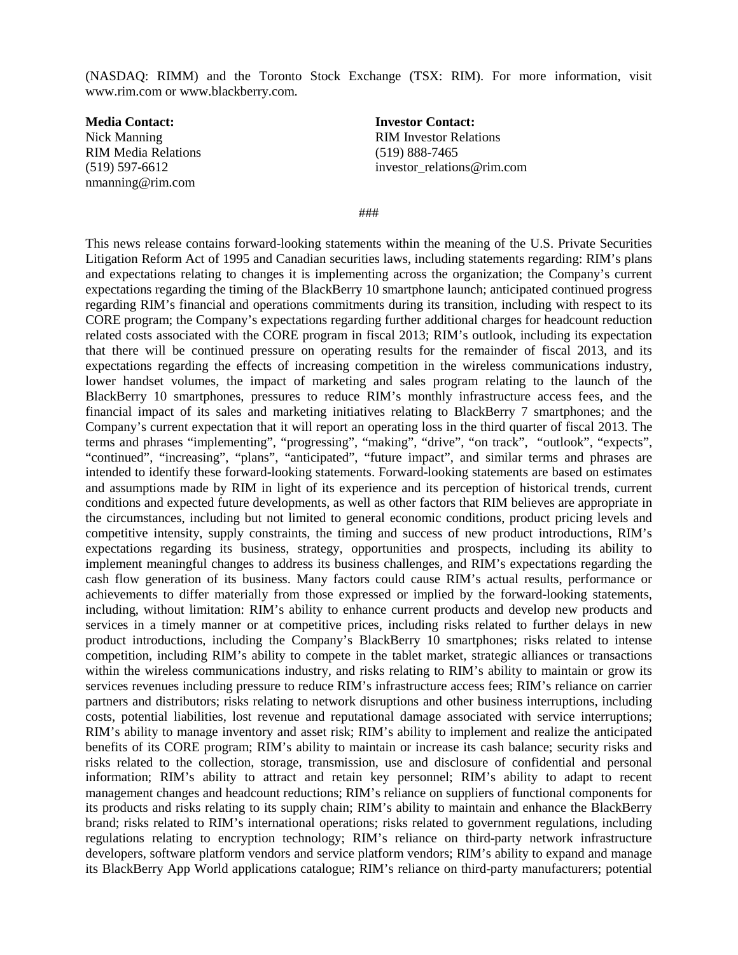(NASDAQ: RIMM) and the Toronto Stock Exchange (TSX: RIM). For more information, visit [www.rim.com](http://www.rim.com/) or [www.blackberry.com.](http://www.blackberry.com/)

**Media Contact:** Nick Manning RIM Media Relations (519) 597-6612 nmanning@rim.com

**Investor Contact:** RIM Investor Relations (519) 888-7465 [investor\\_relations@rim.c](mailto:investor_relations@rim.net)om

#### ###

This news release contains forward-looking statements within the meaning of the U.S. Private Securities Litigation Reform Act of 1995 and Canadian securities laws, including statements regarding: RIM's plans and expectations relating to changes it is implementing across the organization; the Company's current expectations regarding the timing of the BlackBerry 10 smartphone launch; anticipated continued progress regarding RIM's financial and operations commitments during its transition, including with respect to its CORE program; the Company's expectations regarding further additional charges for headcount reduction related costs associated with the CORE program in fiscal 2013; RIM's outlook, including its expectation that there will be continued pressure on operating results for the remainder of fiscal 2013, and its expectations regarding the effects of increasing competition in the wireless communications industry, lower handset volumes, the impact of marketing and sales program relating to the launch of the BlackBerry 10 smartphones, pressures to reduce RIM's monthly infrastructure access fees, and the financial impact of its sales and marketing initiatives relating to BlackBerry 7 smartphones; and the Company's current expectation that it will report an operating loss in the third quarter of fiscal 2013. The terms and phrases "implementing", "progressing", "making", "drive", "on track", "outlook", "expects", "continued", "increasing", "plans", "anticipated", "future impact", and similar terms and phrases are intended to identify these forward-looking statements. Forward-looking statements are based on estimates and assumptions made by RIM in light of its experience and its perception of historical trends, current conditions and expected future developments, as well as other factors that RIM believes are appropriate in the circumstances, including but not limited to general economic conditions, product pricing levels and competitive intensity, supply constraints, the timing and success of new product introductions, RIM's expectations regarding its business, strategy, opportunities and prospects, including its ability to implement meaningful changes to address its business challenges, and RIM's expectations regarding the cash flow generation of its business. Many factors could cause RIM's actual results, performance or achievements to differ materially from those expressed or implied by the forward-looking statements, including, without limitation: RIM's ability to enhance current products and develop new products and services in a timely manner or at competitive prices, including risks related to further delays in new product introductions, including the Company's BlackBerry 10 smartphones; risks related to intense competition, including RIM's ability to compete in the tablet market, strategic alliances or transactions within the wireless communications industry, and risks relating to RIM's ability to maintain or grow its services revenues including pressure to reduce RIM's infrastructure access fees; RIM's reliance on carrier partners and distributors; risks relating to network disruptions and other business interruptions, including costs, potential liabilities, lost revenue and reputational damage associated with service interruptions; RIM's ability to manage inventory and asset risk; RIM's ability to implement and realize the anticipated benefits of its CORE program; RIM's ability to maintain or increase its cash balance; security risks and risks related to the collection, storage, transmission, use and disclosure of confidential and personal information; RIM's ability to attract and retain key personnel; RIM's ability to adapt to recent management changes and headcount reductions; RIM's reliance on suppliers of functional components for its products and risks relating to its supply chain; RIM's ability to maintain and enhance the BlackBerry brand; risks related to RIM's international operations; risks related to government regulations, including regulations relating to encryption technology; RIM's reliance on third-party network infrastructure developers, software platform vendors and service platform vendors; RIM's ability to expand and manage its BlackBerry App World applications catalogue; RIM's reliance on third-party manufacturers; potential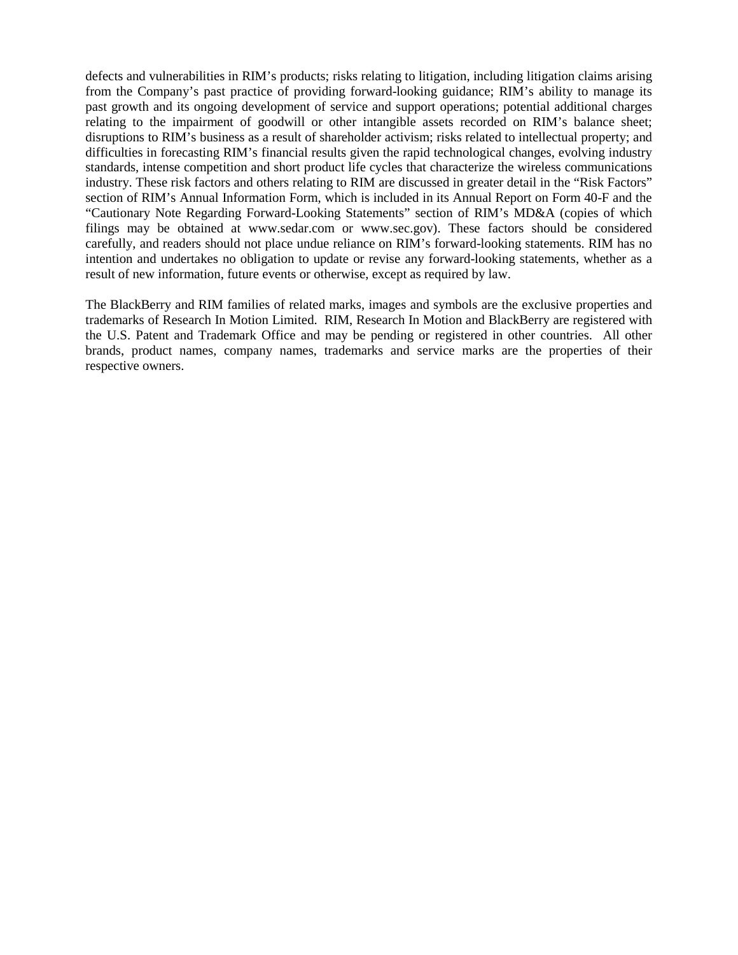defects and vulnerabilities in RIM's products; risks relating to litigation, including litigation claims arising from the Company's past practice of providing forward-looking guidance; RIM's ability to manage its past growth and its ongoing development of service and support operations; potential additional charges relating to the impairment of goodwill or other intangible assets recorded on RIM's balance sheet; disruptions to RIM's business as a result of shareholder activism; risks related to intellectual property; and difficulties in forecasting RIM's financial results given the rapid technological changes, evolving industry standards, intense competition and short product life cycles that characterize the wireless communications industry. These risk factors and others relating to RIM are discussed in greater detail in the "Risk Factors" section of RIM's Annual Information Form, which is included in its Annual Report on Form 40-F and the "Cautionary Note Regarding Forward-Looking Statements" section of RIM's MD&A (copies of which filings may be obtained at www.sedar.com or www.sec.gov). These factors should be considered carefully, and readers should not place undue reliance on RIM's forward-looking statements. RIM has no intention and undertakes no obligation to update or revise any forward-looking statements, whether as a result of new information, future events or otherwise, except as required by law.

The BlackBerry and RIM families of related marks, images and symbols are the exclusive properties and trademarks of Research In Motion Limited. RIM, Research In Motion and BlackBerry are registered with the U.S. Patent and Trademark Office and may be pending or registered in other countries. All other brands, product names, company names, trademarks and service marks are the properties of their respective owners.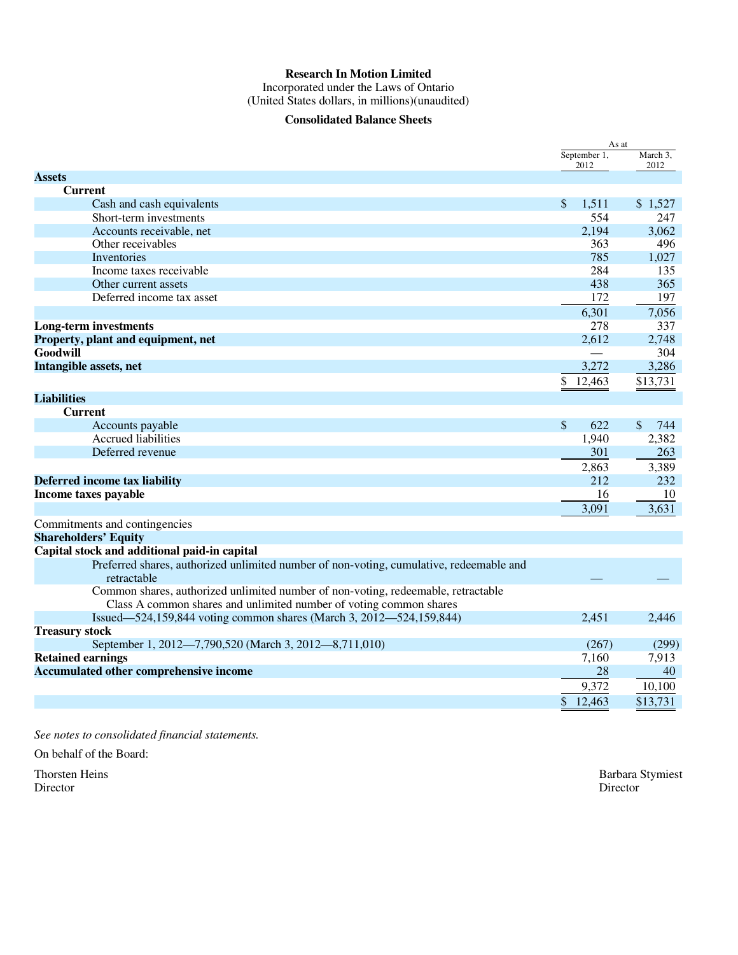Incorporated under the Laws of Ontario (United States dollars, in millions)(unaudited)

## **Consolidated Balance Sheets**

|                                                                                                        | As at                |                      |
|--------------------------------------------------------------------------------------------------------|----------------------|----------------------|
|                                                                                                        | September 1,<br>2012 | March 3,<br>2012     |
| <b>Assets</b>                                                                                          |                      |                      |
| <b>Current</b>                                                                                         |                      |                      |
| Cash and cash equivalents                                                                              | \$<br>1,511          | \$1,527              |
| Short-term investments                                                                                 | 554                  | 247                  |
| Accounts receivable, net                                                                               | 2,194                | 3,062                |
| Other receivables                                                                                      | 363                  | 496                  |
| Inventories                                                                                            | 785                  | 1,027                |
| Income taxes receivable                                                                                | 284                  | 135                  |
| Other current assets                                                                                   | 438                  | 365                  |
| Deferred income tax asset                                                                              | 172                  | 197                  |
|                                                                                                        | 6,301                | 7,056                |
| <b>Long-term investments</b>                                                                           | 278                  | 337                  |
| Property, plant and equipment, net                                                                     | 2,612                | 2,748                |
| <b>Goodwill</b>                                                                                        |                      | 304                  |
| Intangible assets, net                                                                                 | 3,272                | 3,286                |
|                                                                                                        | \$12,463             | \$13,731             |
| <b>Liabilities</b>                                                                                     |                      |                      |
| <b>Current</b>                                                                                         |                      |                      |
| Accounts payable                                                                                       | $\mathbb{S}$<br>622  | $\mathcal{S}$<br>744 |
| Accrued liabilities                                                                                    | 1,940                | 2,382                |
| Deferred revenue                                                                                       | 301                  | 263                  |
|                                                                                                        | 2,863                | 3,389                |
| <b>Deferred income tax liability</b>                                                                   | 212                  | 232                  |
| Income taxes payable                                                                                   | 16                   | 10                   |
|                                                                                                        | 3,091                | 3,631                |
|                                                                                                        |                      |                      |
| Commitments and contingencies                                                                          |                      |                      |
| <b>Shareholders' Equity</b><br>Capital stock and additional paid-in capital                            |                      |                      |
|                                                                                                        |                      |                      |
| Preferred shares, authorized unlimited number of non-voting, cumulative, redeemable and<br>retractable |                      |                      |
| Common shares, authorized unlimited number of non-voting, redeemable, retractable                      |                      |                      |
| Class A common shares and unlimited number of voting common shares                                     |                      |                      |
| Issued—524,159,844 voting common shares (March 3, 2012—524,159,844)                                    | 2,451                | 2,446                |
| <b>Treasury stock</b>                                                                                  |                      |                      |
| September 1, 2012-7,790,520 (March 3, 2012-8,711,010)                                                  | (267)                | (299)                |
| <b>Retained earnings</b>                                                                               | 7,160                | 7,913                |
| Accumulated other comprehensive income                                                                 | 28                   | 40                   |
|                                                                                                        | 9,372                | 10,100               |
|                                                                                                        | \$<br>12,463         | \$13,731             |
|                                                                                                        |                      |                      |

*See notes to consolidated financial statements.*

On behalf of the Board:

Director Director

Thorsten Heins Barbara Stymiest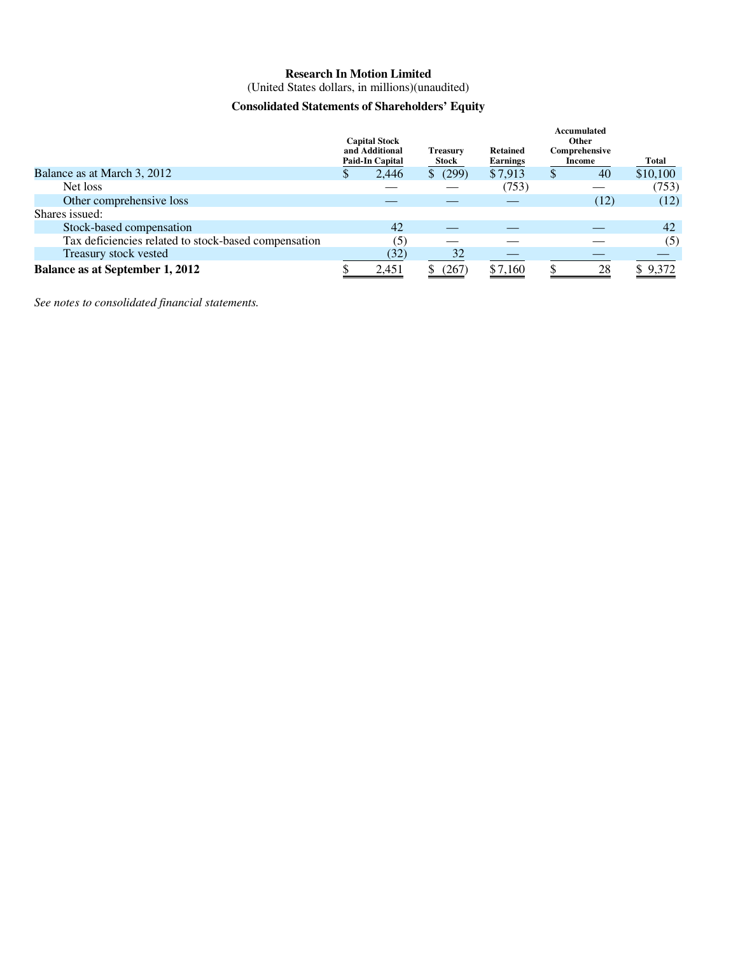## **Research In Motion Limited**  (United States dollars, in millions)(unaudited)

## **Consolidated Statements of Shareholders' Equity**

|                                                      |   | <b>Capital Stock</b><br>and Additional<br>Paid-In Capital | Treasurv<br><b>Stock</b> | <b>Retained</b><br><b>Earnings</b> | <b>Accumulated</b><br><b>Other</b><br>Comprehensive<br>Income | Total    |
|------------------------------------------------------|---|-----------------------------------------------------------|--------------------------|------------------------------------|---------------------------------------------------------------|----------|
| Balance as at March 3, 2012                          | Φ | 2,446                                                     | \$ (299)                 | \$7,913                            | \$<br>40                                                      | \$10,100 |
| Net loss                                             |   |                                                           |                          | (753)                              |                                                               | (753)    |
| Other comprehensive loss                             |   |                                                           |                          |                                    | (12)                                                          | (12)     |
| Shares issued:                                       |   |                                                           |                          |                                    |                                                               |          |
| Stock-based compensation                             |   | 42                                                        |                          |                                    |                                                               | 42       |
| Tax deficiencies related to stock-based compensation |   | (5)                                                       |                          |                                    |                                                               | (5)      |
| Treasury stock vested                                |   | (32)                                                      | 32                       |                                    |                                                               |          |
| <b>Balance as at September 1, 2012</b>               |   | 2,451                                                     | (267)                    | \$7,160                            | 28                                                            | 9,372    |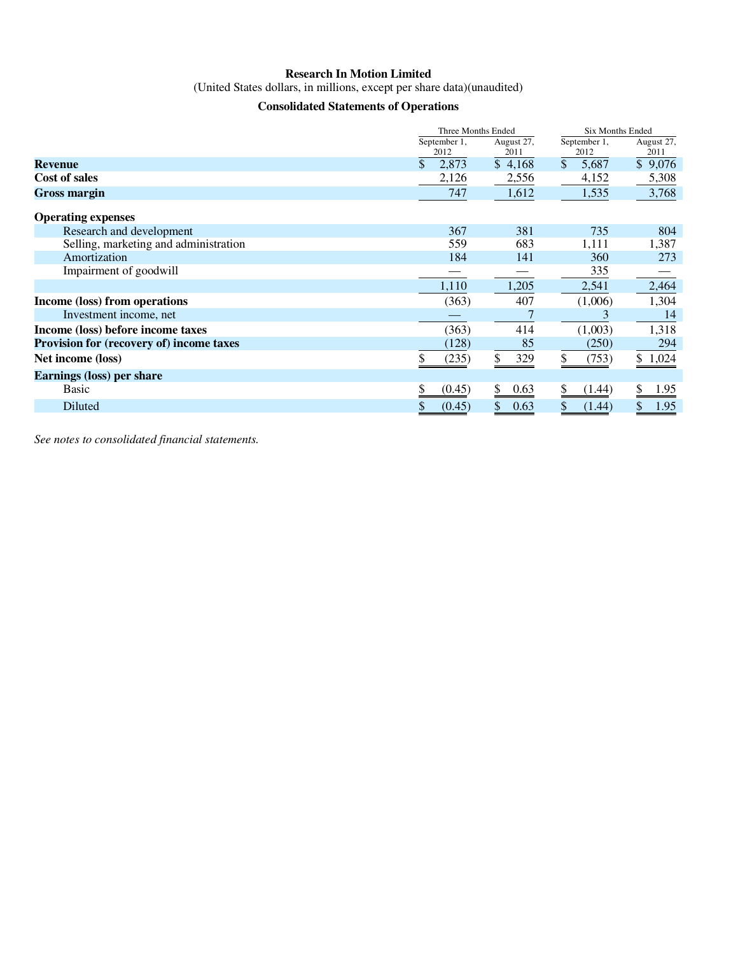(United States dollars, in millions, except per share data)(unaudited)

## **Consolidated Statements of Operations**

|                                          | Three Months Ended   |                    | Six Months Ended       |                    |  |  |
|------------------------------------------|----------------------|--------------------|------------------------|--------------------|--|--|
|                                          | September 1,<br>2012 | August 27,<br>2011 | September 1,<br>2012   | August 27,<br>2011 |  |  |
| <b>Revenue</b>                           | 2,873                | \$4,168            | $\mathcal{S}$<br>5,687 | \$9,076            |  |  |
| <b>Cost of sales</b>                     | 2,126                | 2,556              | 4,152                  | 5,308              |  |  |
| <b>Gross margin</b>                      | 747                  | 1,612              | 1,535                  | 3,768              |  |  |
| <b>Operating expenses</b>                |                      |                    |                        |                    |  |  |
| Research and development                 | 367                  | 381                | 735                    | 804                |  |  |
| Selling, marketing and administration    | 559                  | 683                | 1,111                  | 1,387              |  |  |
| Amortization                             | 184                  | 141                | 360                    | 273                |  |  |
| Impairment of goodwill                   |                      |                    | 335                    |                    |  |  |
|                                          | 1,110                | 1,205              | 2,541                  | 2,464              |  |  |
| Income (loss) from operations            | (363)                | 407                | (1,006)                | 1,304              |  |  |
| Investment income, net                   |                      |                    | 3                      | 14                 |  |  |
| Income (loss) before income taxes        | (363)                | 414                | (1,003)                | 1,318              |  |  |
| Provision for (recovery of) income taxes | (128)                | 85                 | (250)                  | 294                |  |  |
| Net income (loss)                        | (235)                | 329                | (753)                  | 1,024              |  |  |
| Earnings (loss) per share                |                      |                    |                        |                    |  |  |
| Basic                                    | (0.45)               | \$<br>0.63         | (1.44)                 | 1.95               |  |  |
| Diluted                                  | (0.45)               | 0.63               | (1.44)                 | 1.95               |  |  |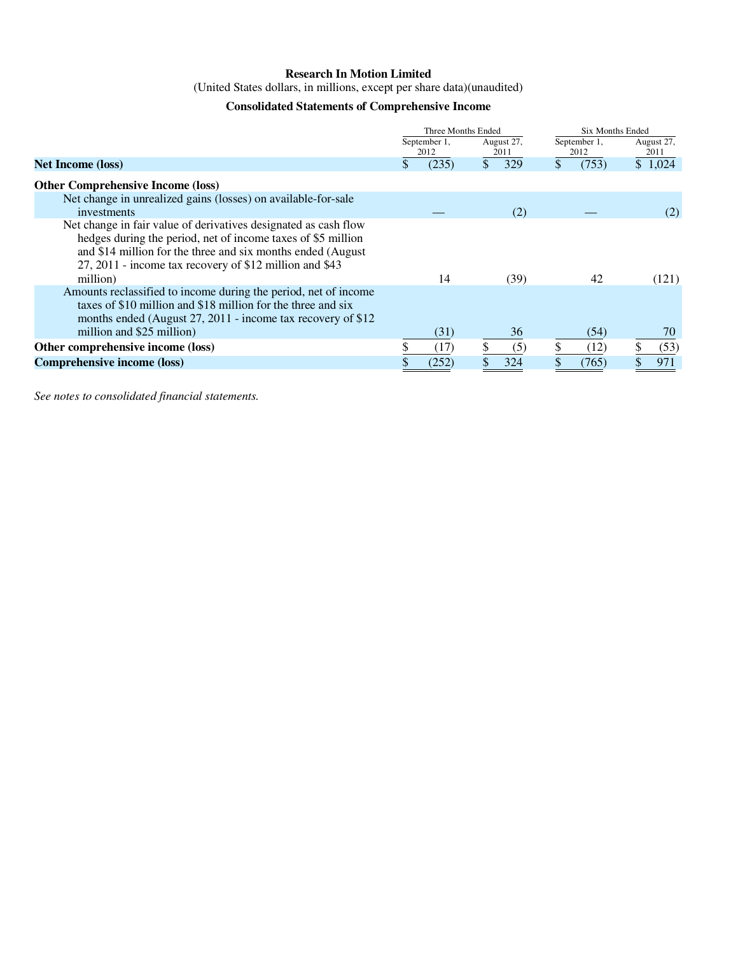(United States dollars, in millions, except per share data)(unaudited)

## **Consolidated Statements of Comprehensive Income**

|                                                                                                                                                                                                                                                            | Three Months Ended   |               |                    | Six Months Ended     |  |                    |  |
|------------------------------------------------------------------------------------------------------------------------------------------------------------------------------------------------------------------------------------------------------------|----------------------|---------------|--------------------|----------------------|--|--------------------|--|
|                                                                                                                                                                                                                                                            | September 1,<br>2012 |               | August 27,<br>2011 | September 1,<br>2012 |  | August 27,<br>2011 |  |
| <b>Net Income (loss)</b>                                                                                                                                                                                                                                   | (235)                | $\mathcal{S}$ | 329                | \$<br>(753)          |  | \$1,024            |  |
| <b>Other Comprehensive Income (loss)</b>                                                                                                                                                                                                                   |                      |               |                    |                      |  |                    |  |
| Net change in unrealized gains (losses) on available-for-sale                                                                                                                                                                                              |                      |               |                    |                      |  |                    |  |
| investments                                                                                                                                                                                                                                                |                      |               | (2)                |                      |  | (2)                |  |
| Net change in fair value of derivatives designated as cash flow<br>hedges during the period, net of income taxes of \$5 million<br>and \$14 million for the three and six months ended (August)<br>27, 2011 - income tax recovery of \$12 million and \$43 |                      |               |                    |                      |  |                    |  |
| million)                                                                                                                                                                                                                                                   | 14                   |               | (39)               | 42                   |  | (121)              |  |
| Amounts reclassified to income during the period, net of income<br>taxes of \$10 million and \$18 million for the three and six<br>months ended (August 27, 2011 - income tax recovery of \$12)                                                            |                      |               |                    |                      |  |                    |  |
| million and \$25 million)                                                                                                                                                                                                                                  | (31)                 |               | 36                 | (54)                 |  | 70                 |  |
| Other comprehensive income (loss)                                                                                                                                                                                                                          | (17)                 |               | (5)                | (12)                 |  | (53)               |  |
| <b>Comprehensive income (loss)</b>                                                                                                                                                                                                                         | (252)                |               | 324                | (765)                |  | 971                |  |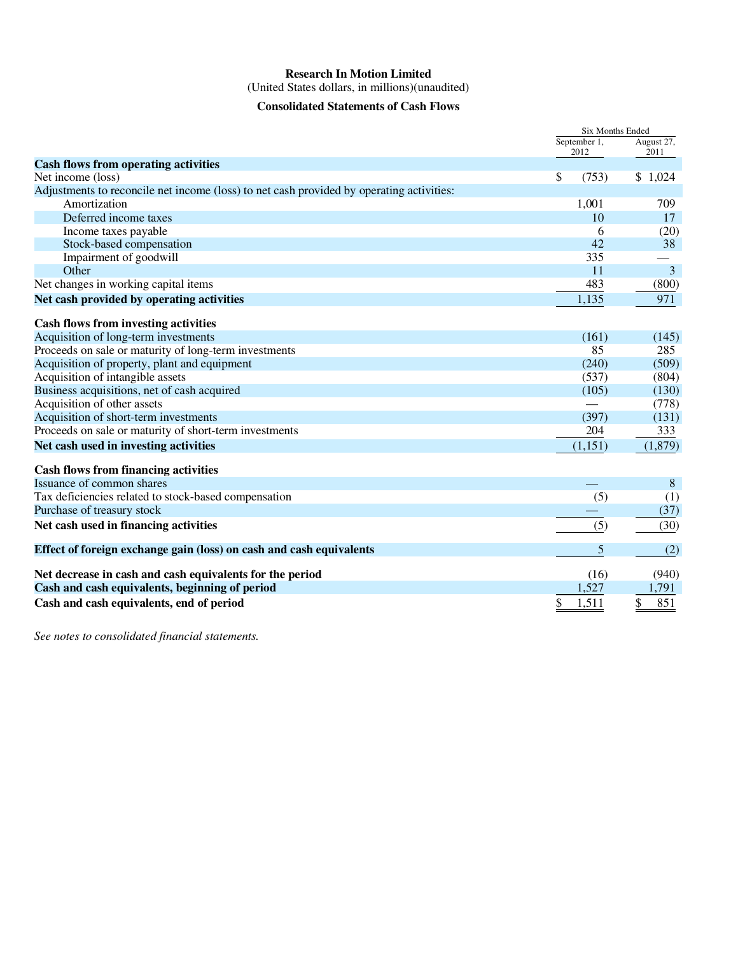(United States dollars, in millions)(unaudited)

## **Consolidated Statements of Cash Flows**

|                                                                                                          | Six Months Ended |            |
|----------------------------------------------------------------------------------------------------------|------------------|------------|
|                                                                                                          | September 1,     | August 27, |
|                                                                                                          | 2012             | 2011       |
| <b>Cash flows from operating activities</b><br>Net income (loss)                                         | \$<br>(753)      | \$1,024    |
|                                                                                                          |                  |            |
| Adjustments to reconcile net income (loss) to net cash provided by operating activities:<br>Amortization | 1,001            | 709        |
| Deferred income taxes                                                                                    | 10               | 17         |
|                                                                                                          | 6                |            |
| Income taxes payable<br>Stock-based compensation                                                         | 42               | (20)<br>38 |
|                                                                                                          | 335              |            |
| Impairment of goodwill<br>Other                                                                          | 11               | 3          |
| Net changes in working capital items                                                                     | 483              | (800)      |
|                                                                                                          |                  |            |
| Net cash provided by operating activities                                                                | 1,135            | 971        |
| <b>Cash flows from investing activities</b>                                                              |                  |            |
| Acquisition of long-term investments                                                                     | (161)            | (145)      |
| Proceeds on sale or maturity of long-term investments                                                    | 85               | 285        |
| Acquisition of property, plant and equipment                                                             | (240)            | (509)      |
| Acquisition of intangible assets                                                                         | (537)            | (804)      |
| Business acquisitions, net of cash acquired                                                              | (105)            | (130)      |
| Acquisition of other assets                                                                              |                  | (778)      |
| Acquisition of short-term investments                                                                    | (397)            | (131)      |
| Proceeds on sale or maturity of short-term investments                                                   | 204              | 333        |
| Net cash used in investing activities                                                                    | (1,151)          | (1, 879)   |
| <b>Cash flows from financing activities</b>                                                              |                  |            |
| Issuance of common shares                                                                                |                  | 8          |
| Tax deficiencies related to stock-based compensation                                                     | (5)              | (1)        |
| Purchase of treasury stock                                                                               |                  | (37)       |
| Net cash used in financing activities                                                                    | (5)              | (30)       |
| Effect of foreign exchange gain (loss) on cash and cash equivalents                                      | 5                | (2)        |
| Net decrease in cash and cash equivalents for the period                                                 | (16)             | (940)      |
| Cash and cash equivalents, beginning of period                                                           | 1,527            | 1,791      |
| Cash and cash equivalents, end of period                                                                 | \$<br>1,511      | \$<br>851  |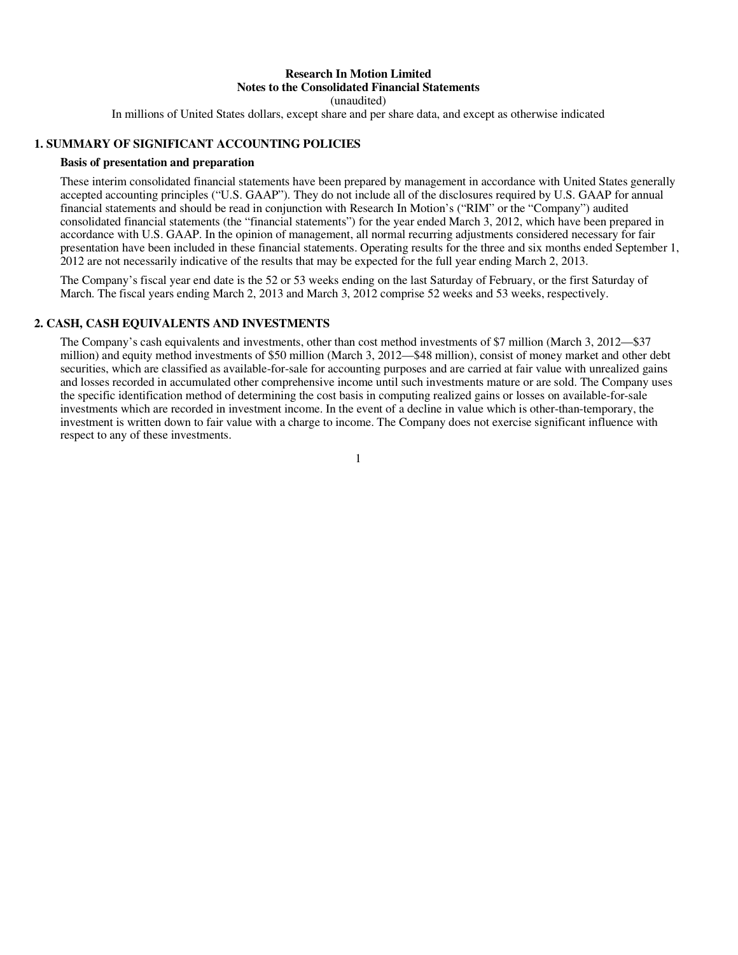(unaudited)

In millions of United States dollars, except share and per share data, and except as otherwise indicated

### **1. SUMMARY OF SIGNIFICANT ACCOUNTING POLICIES**

### **Basis of presentation and preparation**

These interim consolidated financial statements have been prepared by management in accordance with United States generally accepted accounting principles ("U.S. GAAP"). They do not include all of the disclosures required by U.S. GAAP for annual financial statements and should be read in conjunction with Research In Motion's ("RIM" or the "Company") audited consolidated financial statements (the "financial statements") for the year ended March 3, 2012, which have been prepared in accordance with U.S. GAAP. In the opinion of management, all normal recurring adjustments considered necessary for fair presentation have been included in these financial statements. Operating results for the three and six months ended September 1, 2012 are not necessarily indicative of the results that may be expected for the full year ending March 2, 2013.

The Company's fiscal year end date is the 52 or 53 weeks ending on the last Saturday of February, or the first Saturday of March. The fiscal years ending March 2, 2013 and March 3, 2012 comprise 52 weeks and 53 weeks, respectively.

#### **2. CASH, CASH EQUIVALENTS AND INVESTMENTS**

The Company's cash equivalents and investments, other than cost method investments of \$7 million (March 3, 2012—\$37 million) and equity method investments of \$50 million (March 3, 2012—\$48 million), consist of money market and other debt securities, which are classified as available-for-sale for accounting purposes and are carried at fair value with unrealized gains and losses recorded in accumulated other comprehensive income until such investments mature or are sold. The Company uses the specific identification method of determining the cost basis in computing realized gains or losses on available-for-sale investments which are recorded in investment income. In the event of a decline in value which is other-than-temporary, the investment is written down to fair value with a charge to income. The Company does not exercise significant influence with respect to any of these investments.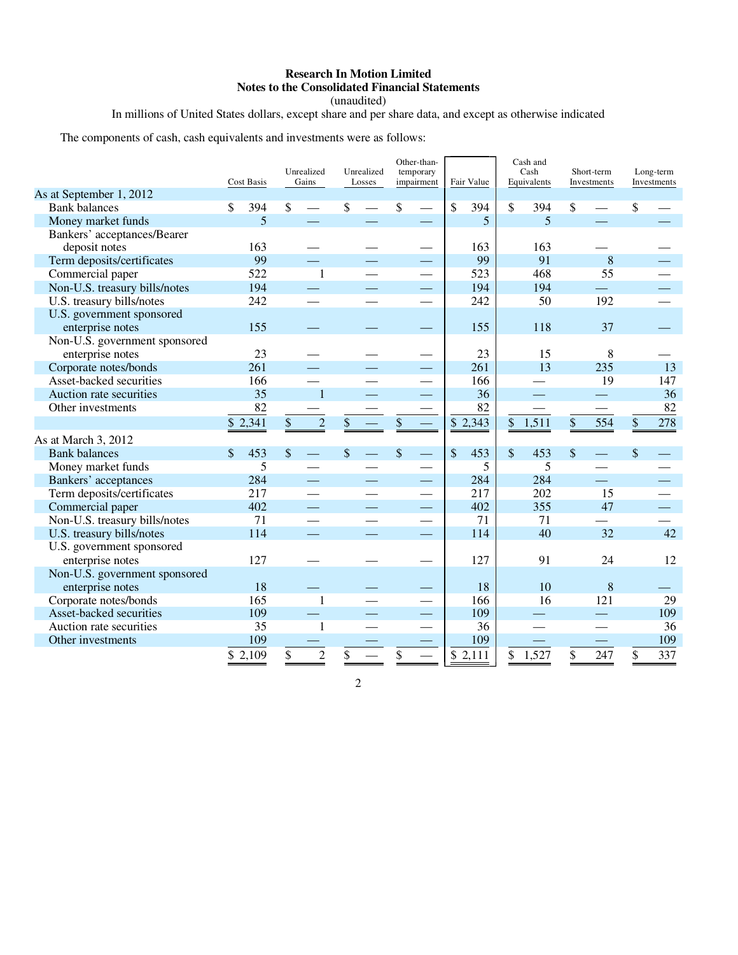(unaudited)

In millions of United States dollars, except share and per share data, and except as otherwise indicated

The components of cash, cash equivalents and investments were as follows:

|                               | Cost Basis | Unrealized<br>Gains      |                   | Unrealized<br>Losses |                   | Other-than-<br>temporary<br>impairment | Fair Value | Cash and<br>Cash<br>Equivalents |              | Short-term<br>Investments |              | Long-term<br>Investments |
|-------------------------------|------------|--------------------------|-------------------|----------------------|-------------------|----------------------------------------|------------|---------------------------------|--------------|---------------------------|--------------|--------------------------|
| As at September 1, 2012       |            |                          |                   |                      |                   |                                        |            |                                 |              |                           |              |                          |
| <b>Bank</b> balances          | \$<br>394  | \$                       | \$                |                      | \$                |                                        | \$<br>394  | \$<br>394                       | \$           |                           | \$           |                          |
| Money market funds            | 5          |                          |                   |                      |                   |                                        | 5          | 5                               |              |                           |              |                          |
| Bankers' acceptances/Bearer   |            |                          |                   |                      |                   |                                        |            |                                 |              |                           |              |                          |
| deposit notes                 | 163        |                          |                   |                      |                   |                                        | 163        | 163                             |              |                           |              |                          |
| Term deposits/certificates    | 99         |                          |                   |                      |                   |                                        | 99         | 91                              |              | 8                         |              |                          |
| Commercial paper              | 522        | $\blacksquare$           |                   |                      |                   |                                        | 523        | 468                             |              | 55                        |              |                          |
| Non-U.S. treasury bills/notes | 194        |                          |                   |                      |                   |                                        | 194        | 194                             |              |                           |              |                          |
| U.S. treasury bills/notes     | 242        |                          |                   |                      |                   |                                        | 242        | 50                              |              | 192                       |              |                          |
| U.S. government sponsored     |            |                          |                   |                      |                   |                                        |            |                                 |              |                           |              |                          |
| enterprise notes              | 155        |                          |                   |                      |                   |                                        | 155        | 118                             |              | 37                        |              |                          |
| Non-U.S. government sponsored |            |                          |                   |                      |                   |                                        |            |                                 |              |                           |              |                          |
| enterprise notes              | 23         |                          |                   |                      |                   |                                        | 23         | 15                              |              | 8                         |              |                          |
| Corporate notes/bonds         | 261        |                          |                   |                      |                   |                                        | 261        | 13                              |              | 235                       |              | 13                       |
| Asset-backed securities       | 166        |                          |                   |                      |                   |                                        | 166        |                                 |              | 19                        |              | 147                      |
| Auction rate securities       | 35         | 1                        |                   |                      |                   |                                        | 36         |                                 |              |                           |              | 36                       |
| Other investments             | 82         |                          |                   |                      |                   |                                        | 82         |                                 |              |                           |              | 82                       |
|                               | \$2,341    | \$<br>$\overline{2}$     | $\boldsymbol{\$}$ |                      | $\boldsymbol{\$}$ |                                        | \$2,343    | \$<br>1,511                     | $\mathbb{S}$ | 554                       | \$           | 278                      |
| As at March 3, 2012           |            |                          |                   |                      |                   |                                        |            |                                 |              |                           |              |                          |
| <b>Bank</b> balances          | \$<br>453  | \$                       | \$                |                      | \$                |                                        | \$<br>453  | \$<br>453                       | $\$\$        |                           | $\mathbb{S}$ |                          |
| Money market funds            | 5          |                          |                   |                      |                   |                                        | 5          | 5                               |              |                           |              |                          |
| Bankers' acceptances          | 284        |                          |                   |                      |                   |                                        | 284        | 284                             |              |                           |              |                          |
| Term deposits/certificates    | 217        |                          |                   |                      |                   |                                        | 217        | 202                             |              | 15                        |              |                          |
| Commercial paper              | 402        |                          |                   |                      |                   |                                        | 402        | 355                             |              | 47                        |              |                          |
| Non-U.S. treasury bills/notes | 71         |                          |                   |                      |                   |                                        | 71         | 71                              |              |                           |              |                          |
| U.S. treasury bills/notes     | 114        | $\overline{\phantom{0}}$ |                   |                      |                   |                                        | 114        | 40                              |              | 32                        |              | 42                       |
| U.S. government sponsored     |            |                          |                   |                      |                   |                                        |            |                                 |              |                           |              |                          |
| enterprise notes              | 127        |                          |                   |                      |                   |                                        | 127        | 91                              |              | 24                        |              | 12                       |
| Non-U.S. government sponsored |            |                          |                   |                      |                   |                                        |            |                                 |              |                           |              |                          |
| enterprise notes              | 18         |                          |                   |                      |                   |                                        | 18         | 10                              |              | 8                         |              |                          |
| Corporate notes/bonds         | 165        | 1                        |                   |                      |                   |                                        | 166        | 16                              |              | 121                       |              | 29                       |
| Asset-backed securities       | 109        |                          |                   |                      |                   |                                        | 109        |                                 |              |                           |              | 109                      |
| Auction rate securities       | 35         | $\mathbf{1}$             |                   |                      |                   |                                        | 36         |                                 |              |                           |              | 36                       |
| Other investments             | 109        |                          |                   |                      |                   |                                        | 109        |                                 |              |                           |              | 109                      |
|                               | \$2,109    | \$<br>$\overline{2}$     | \$                |                      | \$                |                                        | \$2,111    | \$<br>1,527                     | \$           | 247                       | \$           | 337                      |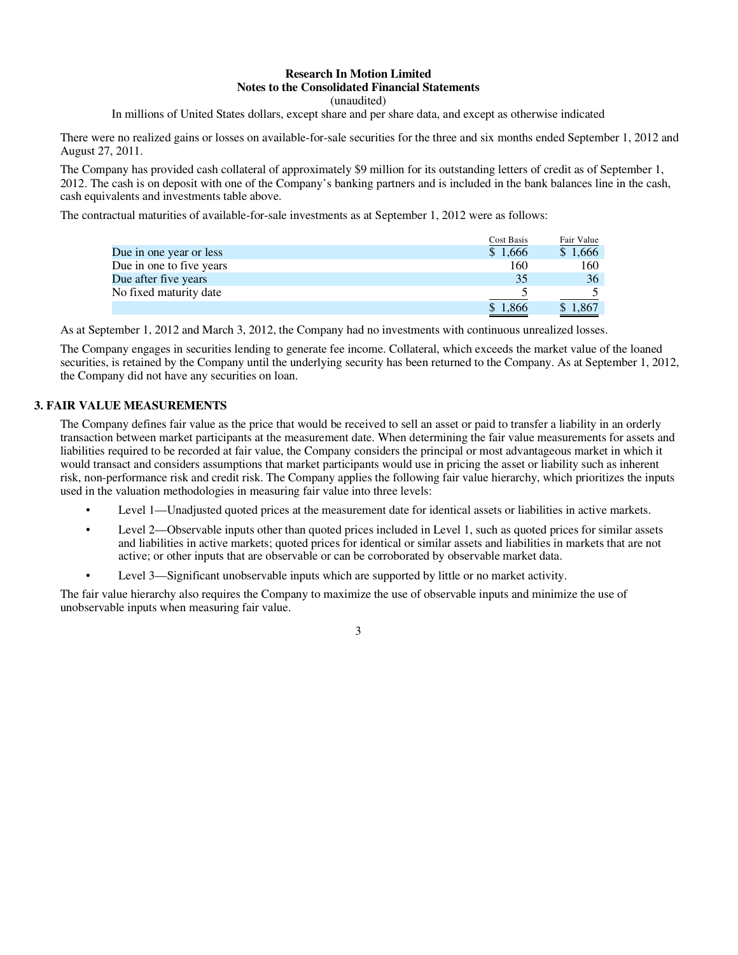(unaudited)

In millions of United States dollars, except share and per share data, and except as otherwise indicated

There were no realized gains or losses on available-for-sale securities for the three and six months ended September 1, 2012 and August 27, 2011.

The Company has provided cash collateral of approximately \$9 million for its outstanding letters of credit as of September 1, 2012. The cash is on deposit with one of the Company's banking partners and is included in the bank balances line in the cash, cash equivalents and investments table above.

The contractual maturities of available-for-sale investments as at September 1, 2012 were as follows:

|                          | Cost Basis | Fair Value |
|--------------------------|------------|------------|
| Due in one year or less  | \$1.666    | \$1,666    |
| Due in one to five years | 160        | 160        |
| Due after five years     | 35         | 36         |
| No fixed maturity date   |            |            |
|                          | \$1.866    | 1,867      |

As at September 1, 2012 and March 3, 2012, the Company had no investments with continuous unrealized losses.

The Company engages in securities lending to generate fee income. Collateral, which exceeds the market value of the loaned securities, is retained by the Company until the underlying security has been returned to the Company. As at September 1, 2012, the Company did not have any securities on loan.

### **3. FAIR VALUE MEASUREMENTS**

The Company defines fair value as the price that would be received to sell an asset or paid to transfer a liability in an orderly transaction between market participants at the measurement date. When determining the fair value measurements for assets and liabilities required to be recorded at fair value, the Company considers the principal or most advantageous market in which it would transact and considers assumptions that market participants would use in pricing the asset or liability such as inherent risk, non-performance risk and credit risk. The Company applies the following fair value hierarchy, which prioritizes the inputs used in the valuation methodologies in measuring fair value into three levels:

- Level 1—Unadjusted quoted prices at the measurement date for identical assets or liabilities in active markets.
- Level 2—Observable inputs other than quoted prices included in Level 1, such as quoted prices for similar assets and liabilities in active markets; quoted prices for identical or similar assets and liabilities in markets that are not active; or other inputs that are observable or can be corroborated by observable market data.
- Level 3—Significant unobservable inputs which are supported by little or no market activity.

The fair value hierarchy also requires the Company to maximize the use of observable inputs and minimize the use of unobservable inputs when measuring fair value.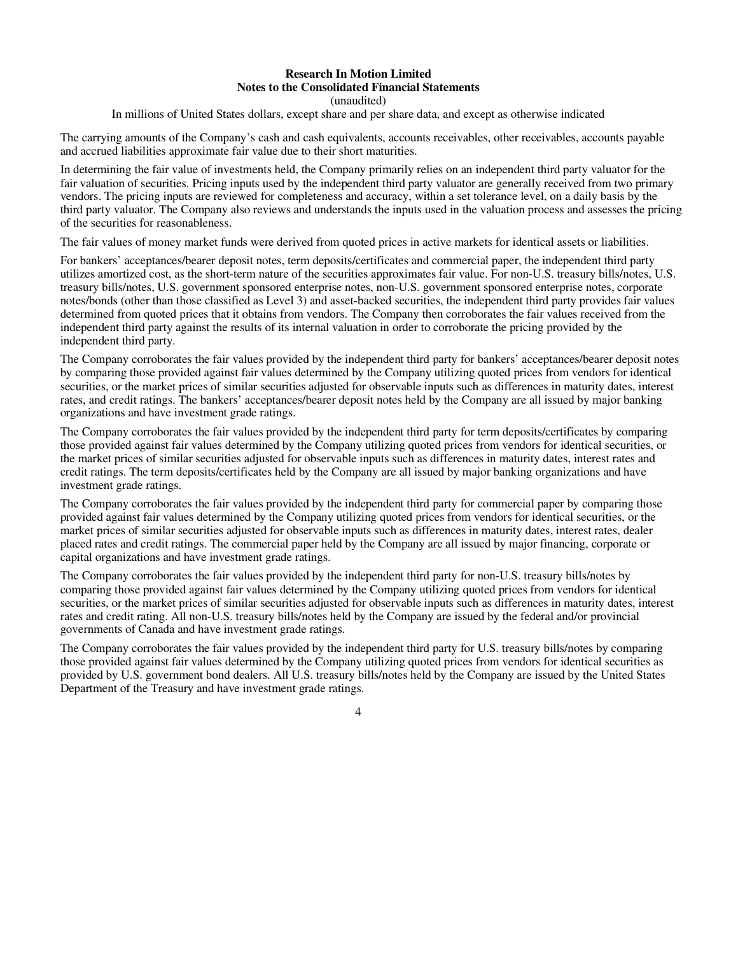(unaudited)

In millions of United States dollars, except share and per share data, and except as otherwise indicated

The carrying amounts of the Company's cash and cash equivalents, accounts receivables, other receivables, accounts payable and accrued liabilities approximate fair value due to their short maturities.

In determining the fair value of investments held, the Company primarily relies on an independent third party valuator for the fair valuation of securities. Pricing inputs used by the independent third party valuator are generally received from two primary vendors. The pricing inputs are reviewed for completeness and accuracy, within a set tolerance level, on a daily basis by the third party valuator. The Company also reviews and understands the inputs used in the valuation process and assesses the pricing of the securities for reasonableness.

The fair values of money market funds were derived from quoted prices in active markets for identical assets or liabilities.

For bankers' acceptances/bearer deposit notes, term deposits/certificates and commercial paper, the independent third party utilizes amortized cost, as the short-term nature of the securities approximates fair value. For non-U.S. treasury bills/notes, U.S. treasury bills/notes, U.S. government sponsored enterprise notes, non-U.S. government sponsored enterprise notes, corporate notes/bonds (other than those classified as Level 3) and asset-backed securities, the independent third party provides fair values determined from quoted prices that it obtains from vendors. The Company then corroborates the fair values received from the independent third party against the results of its internal valuation in order to corroborate the pricing provided by the independent third party.

The Company corroborates the fair values provided by the independent third party for bankers' acceptances/bearer deposit notes by comparing those provided against fair values determined by the Company utilizing quoted prices from vendors for identical securities, or the market prices of similar securities adjusted for observable inputs such as differences in maturity dates, interest rates, and credit ratings. The bankers' acceptances/bearer deposit notes held by the Company are all issued by major banking organizations and have investment grade ratings.

The Company corroborates the fair values provided by the independent third party for term deposits/certificates by comparing those provided against fair values determined by the Company utilizing quoted prices from vendors for identical securities, or the market prices of similar securities adjusted for observable inputs such as differences in maturity dates, interest rates and credit ratings. The term deposits/certificates held by the Company are all issued by major banking organizations and have investment grade ratings.

The Company corroborates the fair values provided by the independent third party for commercial paper by comparing those provided against fair values determined by the Company utilizing quoted prices from vendors for identical securities, or the market prices of similar securities adjusted for observable inputs such as differences in maturity dates, interest rates, dealer placed rates and credit ratings. The commercial paper held by the Company are all issued by major financing, corporate or capital organizations and have investment grade ratings.

The Company corroborates the fair values provided by the independent third party for non-U.S. treasury bills/notes by comparing those provided against fair values determined by the Company utilizing quoted prices from vendors for identical securities, or the market prices of similar securities adjusted for observable inputs such as differences in maturity dates, interest rates and credit rating. All non-U.S. treasury bills/notes held by the Company are issued by the federal and/or provincial governments of Canada and have investment grade ratings.

The Company corroborates the fair values provided by the independent third party for U.S. treasury bills/notes by comparing those provided against fair values determined by the Company utilizing quoted prices from vendors for identical securities as provided by U.S. government bond dealers. All U.S. treasury bills/notes held by the Company are issued by the United States Department of the Treasury and have investment grade ratings.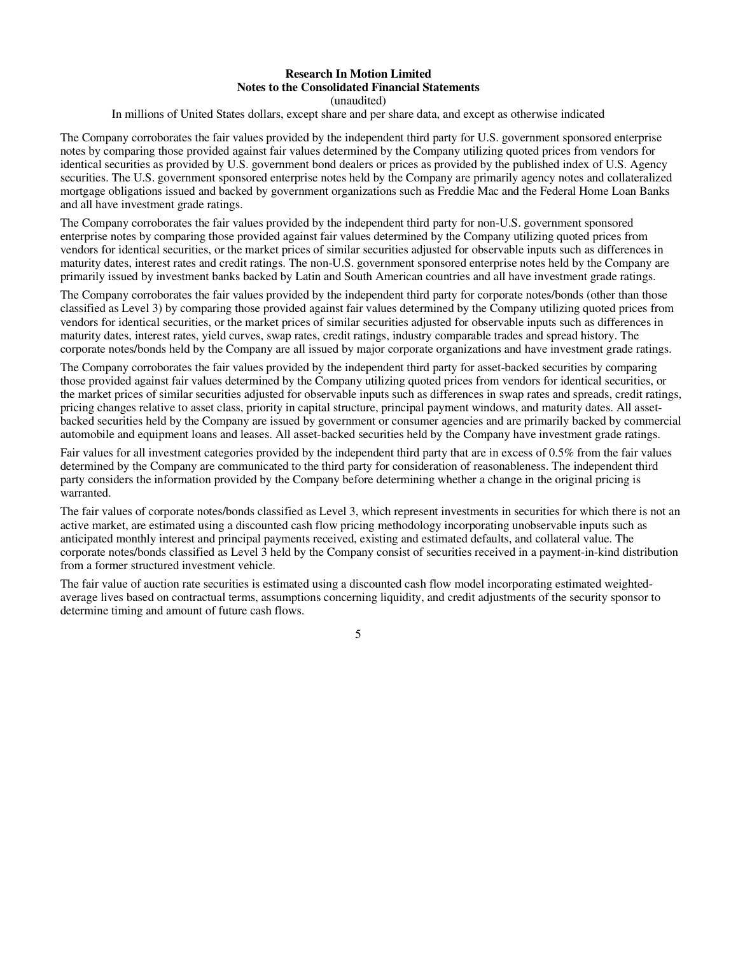(unaudited)

In millions of United States dollars, except share and per share data, and except as otherwise indicated

The Company corroborates the fair values provided by the independent third party for U.S. government sponsored enterprise notes by comparing those provided against fair values determined by the Company utilizing quoted prices from vendors for identical securities as provided by U.S. government bond dealers or prices as provided by the published index of U.S. Agency securities. The U.S. government sponsored enterprise notes held by the Company are primarily agency notes and collateralized mortgage obligations issued and backed by government organizations such as Freddie Mac and the Federal Home Loan Banks and all have investment grade ratings.

The Company corroborates the fair values provided by the independent third party for non-U.S. government sponsored enterprise notes by comparing those provided against fair values determined by the Company utilizing quoted prices from vendors for identical securities, or the market prices of similar securities adjusted for observable inputs such as differences in maturity dates, interest rates and credit ratings. The non-U.S. government sponsored enterprise notes held by the Company are primarily issued by investment banks backed by Latin and South American countries and all have investment grade ratings.

The Company corroborates the fair values provided by the independent third party for corporate notes/bonds (other than those classified as Level 3) by comparing those provided against fair values determined by the Company utilizing quoted prices from vendors for identical securities, or the market prices of similar securities adjusted for observable inputs such as differences in maturity dates, interest rates, yield curves, swap rates, credit ratings, industry comparable trades and spread history. The corporate notes/bonds held by the Company are all issued by major corporate organizations and have investment grade ratings.

The Company corroborates the fair values provided by the independent third party for asset-backed securities by comparing those provided against fair values determined by the Company utilizing quoted prices from vendors for identical securities, or the market prices of similar securities adjusted for observable inputs such as differences in swap rates and spreads, credit ratings, pricing changes relative to asset class, priority in capital structure, principal payment windows, and maturity dates. All assetbacked securities held by the Company are issued by government or consumer agencies and are primarily backed by commercial automobile and equipment loans and leases. All asset-backed securities held by the Company have investment grade ratings.

Fair values for all investment categories provided by the independent third party that are in excess of 0.5% from the fair values determined by the Company are communicated to the third party for consideration of reasonableness. The independent third party considers the information provided by the Company before determining whether a change in the original pricing is warranted.

The fair values of corporate notes/bonds classified as Level 3, which represent investments in securities for which there is not an active market, are estimated using a discounted cash flow pricing methodology incorporating unobservable inputs such as anticipated monthly interest and principal payments received, existing and estimated defaults, and collateral value. The corporate notes/bonds classified as Level 3 held by the Company consist of securities received in a payment-in-kind distribution from a former structured investment vehicle.

The fair value of auction rate securities is estimated using a discounted cash flow model incorporating estimated weightedaverage lives based on contractual terms, assumptions concerning liquidity, and credit adjustments of the security sponsor to determine timing and amount of future cash flows.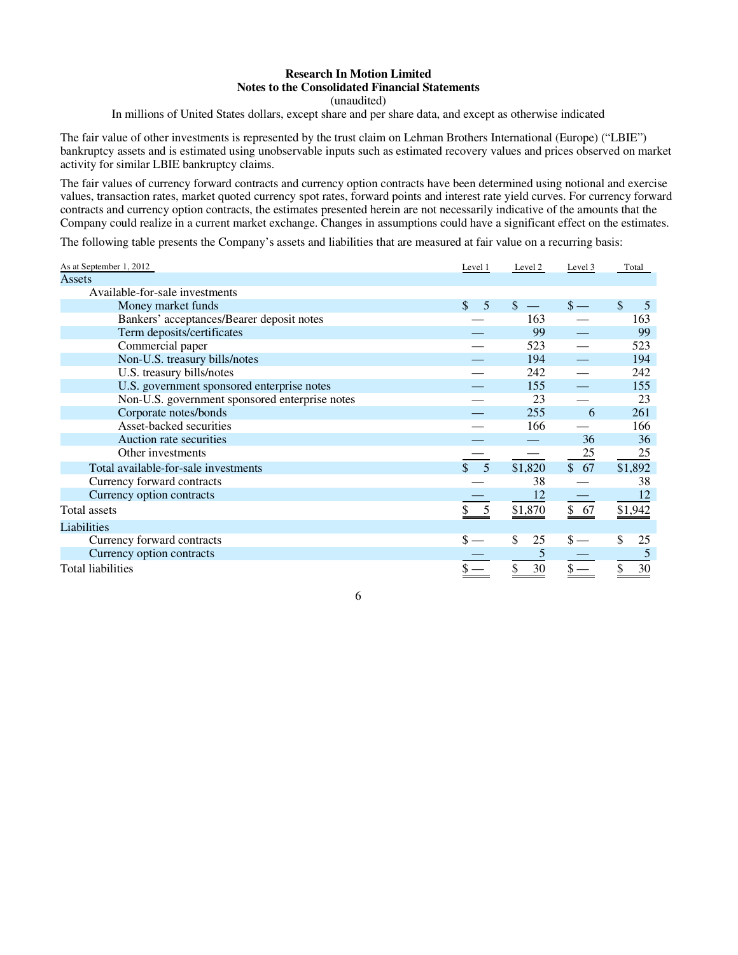(unaudited)

In millions of United States dollars, except share and per share data, and except as otherwise indicated

The fair value of other investments is represented by the trust claim on Lehman Brothers International (Europe) ("LBIE") bankruptcy assets and is estimated using unobservable inputs such as estimated recovery values and prices observed on market activity for similar LBIE bankruptcy claims.

The fair values of currency forward contracts and currency option contracts have been determined using notional and exercise values, transaction rates, market quoted currency spot rates, forward points and interest rate yield curves. For currency forward contracts and currency option contracts, the estimates presented herein are not necessarily indicative of the amounts that the Company could realize in a current market exchange. Changes in assumptions could have a significant effect on the estimates.

The following table presents the Company's assets and liabilities that are measured at fair value on a recurring basis:

| As at September 1, 2012                        | Level 1            | Level 2      | Level 3        | Total    |
|------------------------------------------------|--------------------|--------------|----------------|----------|
| <b>Assets</b>                                  |                    |              |                |          |
| Available-for-sale investments                 |                    |              |                |          |
| Money market funds                             | $\mathcal{S}$<br>5 | $\mathbb{S}$ | $\mathsf{s}$ — | \$<br>.5 |
| Bankers' acceptances/Bearer deposit notes      |                    | 163          |                | 163      |
| Term deposits/certificates                     |                    | 99           |                | 99       |
| Commercial paper                               |                    | 523          |                | 523      |
| Non-U.S. treasury bills/notes                  |                    | 194          |                | 194      |
| U.S. treasury bills/notes                      |                    | 242          |                | 242      |
| U.S. government sponsored enterprise notes     |                    | 155          |                | 155      |
| Non-U.S. government sponsored enterprise notes |                    | 23           |                | 23       |
| Corporate notes/bonds                          |                    | 255          | 6              | 261      |
| Asset-backed securities                        |                    | 166          |                | 166      |
| Auction rate securities                        |                    |              | 36             | 36       |
| Other investments                              |                    |              | 25             | 25       |
| Total available-for-sale investments           | .5                 | \$1,820      | \$67           | \$1,892  |
| Currency forward contracts                     |                    | 38           |                | 38       |
| Currency option contracts                      |                    | 12           |                | 12       |
| <b>Total assets</b>                            |                    | \$1,870      | \$67           | \$1,942  |
| Liabilities                                    |                    |              |                |          |
| Currency forward contracts                     | $\mathbf{s}$ —     | \$<br>25     | $\mathsf{s}-$  | \$<br>25 |
| Currency option contracts                      |                    | 5            |                |          |
| <b>Total liabilities</b>                       |                    | 30           |                | \$<br>30 |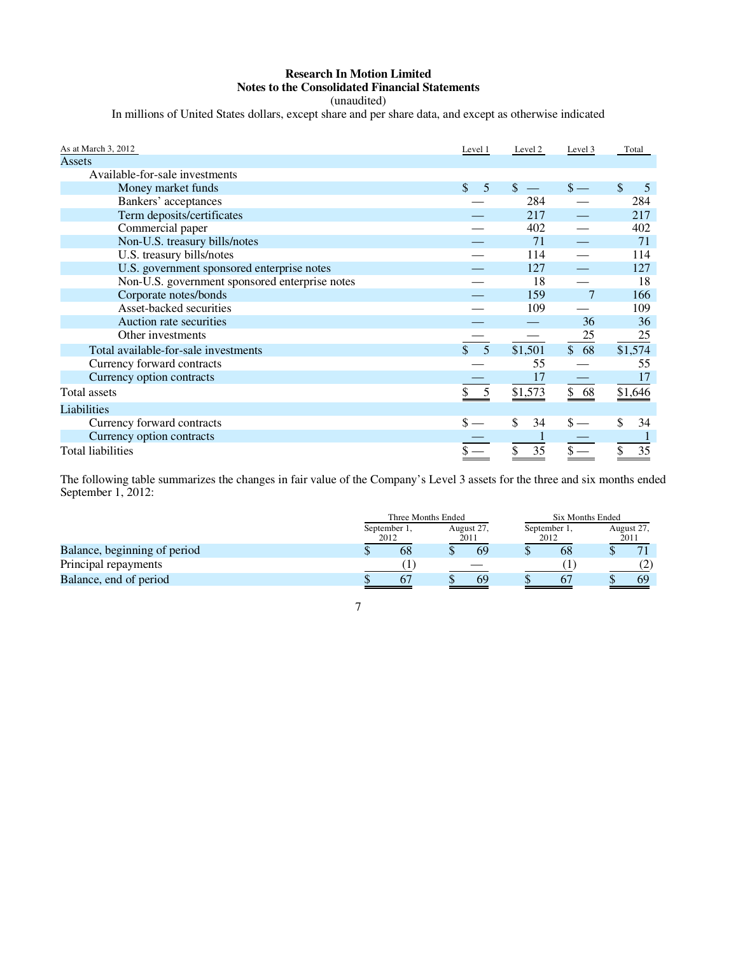(unaudited)

In millions of United States dollars, except share and per share data, and except as otherwise indicated

| As at March 3, 2012                            | Level 1            | Level 2  | Level 3        | Total    |
|------------------------------------------------|--------------------|----------|----------------|----------|
| Assets                                         |                    |          |                |          |
| Available-for-sale investments                 |                    |          |                |          |
| Money market funds                             | $\mathcal{S}$<br>5 | \$.      | $\mathsf{s}$ — | \$<br>5  |
| Bankers' acceptances                           |                    | 284      |                | 284      |
| Term deposits/certificates                     |                    | 217      |                | 217      |
| Commercial paper                               |                    | 402      |                | 402      |
| Non-U.S. treasury bills/notes                  |                    | 71       |                | 71       |
| U.S. treasury bills/notes                      |                    | 114      |                | 114      |
| U.S. government sponsored enterprise notes     |                    | 127      |                | 127      |
| Non-U.S. government sponsored enterprise notes |                    | 18       |                | 18       |
| Corporate notes/bonds                          |                    | 159      | 7              | 166      |
| Asset-backed securities                        |                    | 109      |                | 109      |
| Auction rate securities                        |                    |          | 36             | 36       |
| Other investments                              |                    |          | 25             | 25       |
| Total available-for-sale investments           | $\frac{1}{2}$ 5    | \$1,501  | \$68           | \$1,574  |
| Currency forward contracts                     |                    | 55       |                | 55       |
| Currency option contracts                      |                    | 17       |                | 17       |
| Total assets                                   |                    | \$1,573  | \$68           | \$1,646  |
| Liabilities                                    |                    |          |                |          |
| Currency forward contracts                     | $\mathsf{s}$ —     | \$<br>34 | $\frac{1}{2}$  | \$<br>34 |
| Currency option contracts                      |                    |          |                |          |
| <b>Total liabilities</b>                       |                    | \$<br>35 |                | \$<br>35 |

The following table summarizes the changes in fair value of the Company's Level 3 assets for the three and six months ended September 1, 2012:

|                              | Three Months Ended |                      |  |                    | Six Months Ended     |    |  |                    |
|------------------------------|--------------------|----------------------|--|--------------------|----------------------|----|--|--------------------|
|                              |                    | September 1.<br>2012 |  | August 27,<br>2011 | September 1,<br>2012 |    |  | August 27.<br>2011 |
| Balance, beginning of period |                    | 68                   |  | 69                 |                      | 68 |  |                    |
| Principal repayments         |                    |                      |  |                    |                      |    |  |                    |
| Balance, end of period       |                    |                      |  | 69                 |                      |    |  | 69                 |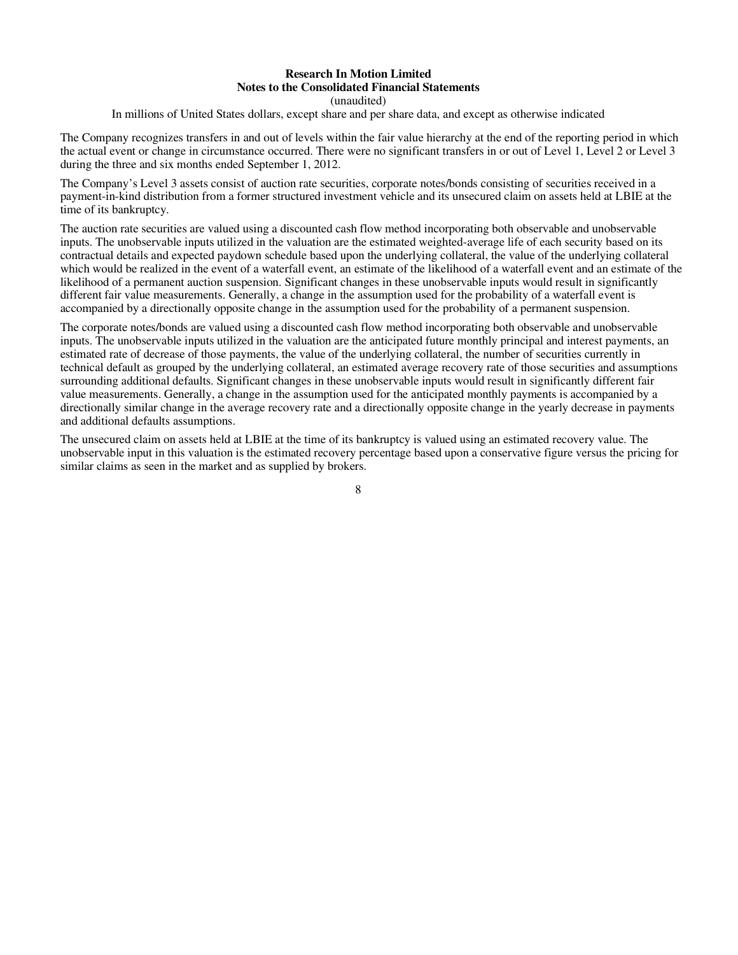(unaudited)

In millions of United States dollars, except share and per share data, and except as otherwise indicated

The Company recognizes transfers in and out of levels within the fair value hierarchy at the end of the reporting period in which the actual event or change in circumstance occurred. There were no significant transfers in or out of Level 1, Level 2 or Level 3 during the three and six months ended September 1, 2012.

The Company's Level 3 assets consist of auction rate securities, corporate notes/bonds consisting of securities received in a payment-in-kind distribution from a former structured investment vehicle and its unsecured claim on assets held at LBIE at the time of its bankruptcy.

The auction rate securities are valued using a discounted cash flow method incorporating both observable and unobservable inputs. The unobservable inputs utilized in the valuation are the estimated weighted-average life of each security based on its contractual details and expected paydown schedule based upon the underlying collateral, the value of the underlying collateral which would be realized in the event of a waterfall event, an estimate of the likelihood of a waterfall event and an estimate of the likelihood of a permanent auction suspension. Significant changes in these unobservable inputs would result in significantly different fair value measurements. Generally, a change in the assumption used for the probability of a waterfall event is accompanied by a directionally opposite change in the assumption used for the probability of a permanent suspension.

The corporate notes/bonds are valued using a discounted cash flow method incorporating both observable and unobservable inputs. The unobservable inputs utilized in the valuation are the anticipated future monthly principal and interest payments, an estimated rate of decrease of those payments, the value of the underlying collateral, the number of securities currently in technical default as grouped by the underlying collateral, an estimated average recovery rate of those securities and assumptions surrounding additional defaults. Significant changes in these unobservable inputs would result in significantly different fair value measurements. Generally, a change in the assumption used for the anticipated monthly payments is accompanied by a directionally similar change in the average recovery rate and a directionally opposite change in the yearly decrease in payments and additional defaults assumptions.

The unsecured claim on assets held at LBIE at the time of its bankruptcy is valued using an estimated recovery value. The unobservable input in this valuation is the estimated recovery percentage based upon a conservative figure versus the pricing for similar claims as seen in the market and as supplied by brokers.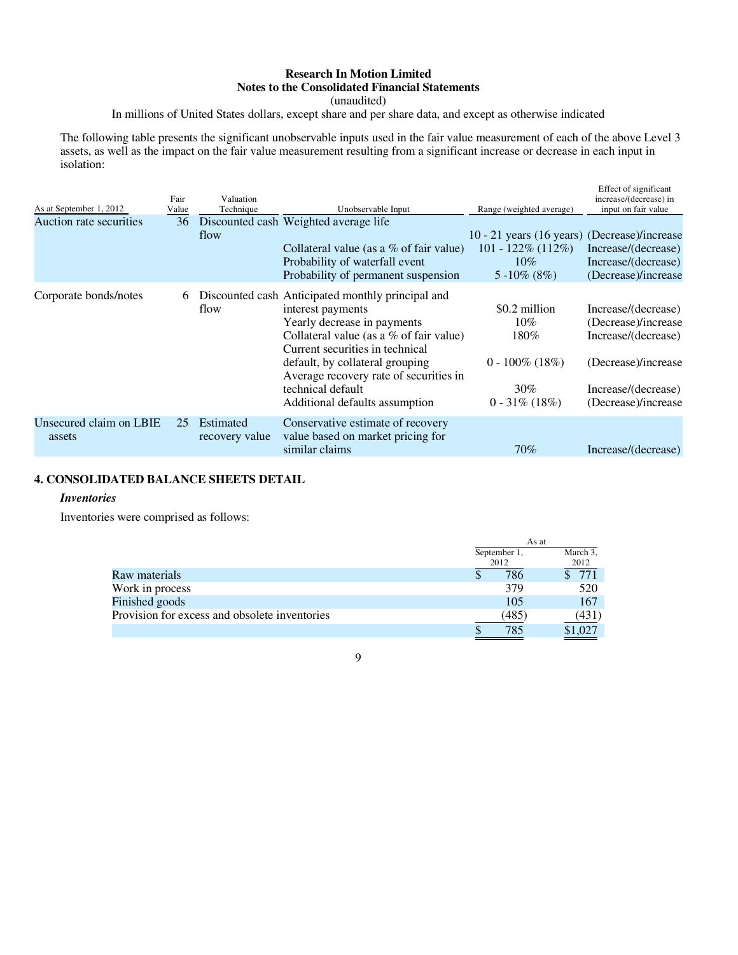(unaudited)

In millions of United States dollars, except share and per share data, and except as otherwise indicated

The following table presents the significant unobservable inputs used in the fair value measurement of each of the above Level 3 assets, as well as the impact on the fair value measurement resulting from a significant increase or decrease in each input in isolation:

| As at September 1, 2012           | Fair<br>Value | Valuation<br>Technique      | Unobservable Input                                                                                                                                                                                                                                                                                                        | Range (weighted average)                                                                        | Effect of significant<br>increase/(decrease) in<br>input on fair value                                                                 |
|-----------------------------------|---------------|-----------------------------|---------------------------------------------------------------------------------------------------------------------------------------------------------------------------------------------------------------------------------------------------------------------------------------------------------------------------|-------------------------------------------------------------------------------------------------|----------------------------------------------------------------------------------------------------------------------------------------|
| Auction rate securities           | 36            | flow                        | Discounted cash Weighted average life<br>Collateral value (as a $%$ of fair value)<br>Probability of waterfall event<br>Probability of permanent suspension                                                                                                                                                               | 10 - 21 years (16 years) (Decrease)/increase<br>101 - 122% (112%)<br>$10\%$<br>$5 - 10\%$ (8\%) | Increase/(decrease)<br>Increase/(decrease)<br>(Decrease)/increase                                                                      |
| Corporate bonds/notes             | 6             | flow                        | Discounted cash Anticipated monthly principal and<br>interest payments<br>Yearly decrease in payments<br>Collateral value (as a $%$ of fair value)<br>Current securities in technical<br>default, by collateral grouping<br>Average recovery rate of securities in<br>technical default<br>Additional defaults assumption | \$0.2 million<br>10%<br>180%<br>$0 - 100\%$ (18\%)<br>$30\%$<br>$0 - 31\%$ (18%)                | Increase/(decrease)<br>(Decrease)/increase<br>Increase/(decrease)<br>(Decrease)/increase<br>Increase/(decrease)<br>(Decrease)/increase |
| Unsecured claim on LBIE<br>assets | 25            | Estimated<br>recovery value | Conservative estimate of recovery<br>value based on market pricing for<br>similar claims                                                                                                                                                                                                                                  | 70%                                                                                             | Increase/(decrease)                                                                                                                    |

## **4. CONSOLIDATED BALANCE SHEETS DETAIL**

## *Inventories*

Inventories were comprised as follows:

|                                               | As at                |                  |  |
|-----------------------------------------------|----------------------|------------------|--|
|                                               | September 1,<br>2012 | March 3,<br>2012 |  |
| Raw materials                                 | 786                  | 771              |  |
| Work in process                               | 379                  | 520              |  |
| Finished goods                                | 105                  | 167              |  |
| Provision for excess and obsolete inventories | (485)                | (431)            |  |
|                                               | 785                  | \$1,027          |  |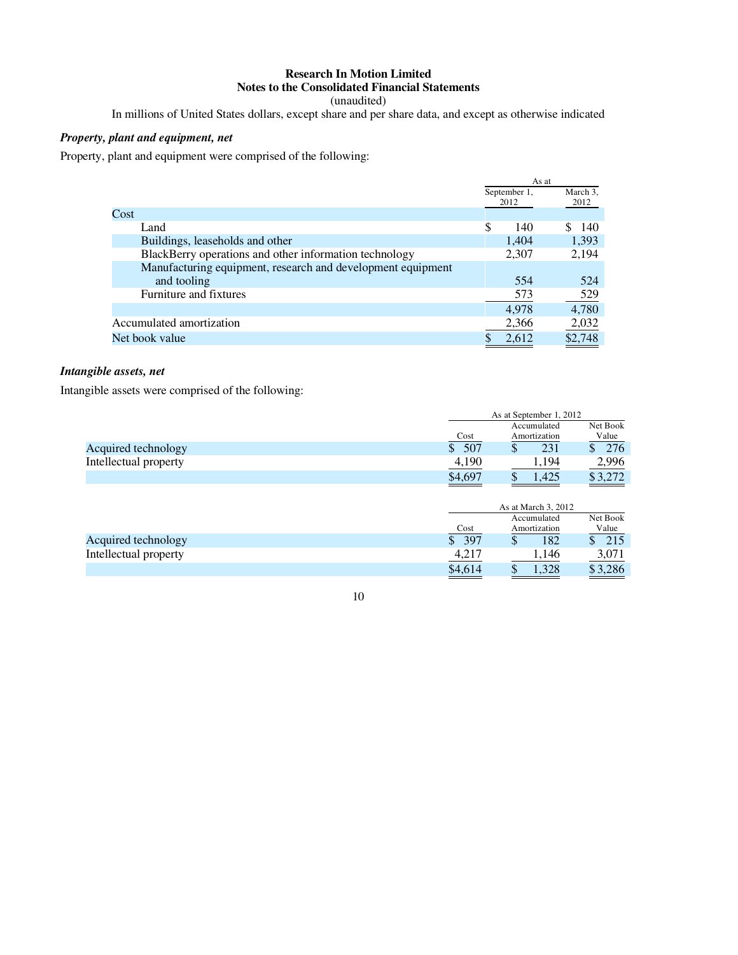(unaudited)

In millions of United States dollars, except share and per share data, and except as otherwise indicated

### *Property, plant and equipment, net*

Property, plant and equipment were comprised of the following:

|                                                             | As at                |                  |
|-------------------------------------------------------------|----------------------|------------------|
|                                                             | September 1,<br>2012 | March 3,<br>2012 |
| Cost                                                        |                      |                  |
| Land                                                        | \$<br>140            | S.<br>140        |
| Buildings, leaseholds and other                             | 1,404                | 1,393            |
| BlackBerry operations and other information technology      | 2,307                | 2,194            |
| Manufacturing equipment, research and development equipment |                      |                  |
| and tooling                                                 | 554                  | 524              |
| Furniture and fixtures                                      | 573                  | 529              |
|                                                             | 4,978                | 4,780            |
| Accumulated amortization                                    | 2,366                | 2,032            |
| Net book value                                              | 2,612                | \$2,748          |
|                                                             |                      |                  |

## *Intangible assets, net*

Intangible assets were comprised of the following:

|                       |         | As at September 1, 2012 |              |
|-----------------------|---------|-------------------------|--------------|
|                       |         | Accumulated             | Net Book     |
|                       | Cost    | Amortization            | <u>Value</u> |
| Acquired technology   | 507     | 231                     | 276          |
| Intellectual property | 4,190   | .194                    | 2,996        |
|                       | \$4.697 | .425                    | \$3,272      |

|                       |             | As at March 3, 2012 |          |
|-----------------------|-------------|---------------------|----------|
|                       |             | Accumulated         | Net Book |
|                       | <b>Cost</b> | Amortization        | Value    |
| Acquired technology   | 397<br>\$   | 182                 | 215      |
| Intellectual property | 4,217       | 1.146               | 3,071    |
|                       | \$4,614     | .328                | \$3,286  |

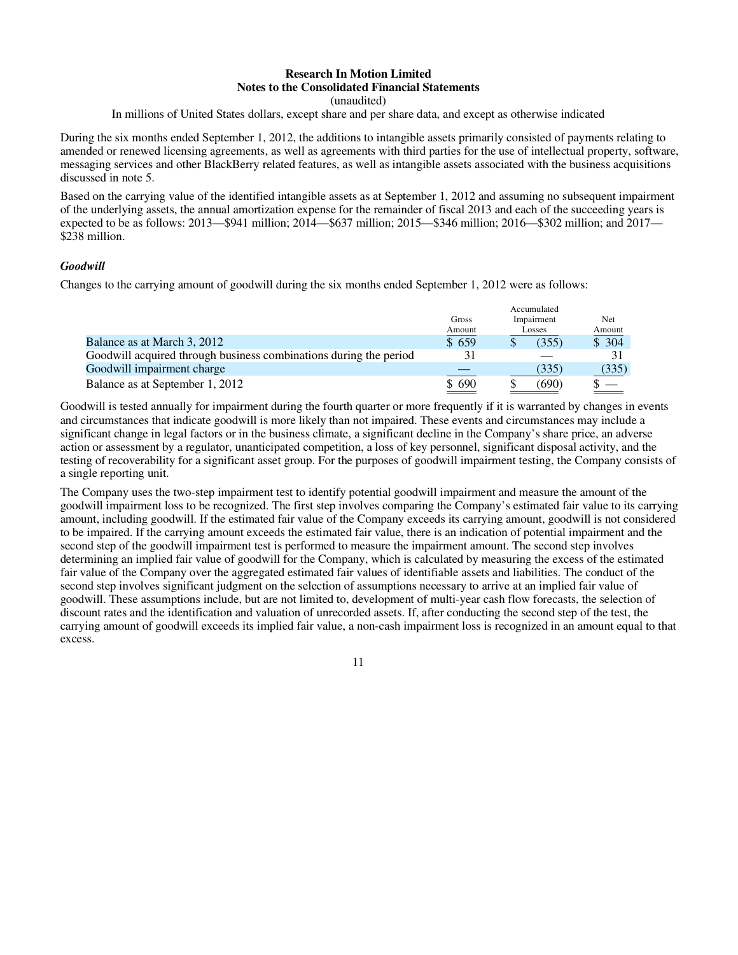(unaudited)

In millions of United States dollars, except share and per share data, and except as otherwise indicated

During the six months ended September 1, 2012, the additions to intangible assets primarily consisted of payments relating to amended or renewed licensing agreements, as well as agreements with third parties for the use of intellectual property, software, messaging services and other BlackBerry related features, as well as intangible assets associated with the business acquisitions discussed in note 5.

Based on the carrying value of the identified intangible assets as at September 1, 2012 and assuming no subsequent impairment of the underlying assets, the annual amortization expense for the remainder of fiscal 2013 and each of the succeeding years is expected to be as follows: 2013—\$941 million; 2014—\$637 million; 2015—\$346 million; 2016—\$302 million; and 2017— \$238 million.

### *Goodwill*

Changes to the carrying amount of goodwill during the six months ended September 1, 2012 were as follows:

|                                                                   |        | Accumulated |        |
|-------------------------------------------------------------------|--------|-------------|--------|
|                                                                   | Gross  | Impairment  | Net    |
|                                                                   | Amount | Losses      | Amount |
| Balance as at March 3, 2012                                       | \$659  | (355)       | \$304  |
| Goodwill acquired through business combinations during the period |        |             |        |
| Goodwill impairment charge                                        |        | (335)       | (335)  |
| Balance as at September 1, 2012                                   | \$690  | (690)       |        |

Goodwill is tested annually for impairment during the fourth quarter or more frequently if it is warranted by changes in events and circumstances that indicate goodwill is more likely than not impaired. These events and circumstances may include a significant change in legal factors or in the business climate, a significant decline in the Company's share price, an adverse action or assessment by a regulator, unanticipated competition, a loss of key personnel, significant disposal activity, and the testing of recoverability for a significant asset group. For the purposes of goodwill impairment testing, the Company consists of a single reporting unit.

The Company uses the two-step impairment test to identify potential goodwill impairment and measure the amount of the goodwill impairment loss to be recognized. The first step involves comparing the Company's estimated fair value to its carrying amount, including goodwill. If the estimated fair value of the Company exceeds its carrying amount, goodwill is not considered to be impaired. If the carrying amount exceeds the estimated fair value, there is an indication of potential impairment and the second step of the goodwill impairment test is performed to measure the impairment amount. The second step involves determining an implied fair value of goodwill for the Company, which is calculated by measuring the excess of the estimated fair value of the Company over the aggregated estimated fair values of identifiable assets and liabilities. The conduct of the second step involves significant judgment on the selection of assumptions necessary to arrive at an implied fair value of goodwill. These assumptions include, but are not limited to, development of multi-year cash flow forecasts, the selection of discount rates and the identification and valuation of unrecorded assets. If, after conducting the second step of the test, the carrying amount of goodwill exceeds its implied fair value, a non-cash impairment loss is recognized in an amount equal to that excess.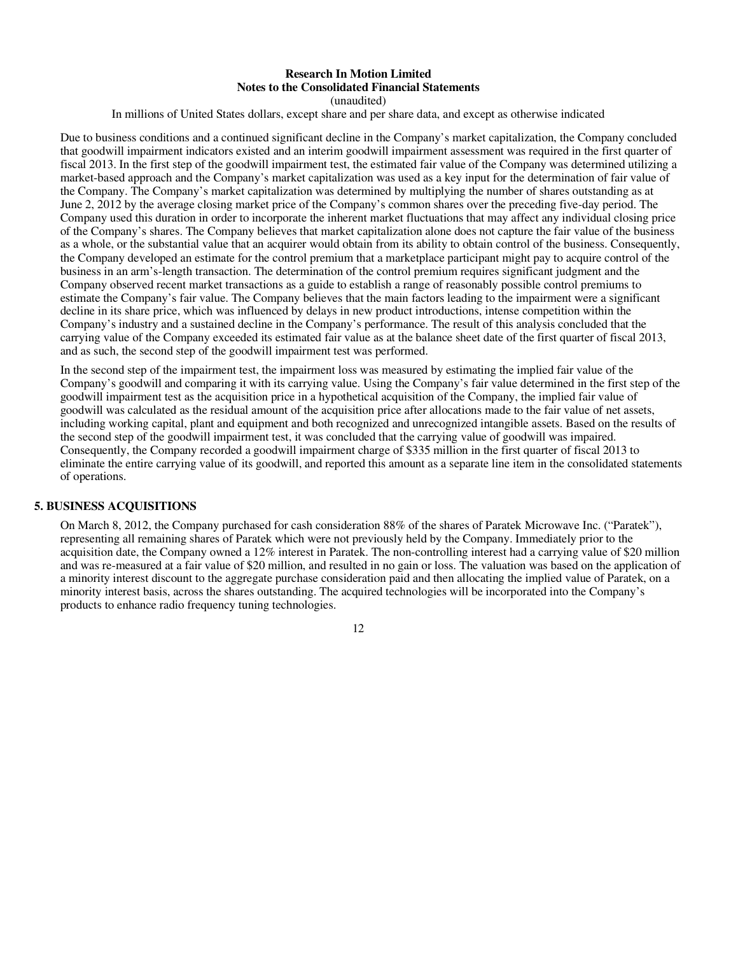(unaudited)

In millions of United States dollars, except share and per share data, and except as otherwise indicated

Due to business conditions and a continued significant decline in the Company's market capitalization, the Company concluded that goodwill impairment indicators existed and an interim goodwill impairment assessment was required in the first quarter of fiscal 2013. In the first step of the goodwill impairment test, the estimated fair value of the Company was determined utilizing a market-based approach and the Company's market capitalization was used as a key input for the determination of fair value of the Company. The Company's market capitalization was determined by multiplying the number of shares outstanding as at June 2, 2012 by the average closing market price of the Company's common shares over the preceding five-day period. The Company used this duration in order to incorporate the inherent market fluctuations that may affect any individual closing price of the Company's shares. The Company believes that market capitalization alone does not capture the fair value of the business as a whole, or the substantial value that an acquirer would obtain from its ability to obtain control of the business. Consequently, the Company developed an estimate for the control premium that a marketplace participant might pay to acquire control of the business in an arm's-length transaction. The determination of the control premium requires significant judgment and the Company observed recent market transactions as a guide to establish a range of reasonably possible control premiums to estimate the Company's fair value. The Company believes that the main factors leading to the impairment were a significant decline in its share price, which was influenced by delays in new product introductions, intense competition within the Company's industry and a sustained decline in the Company's performance. The result of this analysis concluded that the carrying value of the Company exceeded its estimated fair value as at the balance sheet date of the first quarter of fiscal 2013, and as such, the second step of the goodwill impairment test was performed.

In the second step of the impairment test, the impairment loss was measured by estimating the implied fair value of the Company's goodwill and comparing it with its carrying value. Using the Company's fair value determined in the first step of the goodwill impairment test as the acquisition price in a hypothetical acquisition of the Company, the implied fair value of goodwill was calculated as the residual amount of the acquisition price after allocations made to the fair value of net assets, including working capital, plant and equipment and both recognized and unrecognized intangible assets. Based on the results of the second step of the goodwill impairment test, it was concluded that the carrying value of goodwill was impaired. Consequently, the Company recorded a goodwill impairment charge of \$335 million in the first quarter of fiscal 2013 to eliminate the entire carrying value of its goodwill, and reported this amount as a separate line item in the consolidated statements of operations.

#### **5. BUSINESS ACQUISITIONS**

On March 8, 2012, the Company purchased for cash consideration 88% of the shares of Paratek Microwave Inc. ("Paratek"), representing all remaining shares of Paratek which were not previously held by the Company. Immediately prior to the acquisition date, the Company owned a 12% interest in Paratek. The non-controlling interest had a carrying value of \$20 million and was re-measured at a fair value of \$20 million, and resulted in no gain or loss. The valuation was based on the application of a minority interest discount to the aggregate purchase consideration paid and then allocating the implied value of Paratek, on a minority interest basis, across the shares outstanding. The acquired technologies will be incorporated into the Company's products to enhance radio frequency tuning technologies.

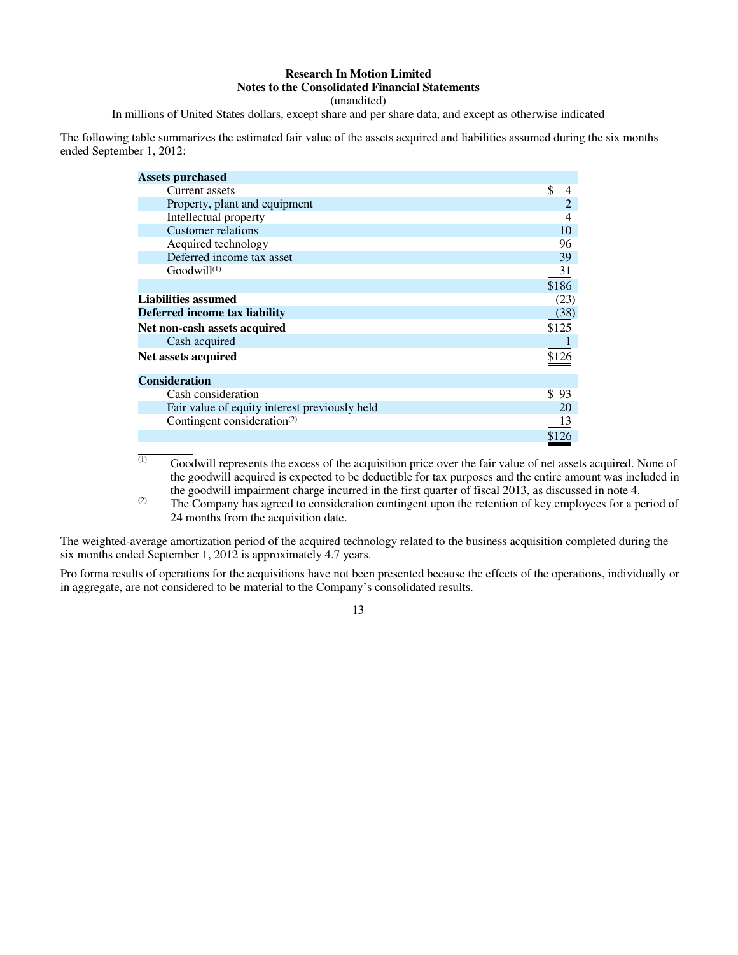(unaudited)

In millions of United States dollars, except share and per share data, and except as otherwise indicated

The following table summarizes the estimated fair value of the assets acquired and liabilities assumed during the six months ended September 1, 2012:

| <b>Assets purchased</b>                       |                |
|-----------------------------------------------|----------------|
| Current assets                                | \$<br>4        |
| Property, plant and equipment                 | 2              |
| Intellectual property                         | $\overline{4}$ |
| <b>Customer relations</b>                     | 10             |
| Acquired technology                           | 96             |
| Deferred income tax asset                     | 39             |
| Goodwill <sup>(1)</sup>                       | 31             |
|                                               | \$186          |
| <b>Liabilities assumed</b>                    | (23)           |
| Deferred income tax liability                 | (38)           |
| Net non-cash assets acquired                  | \$125          |
| Cash acquired                                 |                |
| Net assets acquired                           |                |
| <b>Consideration</b>                          |                |
| Cash consideration                            | S.<br>93       |
| Fair value of equity interest previously held | 20             |
| Contingent consideration <sup>(2)</sup>       | 13             |
|                                               | \$126          |

Goodwill represents the excess of the acquisition price over the fair value of net assets acquired. None of the goodwill acquired is expected to be deductible for tax purposes and the entire amount was included in the goodwill impairment charge incurred in the first quarter of fiscal 2013, as discussed in note 4. (1)

The Company has agreed to consideration contingent upon the retention of key employees for a period of 24 months from the acquisition date. (2)

The weighted-average amortization period of the acquired technology related to the business acquisition completed during the six months ended September 1, 2012 is approximately 4.7 years.

Pro forma results of operations for the acquisitions have not been presented because the effects of the operations, individually or in aggregate, are not considered to be material to the Company's consolidated results.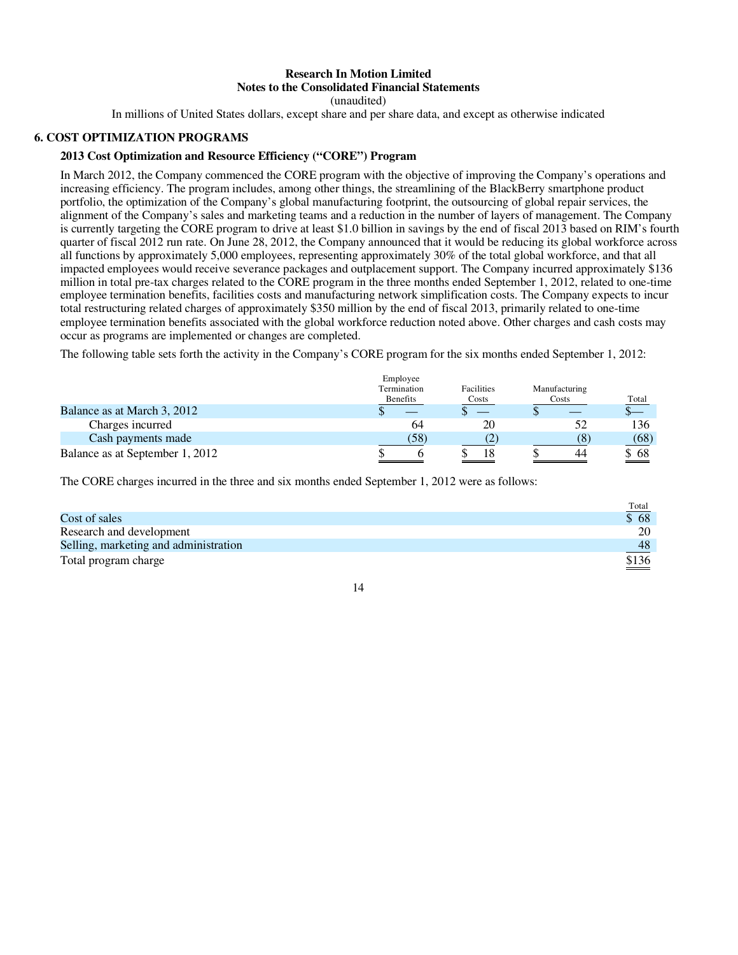(unaudited)

In millions of United States dollars, except share and per share data, and except as otherwise indicated

### **6. COST OPTIMIZATION PROGRAMS**

## **2013 Cost Optimization and Resource Efficiency ("CORE") Program**

In March 2012, the Company commenced the CORE program with the objective of improving the Company's operations and increasing efficiency. The program includes, among other things, the streamlining of the BlackBerry smartphone product portfolio, the optimization of the Company's global manufacturing footprint, the outsourcing of global repair services, the alignment of the Company's sales and marketing teams and a reduction in the number of layers of management. The Company is currently targeting the CORE program to drive at least \$1.0 billion in savings by the end of fiscal 2013 based on RIM's fourth quarter of fiscal 2012 run rate. On June 28, 2012, the Company announced that it would be reducing its global workforce across all functions by approximately 5,000 employees, representing approximately 30% of the total global workforce, and that all impacted employees would receive severance packages and outplacement support. The Company incurred approximately \$136 million in total pre-tax charges related to the CORE program in the three months ended September 1, 2012, related to one-time employee termination benefits, facilities costs and manufacturing network simplification costs. The Company expects to incur total restructuring related charges of approximately \$350 million by the end of fiscal 2013, primarily related to one-time employee termination benefits associated with the global workforce reduction noted above. Other charges and cash costs may occur as programs are implemented or changes are completed.

The following table sets forth the activity in the Company's CORE program for the six months ended September 1, 2012:

|                                 | Employee        |            |               |                    |
|---------------------------------|-----------------|------------|---------------|--------------------|
|                                 | Termination     | Facilities | Manufacturing |                    |
|                                 | <b>Benefits</b> | Costs      | Costs         | Total              |
| Balance as at March 3, 2012     |                 |            |               |                    |
| Charges incurred                | 64              | 20         | 52            | 136                |
| Cash payments made              | (58)            | L.         | (8)           | (68)               |
| Balance as at September 1, 2012 |                 | 18         | 44            | $\underline{\$68}$ |

The CORE charges incurred in the three and six months ended September 1, 2012 were as follows:

|                                       | Total                           |
|---------------------------------------|---------------------------------|
| Cost of sales                         | \$68                            |
| Research and development              | 20                              |
| Selling, marketing and administration | 48                              |
| Total program charge                  | $\underline{\underline{\$136}}$ |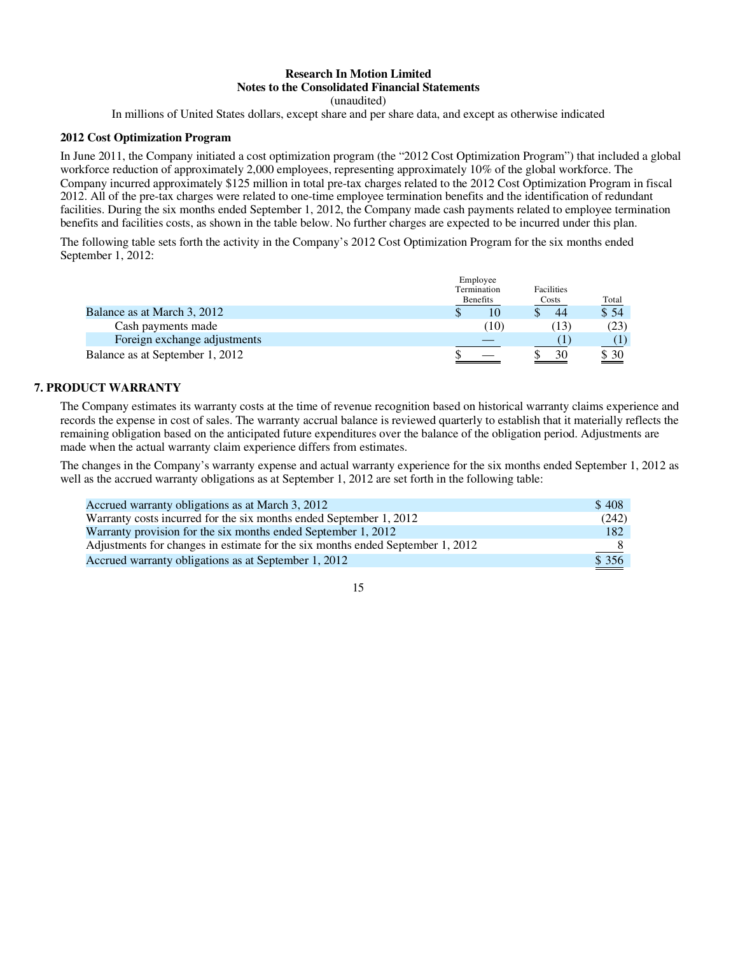(unaudited)

In millions of United States dollars, except share and per share data, and except as otherwise indicated

#### **2012 Cost Optimization Program**

In June 2011, the Company initiated a cost optimization program (the "2012 Cost Optimization Program") that included a global workforce reduction of approximately 2,000 employees, representing approximately 10% of the global workforce. The Company incurred approximately \$125 million in total pre-tax charges related to the 2012 Cost Optimization Program in fiscal 2012. All of the pre-tax charges were related to one-time employee termination benefits and the identification of redundant facilities. During the six months ended September 1, 2012, the Company made cash payments related to employee termination benefits and facilities costs, as shown in the table below. No further charges are expected to be incurred under this plan.

The following table sets forth the activity in the Company's 2012 Cost Optimization Program for the six months ended September 1, 2012:

|                                 | Employee<br>Termination | Facilities |                              |
|---------------------------------|-------------------------|------------|------------------------------|
|                                 | <b>Benefits</b>         | Costs      |                              |
| Balance as at March 3, 2012     | 10                      | 44         | $\frac{\text{Total}}{\$ 54}$ |
| Cash payments made              | (10)                    | (13)       | (23)                         |
| Foreign exchange adjustments    |                         |            |                              |
| Balance as at September 1, 2012 |                         | 30         | $\frac{$ 30}{2}$             |

## **7. PRODUCT WARRANTY**

The Company estimates its warranty costs at the time of revenue recognition based on historical warranty claims experience and records the expense in cost of sales. The warranty accrual balance is reviewed quarterly to establish that it materially reflects the remaining obligation based on the anticipated future expenditures over the balance of the obligation period. Adjustments are made when the actual warranty claim experience differs from estimates.

The changes in the Company's warranty expense and actual warranty experience for the six months ended September 1, 2012 as well as the accrued warranty obligations as at September 1, 2012 are set forth in the following table:

| Accrued warranty obligations as at March 3, 2012                               | \$408          |
|--------------------------------------------------------------------------------|----------------|
| Warranty costs incurred for the six months ended September 1, 2012             | (242)          |
| Warranty provision for the six months ended September 1, 2012                  | 182            |
| Adjustments for changes in estimate for the six months ended September 1, 2012 | $\overline{c}$ |
| Accrued warranty obligations as at September 1, 2012                           |                |
|                                                                                | \$356          |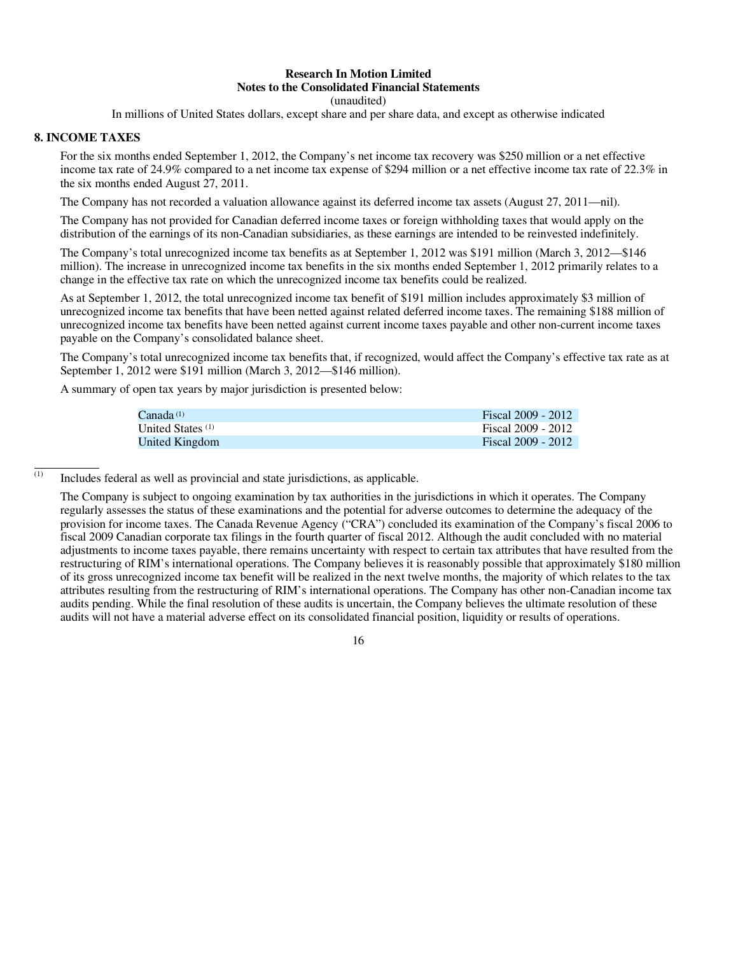(unaudited)

In millions of United States dollars, except share and per share data, and except as otherwise indicated

#### **8. INCOME TAXES**

For the six months ended September 1, 2012, the Company's net income tax recovery was \$250 million or a net effective income tax rate of 24.9% compared to a net income tax expense of \$294 million or a net effective income tax rate of 22.3% in the six months ended August 27, 2011.

The Company has not recorded a valuation allowance against its deferred income tax assets (August 27, 2011—nil).

The Company has not provided for Canadian deferred income taxes or foreign withholding taxes that would apply on the distribution of the earnings of its non-Canadian subsidiaries, as these earnings are intended to be reinvested indefinitely.

The Company's total unrecognized income tax benefits as at September 1, 2012 was \$191 million (March 3, 2012—\$146 million). The increase in unrecognized income tax benefits in the six months ended September 1, 2012 primarily relates to a change in the effective tax rate on which the unrecognized income tax benefits could be realized.

As at September 1, 2012, the total unrecognized income tax benefit of \$191 million includes approximately \$3 million of unrecognized income tax benefits that have been netted against related deferred income taxes. The remaining \$188 million of unrecognized income tax benefits have been netted against current income taxes payable and other non-current income taxes payable on the Company's consolidated balance sheet.

The Company's total unrecognized income tax benefits that, if recognized, would affect the Company's effective tax rate as at September 1, 2012 were \$191 million (March 3, 2012—\$146 million).

A summary of open tax years by major jurisdiction is presented below:

| Canada <sup>(1)</sup>        | Fiscal $2009 - 2012$ |
|------------------------------|----------------------|
| United States <sup>(1)</sup> | Fiscal 2009 - 2012   |
| United Kingdom               | Fiscal 2009 - 2012   |

Includes federal as well as provincial and state jurisdictions, as applicable. (1)

The Company is subject to ongoing examination by tax authorities in the jurisdictions in which it operates. The Company regularly assesses the status of these examinations and the potential for adverse outcomes to determine the adequacy of the provision for income taxes. The Canada Revenue Agency ("CRA") concluded its examination of the Company's fiscal 2006 to fiscal 2009 Canadian corporate tax filings in the fourth quarter of fiscal 2012. Although the audit concluded with no material adjustments to income taxes payable, there remains uncertainty with respect to certain tax attributes that have resulted from the restructuring of RIM's international operations. The Company believes it is reasonably possible that approximately \$180 million of its gross unrecognized income tax benefit will be realized in the next twelve months, the majority of which relates to the tax attributes resulting from the restructuring of RIM's international operations. The Company has other non-Canadian income tax audits pending. While the final resolution of these audits is uncertain, the Company believes the ultimate resolution of these audits will not have a material adverse effect on its consolidated financial position, liquidity or results of operations.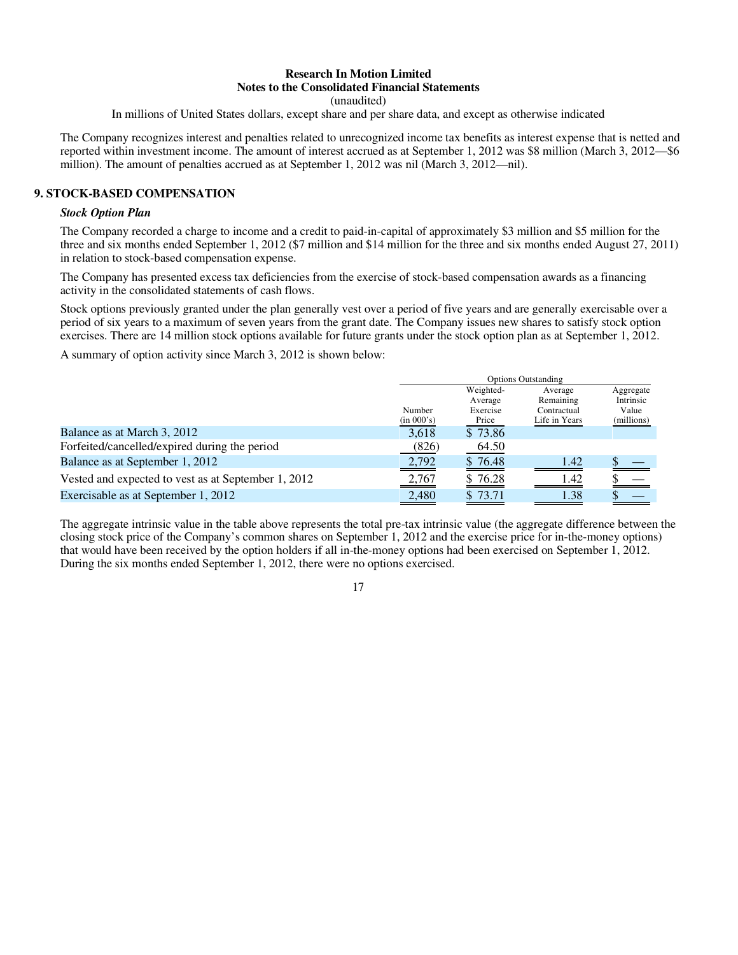(unaudited)

In millions of United States dollars, except share and per share data, and except as otherwise indicated

The Company recognizes interest and penalties related to unrecognized income tax benefits as interest expense that is netted and reported within investment income. The amount of interest accrued as at September 1, 2012 was \$8 million (March 3, 2012—\$6 million). The amount of penalties accrued as at September 1, 2012 was nil (March 3, 2012—nil).

### **9. STOCK-BASED COMPENSATION**

#### *Stock Option Plan*

The Company recorded a charge to income and a credit to paid-in-capital of approximately \$3 million and \$5 million for the three and six months ended September 1, 2012 (\$7 million and \$14 million for the three and six months ended August 27, 2011) in relation to stock-based compensation expense.

The Company has presented excess tax deficiencies from the exercise of stock-based compensation awards as a financing activity in the consolidated statements of cash flows.

Stock options previously granted under the plan generally vest over a period of five years and are generally exercisable over a period of six years to a maximum of seven years from the grant date. The Company issues new shares to satisfy stock option exercises. There are 14 million stock options available for future grants under the stock option plan as at September 1, 2012.

A summary of option activity since March 3, 2012 is shown below:

|                                                     | <b>Options Outstanding</b> |                                           |                                                      |                                               |
|-----------------------------------------------------|----------------------------|-------------------------------------------|------------------------------------------------------|-----------------------------------------------|
|                                                     | Number<br>(in 000's)       | Weighted-<br>Average<br>Exercise<br>Price | Average<br>Remaining<br>Contractual<br>Life in Years | Aggregate<br>Intrinsic<br>Value<br>(millions) |
| Balance as at March 3, 2012                         | 3,618                      | \$73.86                                   |                                                      |                                               |
| Forfeited/cancelled/expired during the period       | (826)                      | 64.50                                     |                                                      |                                               |
| Balance as at September 1, 2012                     | 2,792                      | \$76.48                                   | 1.42                                                 |                                               |
| Vested and expected to vest as at September 1, 2012 | 2,767                      | \$76.28                                   | 1.42                                                 |                                               |
| Exercisable as at September 1, 2012                 | 2,480                      | \$73.71                                   | 1.38                                                 |                                               |

The aggregate intrinsic value in the table above represents the total pre-tax intrinsic value (the aggregate difference between the closing stock price of the Company's common shares on September 1, 2012 and the exercise price for in-the-money options) that would have been received by the option holders if all in-the-money options had been exercised on September 1, 2012. During the six months ended September 1, 2012, there were no options exercised.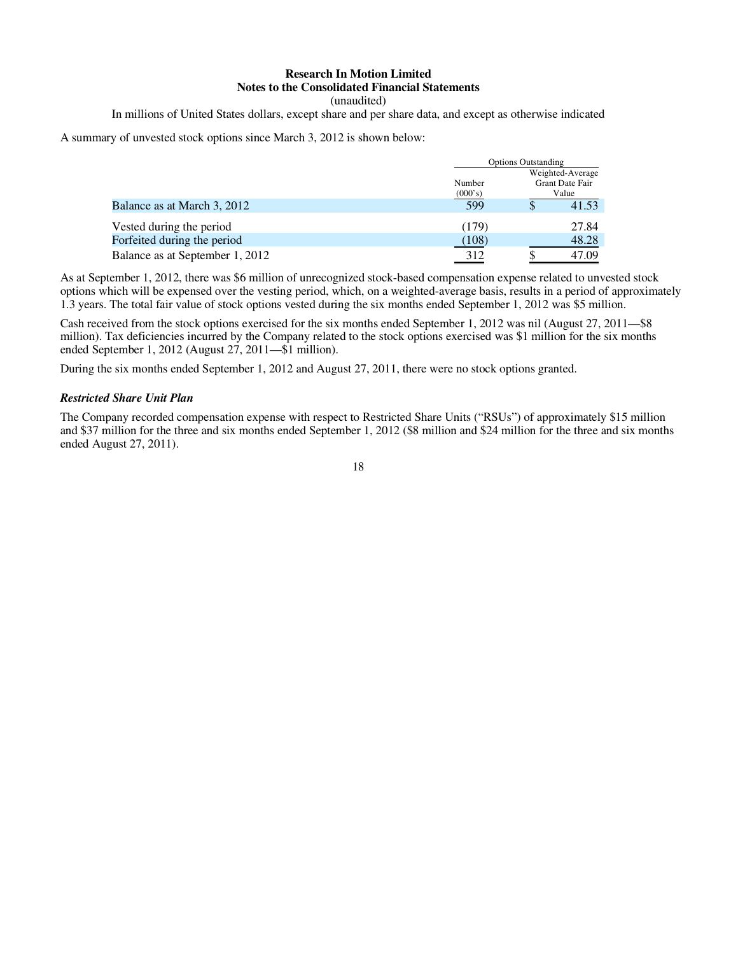(unaudited)

In millions of United States dollars, except share and per share data, and except as otherwise indicated

#### A summary of unvested stock options since March 3, 2012 is shown below:

|                                 |                   | <b>Options Outstanding</b> |                                              |  |
|---------------------------------|-------------------|----------------------------|----------------------------------------------|--|
|                                 | Number<br>(000's) |                            | Weighted-Average<br>Grant Date Fair<br>Value |  |
| Balance as at March 3, 2012     | 599               |                            | 41.53                                        |  |
| Vested during the period        | (179)             |                            | 27.84                                        |  |
| Forfeited during the period     | (108)             |                            | 48.28                                        |  |
| Balance as at September 1, 2012 | 312               |                            | 47.09                                        |  |

As at September 1, 2012, there was \$6 million of unrecognized stock-based compensation expense related to unvested stock options which will be expensed over the vesting period, which, on a weighted-average basis, results in a period of approximately 1.3 years. The total fair value of stock options vested during the six months ended September 1, 2012 was \$5 million.

Cash received from the stock options exercised for the six months ended September 1, 2012 was nil (August 27, 2011—\$8 million). Tax deficiencies incurred by the Company related to the stock options exercised was \$1 million for the six months ended September 1, 2012 (August 27, 2011—\$1 million).

During the six months ended September 1, 2012 and August 27, 2011, there were no stock options granted.

#### *Restricted Share Unit Plan*

The Company recorded compensation expense with respect to Restricted Share Units ("RSUs") of approximately \$15 million and \$37 million for the three and six months ended September 1, 2012 (\$8 million and \$24 million for the three and six months ended August 27, 2011).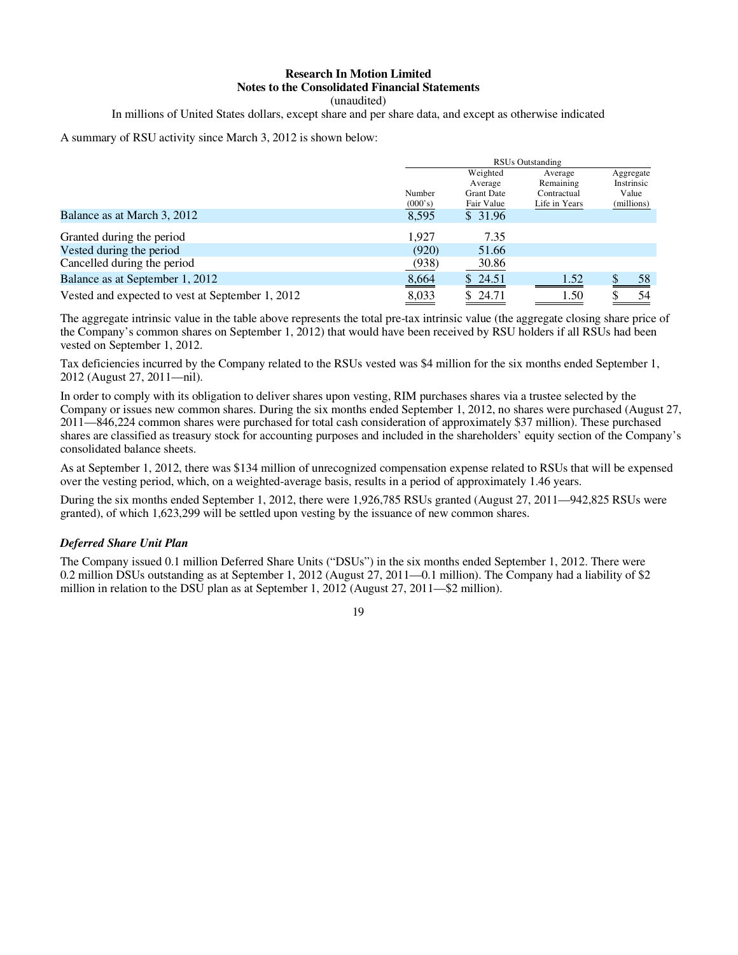(unaudited)

#### In millions of United States dollars, except share and per share data, and except as otherwise indicated

A summary of RSU activity since March 3, 2012 is shown below:

|                                                  |                   | RSUs Outstanding                |                              |                         |  |
|--------------------------------------------------|-------------------|---------------------------------|------------------------------|-------------------------|--|
|                                                  |                   | Weighted<br>Average             | Average<br>Remaining         | Aggregate<br>Instrinsic |  |
|                                                  | Number<br>(000's) | <b>Grant Date</b><br>Fair Value | Contractual<br>Life in Years | Value<br>(millions)     |  |
| Balance as at March 3, 2012                      | 8,595             | \$31.96                         |                              |                         |  |
| Granted during the period                        | 1.927             | 7.35                            |                              |                         |  |
| Vested during the period                         | (920)             | 51.66                           |                              |                         |  |
| Cancelled during the period                      | (938)             | 30.86                           |                              |                         |  |
| Balance as at September 1, 2012                  | 8,664             | \$24.51                         | 1.52                         | 58                      |  |
| Vested and expected to vest at September 1, 2012 | 8.033             | \$ 24.71                        | 1.50                         | 54                      |  |

The aggregate intrinsic value in the table above represents the total pre-tax intrinsic value (the aggregate closing share price of the Company's common shares on September 1, 2012) that would have been received by RSU holders if all RSUs had been vested on September 1, 2012.

Tax deficiencies incurred by the Company related to the RSUs vested was \$4 million for the six months ended September 1, 2012 (August 27, 2011—nil).

In order to comply with its obligation to deliver shares upon vesting, RIM purchases shares via a trustee selected by the Company or issues new common shares. During the six months ended September 1, 2012, no shares were purchased (August 27, 2011—846,224 common shares were purchased for total cash consideration of approximately \$37 million). These purchased shares are classified as treasury stock for accounting purposes and included in the shareholders' equity section of the Company's consolidated balance sheets.

As at September 1, 2012, there was \$134 million of unrecognized compensation expense related to RSUs that will be expensed over the vesting period, which, on a weighted-average basis, results in a period of approximately 1.46 years.

During the six months ended September 1, 2012, there were 1,926,785 RSUs granted (August 27, 2011—942,825 RSUs were granted), of which 1,623,299 will be settled upon vesting by the issuance of new common shares.

#### *Deferred Share Unit Plan*

The Company issued 0.1 million Deferred Share Units ("DSUs") in the six months ended September 1, 2012. There were 0.2 million DSUs outstanding as at September 1, 2012 (August 27, 2011—0.1 million). The Company had a liability of \$2 million in relation to the DSU plan as at September 1, 2012 (August 27, 2011—\$2 million).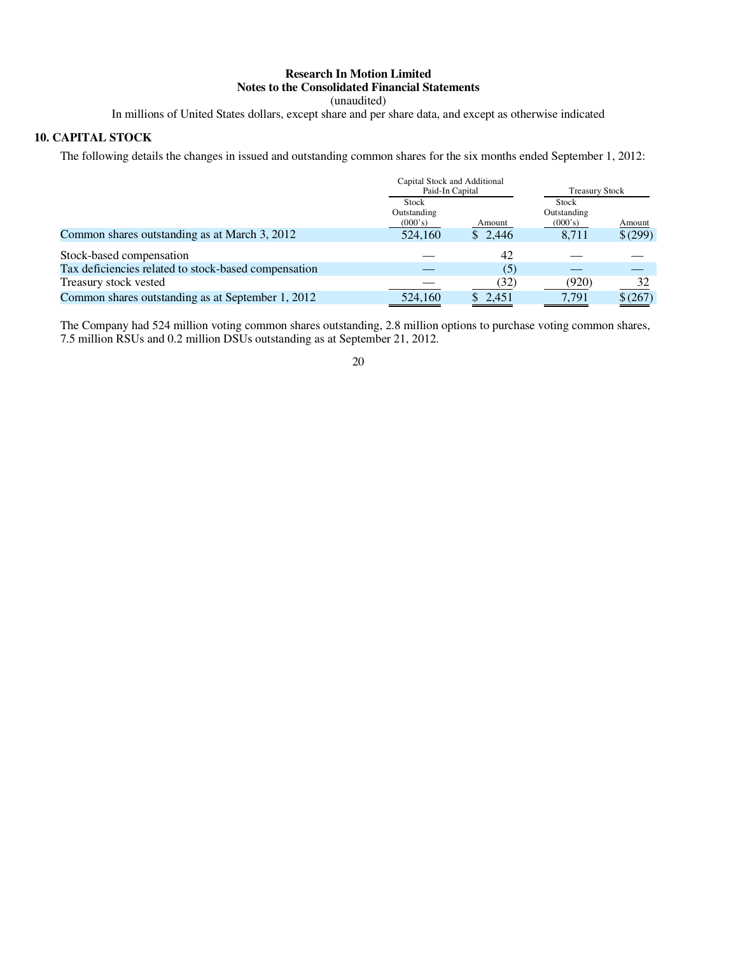(unaudited)

In millions of United States dollars, except share and per share data, and except as otherwise indicated

### **10. CAPITAL STOCK**

The following details the changes in issued and outstanding common shares for the six months ended September 1, 2012:

|                                                      |                                        | Capital Stock and Additional<br>Paid-In Capital |                                        | <b>Treasury Stock</b> |  |  |
|------------------------------------------------------|----------------------------------------|-------------------------------------------------|----------------------------------------|-----------------------|--|--|
|                                                      | <b>Stock</b><br>Outstanding<br>(000's) | Amount                                          | <b>Stock</b><br>Outstanding<br>(000's) | Amount                |  |  |
| Common shares outstanding as at March 3, 2012        | 524,160                                | \$2,446                                         | 8.711                                  | \$(299)               |  |  |
| Stock-based compensation                             |                                        | 42                                              |                                        |                       |  |  |
| Tax deficiencies related to stock-based compensation |                                        | (5)                                             |                                        |                       |  |  |
| Treasury stock vested                                |                                        | (32)                                            | (920)                                  | 32                    |  |  |
| Common shares outstanding as at September 1, 2012    | 524,160                                | \$2.451                                         | 7.791                                  | \$(267)               |  |  |

The Company had 524 million voting common shares outstanding, 2.8 million options to purchase voting common shares, 7.5 million RSUs and 0.2 million DSUs outstanding as at September 21, 2012.

<sup>20</sup>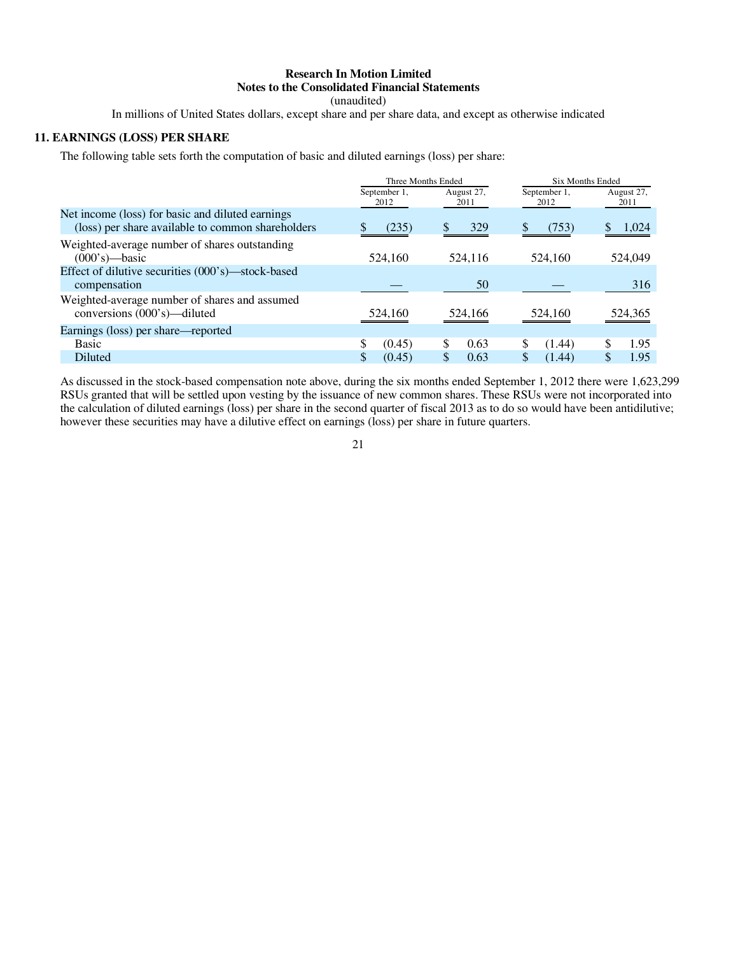(unaudited)

In millions of United States dollars, except share and per share data, and except as otherwise indicated

#### **11. EARNINGS (LOSS) PER SHARE**

The following table sets forth the computation of basic and diluted earnings (loss) per share:

|                                                                                                       |                      | Three Months Ended |                      | Six Months Ended   |
|-------------------------------------------------------------------------------------------------------|----------------------|--------------------|----------------------|--------------------|
|                                                                                                       | September 1,<br>2012 | August 27,<br>2011 | September 1,<br>2012 | August 27,<br>2011 |
| Net income (loss) for basic and diluted earnings<br>(loss) per share available to common shareholders | (235)                | \$<br>329          | \$<br>(753)          | 1,024              |
| Weighted-average number of shares outstanding<br>$(000)$ 's)—basic                                    | 524,160              | 524.116            | 524,160              | 524,049            |
| Effect of dilutive securities (000's)—stock-based<br>compensation                                     |                      | 50                 |                      | 316                |
| Weighted-average number of shares and assumed<br>conversions $(000's)$ —diluted                       | 524,160              | 524,166            | 524,160              | 524,365            |
| Earnings (loss) per share—reported                                                                    |                      |                    |                      |                    |
| <b>Basic</b>                                                                                          | \$<br>(0.45)         | \$<br>0.63         | \$<br>(1.44)         | 1.95               |
| Diluted                                                                                               | \$<br>(0.45)         | \$<br>0.63         | \$<br>(1.44)         | 1.95               |

As discussed in the stock-based compensation note above, during the six months ended September 1, 2012 there were 1,623,299 RSUs granted that will be settled upon vesting by the issuance of new common shares. These RSUs were not incorporated into the calculation of diluted earnings (loss) per share in the second quarter of fiscal 2013 as to do so would have been antidilutive; however these securities may have a dilutive effect on earnings (loss) per share in future quarters.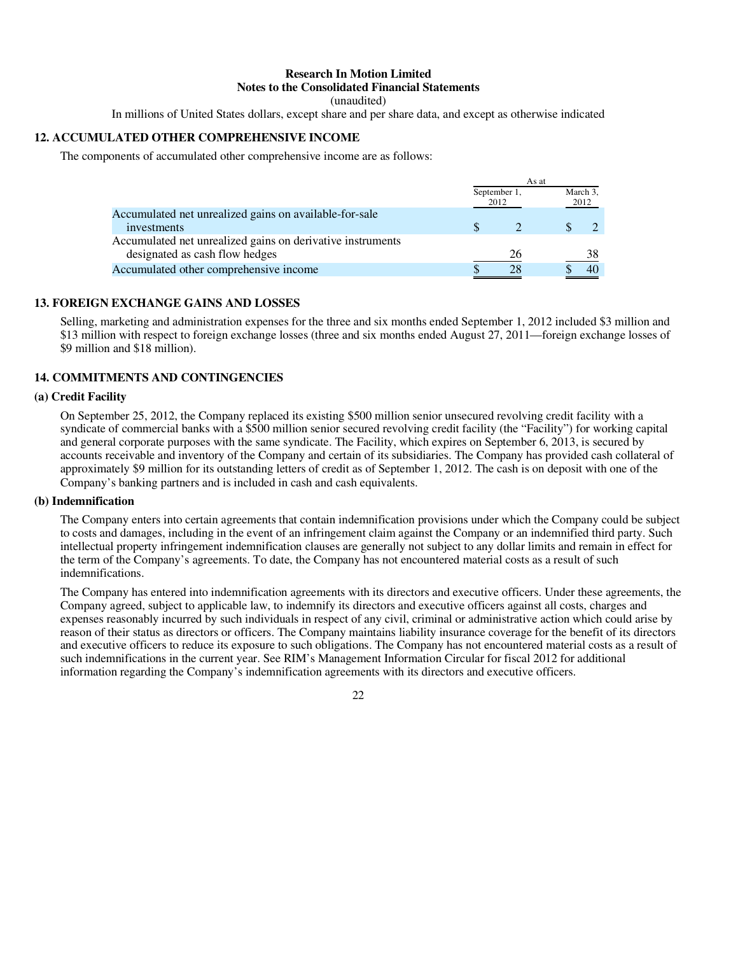(unaudited)

In millions of United States dollars, except share and per share data, and except as otherwise indicated

## **12. ACCUMULATED OTHER COMPREHENSIVE INCOME**

The components of accumulated other comprehensive income are as follows:

|                                                                                              | As at                |                  |  |  |
|----------------------------------------------------------------------------------------------|----------------------|------------------|--|--|
|                                                                                              | September 1,<br>2012 | March 3,<br>2012 |  |  |
| Accumulated net unrealized gains on available-for-sale<br>investments                        |                      |                  |  |  |
| Accumulated net unrealized gains on derivative instruments<br>designated as cash flow hedges |                      | 26               |  |  |
| Accumulated other comprehensive income                                                       |                      |                  |  |  |

#### **13. FOREIGN EXCHANGE GAINS AND LOSSES**

Selling, marketing and administration expenses for the three and six months ended September 1, 2012 included \$3 million and \$13 million with respect to foreign exchange losses (three and six months ended August 27, 2011—foreign exchange losses of \$9 million and \$18 million).

## **14. COMMITMENTS AND CONTINGENCIES**

#### **(a) Credit Facility**

On September 25, 2012, the Company replaced its existing \$500 million senior unsecured revolving credit facility with a syndicate of commercial banks with a \$500 million senior secured revolving credit facility (the "Facility") for working capital and general corporate purposes with the same syndicate. The Facility, which expires on September 6, 2013, is secured by accounts receivable and inventory of the Company and certain of its subsidiaries. The Company has provided cash collateral of approximately \$9 million for its outstanding letters of credit as of September 1, 2012. The cash is on deposit with one of the Company's banking partners and is included in cash and cash equivalents.

#### **(b) Indemnification**

The Company enters into certain agreements that contain indemnification provisions under which the Company could be subject to costs and damages, including in the event of an infringement claim against the Company or an indemnified third party. Such intellectual property infringement indemnification clauses are generally not subject to any dollar limits and remain in effect for the term of the Company's agreements. To date, the Company has not encountered material costs as a result of such indemnifications.

The Company has entered into indemnification agreements with its directors and executive officers. Under these agreements, the Company agreed, subject to applicable law, to indemnify its directors and executive officers against all costs, charges and expenses reasonably incurred by such individuals in respect of any civil, criminal or administrative action which could arise by reason of their status as directors or officers. The Company maintains liability insurance coverage for the benefit of its directors and executive officers to reduce its exposure to such obligations. The Company has not encountered material costs as a result of such indemnifications in the current year. See RIM's Management Information Circular for fiscal 2012 for additional information regarding the Company's indemnification agreements with its directors and executive officers.

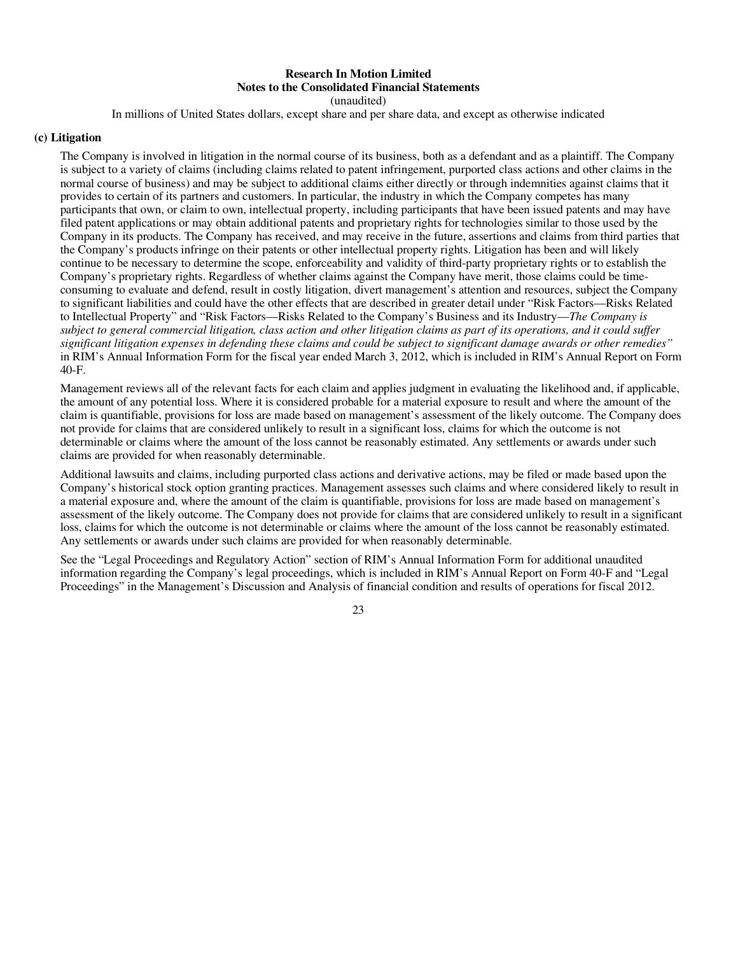(unaudited)

In millions of United States dollars, except share and per share data, and except as otherwise indicated

#### **(c) Litigation**

The Company is involved in litigation in the normal course of its business, both as a defendant and as a plaintiff. The Company is subject to a variety of claims (including claims related to patent infringement, purported class actions and other claims in the normal course of business) and may be subject to additional claims either directly or through indemnities against claims that it provides to certain of its partners and customers. In particular, the industry in which the Company competes has many participants that own, or claim to own, intellectual property, including participants that have been issued patents and may have filed patent applications or may obtain additional patents and proprietary rights for technologies similar to those used by the Company in its products. The Company has received, and may receive in the future, assertions and claims from third parties that the Company's products infringe on their patents or other intellectual property rights. Litigation has been and will likely continue to be necessary to determine the scope, enforceability and validity of third-party proprietary rights or to establish the Company's proprietary rights. Regardless of whether claims against the Company have merit, those claims could be timeconsuming to evaluate and defend, result in costly litigation, divert management's attention and resources, subject the Company to significant liabilities and could have the other effects that are described in greater detail under "Risk Factors—Risks Related to Intellectual Property" and "Risk Factors—Risks Related to the Company's Business and its Industry—*The Company is subject to general commercial litigation, class action and other litigation claims as part of its operations, and it could suffer significant litigation expenses in defending these claims and could be subject to significant damage awards or other remedies"*  in RIM's Annual Information Form for the fiscal year ended March 3, 2012, which is included in RIM's Annual Report on Form 40-F.

Management reviews all of the relevant facts for each claim and applies judgment in evaluating the likelihood and, if applicable, the amount of any potential loss. Where it is considered probable for a material exposure to result and where the amount of the claim is quantifiable, provisions for loss are made based on management's assessment of the likely outcome. The Company does not provide for claims that are considered unlikely to result in a significant loss, claims for which the outcome is not determinable or claims where the amount of the loss cannot be reasonably estimated. Any settlements or awards under such claims are provided for when reasonably determinable.

Additional lawsuits and claims, including purported class actions and derivative actions, may be filed or made based upon the Company's historical stock option granting practices. Management assesses such claims and where considered likely to result in a material exposure and, where the amount of the claim is quantifiable, provisions for loss are made based on management's assessment of the likely outcome. The Company does not provide for claims that are considered unlikely to result in a significant loss, claims for which the outcome is not determinable or claims where the amount of the loss cannot be reasonably estimated. Any settlements or awards under such claims are provided for when reasonably determinable.

See the "Legal Proceedings and Regulatory Action" section of RIM's Annual Information Form for additional unaudited information regarding the Company's legal proceedings, which is included in RIM's Annual Report on Form 40-F and "Legal Proceedings" in the Management's Discussion and Analysis of financial condition and results of operations for fiscal 2012.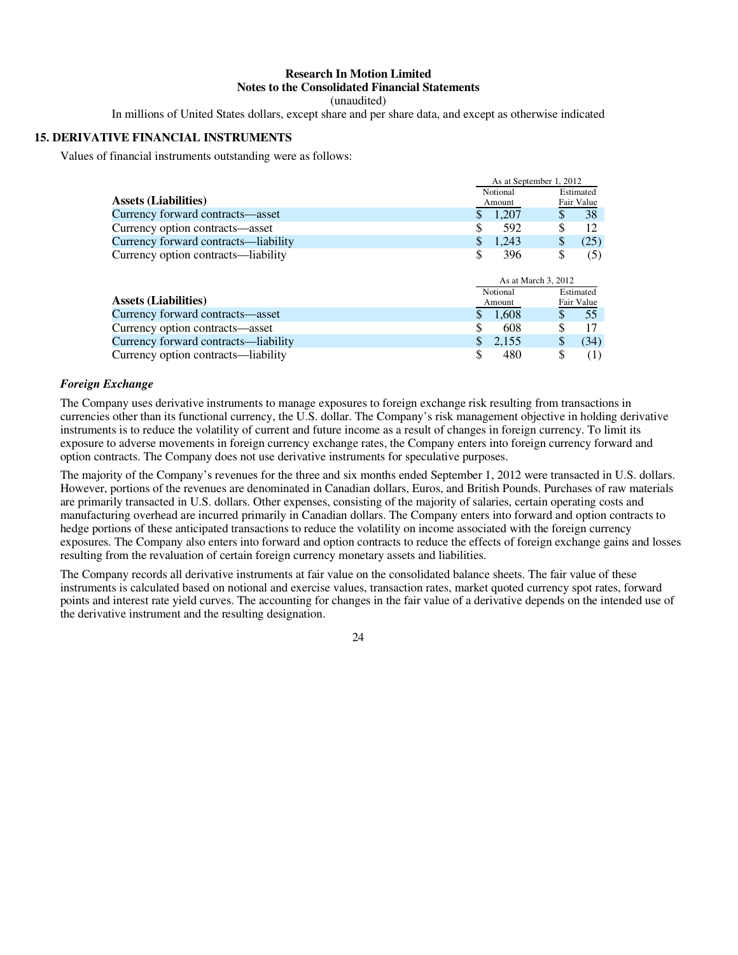(unaudited)

In millions of United States dollars, except share and per share data, and except as otherwise indicated

#### **15. DERIVATIVE FINANCIAL INSTRUMENTS**

Values of financial instruments outstanding were as follows:

|                                      |   | As at September 1, 2012 |                     |            |  |
|--------------------------------------|---|-------------------------|---------------------|------------|--|
|                                      |   | Notional                |                     | Estimated  |  |
| <b>Assets (Liabilities)</b>          |   | Amount                  |                     | Fair Value |  |
| Currency forward contracts—asset     |   | 1.207                   | \$                  | 38         |  |
| Currency option contracts—asset      |   | 592                     | S                   | 12         |  |
| Currency forward contracts—liability | S | 1.243                   | \$                  | (25)       |  |
| Currency option contracts—liability  |   | 396                     | \$                  | (5)        |  |
|                                      |   |                         | As at March 3, 2012 |            |  |
|                                      |   | Notional                |                     | Estimated  |  |
| <b>Assets (Liabilities)</b>          |   | Amount                  |                     | Fair Value |  |
| Currency forward contracts—asset     |   | 1,608                   | S                   | 55         |  |
| Currency option contracts—asset      |   | 608                     | \$                  | 17         |  |
| Currency forward contracts—liability |   | 2,155                   | \$                  | (34)       |  |
| Currency option contracts—liability  |   | 480                     | \$                  | (1)        |  |

#### *Foreign Exchange*

The Company uses derivative instruments to manage exposures to foreign exchange risk resulting from transactions in currencies other than its functional currency, the U.S. dollar. The Company's risk management objective in holding derivative instruments is to reduce the volatility of current and future income as a result of changes in foreign currency. To limit its exposure to adverse movements in foreign currency exchange rates, the Company enters into foreign currency forward and option contracts. The Company does not use derivative instruments for speculative purposes.

The majority of the Company's revenues for the three and six months ended September 1, 2012 were transacted in U.S. dollars. However, portions of the revenues are denominated in Canadian dollars, Euros, and British Pounds. Purchases of raw materials are primarily transacted in U.S. dollars. Other expenses, consisting of the majority of salaries, certain operating costs and manufacturing overhead are incurred primarily in Canadian dollars. The Company enters into forward and option contracts to hedge portions of these anticipated transactions to reduce the volatility on income associated with the foreign currency exposures. The Company also enters into forward and option contracts to reduce the effects of foreign exchange gains and losses resulting from the revaluation of certain foreign currency monetary assets and liabilities.

The Company records all derivative instruments at fair value on the consolidated balance sheets. The fair value of these instruments is calculated based on notional and exercise values, transaction rates, market quoted currency spot rates, forward points and interest rate yield curves. The accounting for changes in the fair value of a derivative depends on the intended use of the derivative instrument and the resulting designation.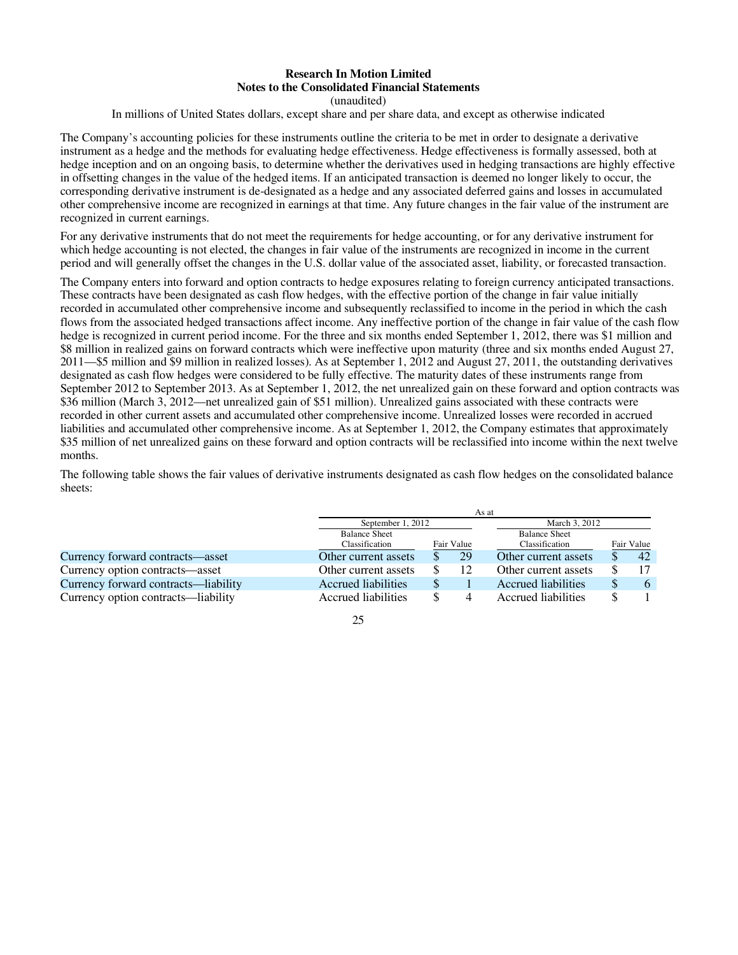(unaudited)

In millions of United States dollars, except share and per share data, and except as otherwise indicated

The Company's accounting policies for these instruments outline the criteria to be met in order to designate a derivative instrument as a hedge and the methods for evaluating hedge effectiveness. Hedge effectiveness is formally assessed, both at hedge inception and on an ongoing basis, to determine whether the derivatives used in hedging transactions are highly effective in offsetting changes in the value of the hedged items. If an anticipated transaction is deemed no longer likely to occur, the corresponding derivative instrument is de-designated as a hedge and any associated deferred gains and losses in accumulated other comprehensive income are recognized in earnings at that time. Any future changes in the fair value of the instrument are recognized in current earnings.

For any derivative instruments that do not meet the requirements for hedge accounting, or for any derivative instrument for which hedge accounting is not elected, the changes in fair value of the instruments are recognized in income in the current period and will generally offset the changes in the U.S. dollar value of the associated asset, liability, or forecasted transaction.

The Company enters into forward and option contracts to hedge exposures relating to foreign currency anticipated transactions. These contracts have been designated as cash flow hedges, with the effective portion of the change in fair value initially recorded in accumulated other comprehensive income and subsequently reclassified to income in the period in which the cash flows from the associated hedged transactions affect income. Any ineffective portion of the change in fair value of the cash flow hedge is recognized in current period income. For the three and six months ended September 1, 2012, there was \$1 million and \$8 million in realized gains on forward contracts which were ineffective upon maturity (three and six months ended August 27, 2011—\$5 million and \$9 million in realized losses). As at September 1, 2012 and August 27, 2011, the outstanding derivatives designated as cash flow hedges were considered to be fully effective. The maturity dates of these instruments range from September 2012 to September 2013. As at September 1, 2012, the net unrealized gain on these forward and option contracts was \$36 million (March 3, 2012—net unrealized gain of \$51 million). Unrealized gains associated with these contracts were recorded in other current assets and accumulated other comprehensive income. Unrealized losses were recorded in accrued liabilities and accumulated other comprehensive income. As at September 1, 2012, the Company estimates that approximately \$35 million of net unrealized gains on these forward and option contracts will be reclassified into income within the next twelve months.

The following table shows the fair values of derivative instruments designated as cash flow hedges on the consolidated balance sheets:

|                                      | As at                                  |  |            |                                        |  |            |
|--------------------------------------|----------------------------------------|--|------------|----------------------------------------|--|------------|
|                                      | September 1, 2012                      |  |            | March 3, 2012                          |  |            |
|                                      | <b>Balance Sheet</b><br>Classification |  | Fair Value | <b>Balance Sheet</b><br>Classification |  | Fair Value |
| Currency forward contracts—asset     | Other current assets                   |  | 29         | Other current assets                   |  | 42         |
| Currency option contracts—asset      | Other current assets                   |  |            | Other current assets                   |  |            |
| Currency forward contracts—liability | <b>Accrued liabilities</b>             |  |            | Accrued liabilities                    |  | O          |
| Currency option contracts—liability  | Accrued liabilities                    |  |            | Accrued liabilities                    |  |            |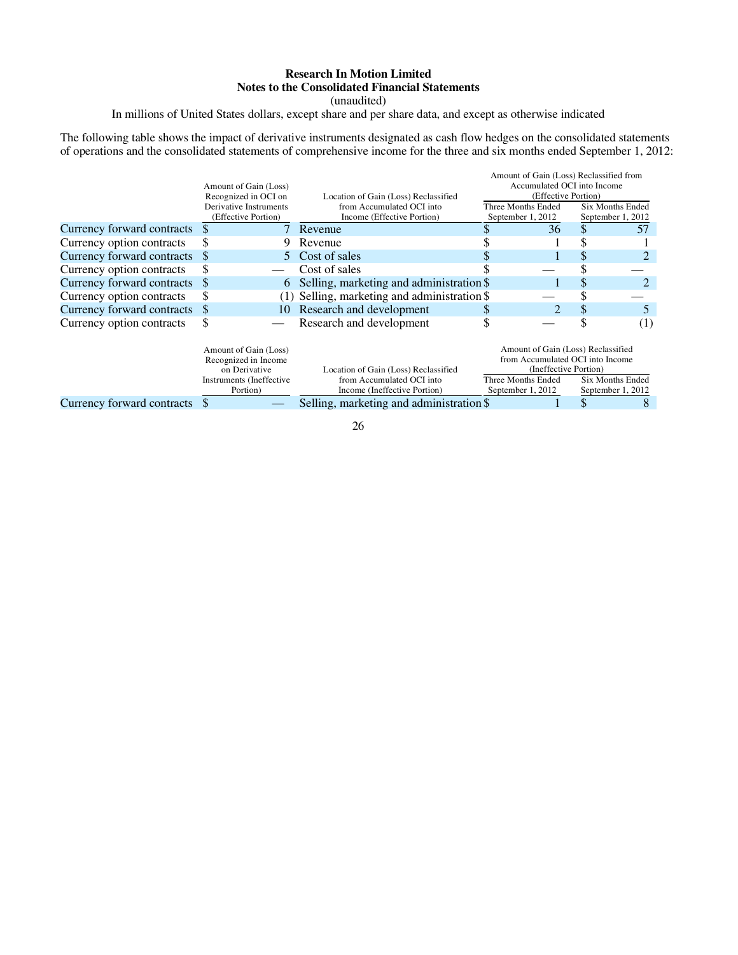(unaudited)

In millions of United States dollars, except share and per share data, and except as otherwise indicated

The following table shows the impact of derivative instruments designated as cash flow hedges on the consolidated statements of operations and the consolidated statements of comprehensive income for the three and six months ended September 1, 2012:

|                            |                                                                |                                                         | Amount of Gain (Loss) Reclassified from                   |                                              |
|----------------------------|----------------------------------------------------------------|---------------------------------------------------------|-----------------------------------------------------------|----------------------------------------------|
|                            | Amount of Gain (Loss)<br>Recognized in OCI on                  | Location of Gain (Loss) Reclassified                    | Accumulated OCI into Income<br>(Effective Portion)        |                                              |
|                            | Derivative Instruments<br>(Effective Portion)                  | from Accumulated OCI into<br>Income (Effective Portion) | Three Months Ended<br>September 1, 2012                   | <b>Six Months Ended</b><br>September 1, 2012 |
| Currency forward contracts | <b>S</b>                                                       | Revenue                                                 | 36                                                        | 57                                           |
| Currency option contracts  | S<br>9                                                         | Revenue                                                 |                                                           |                                              |
| Currency forward contracts |                                                                | 5 Cost of sales                                         |                                                           |                                              |
| Currency option contracts  | \$                                                             | Cost of sales                                           |                                                           |                                              |
| Currency forward contracts | S<br>$\epsilon$                                                | Selling, marketing and administration \$                |                                                           |                                              |
| Currency option contracts  | \$<br>(1)                                                      | Selling, marketing and administration \$                |                                                           |                                              |
| Currency forward contracts | S<br>10                                                        | Research and development                                | $\overline{2}$                                            |                                              |
| Currency option contracts  | \$                                                             | Research and development                                | J                                                         | (1)                                          |
|                            | Amount of Gain (Loss)<br>Recognized in Income<br>on Derivative | Location of Gain (Loss) Reclassified                    | from Accumulated OCI into Income<br>(Ineffective Portion) | Amount of Gain (Loss) Reclassified           |
|                            | Instruments (Ineffective                                       | from Accumulated OCI into                               | Three Months Ended                                        | Six Months Ended                             |
|                            | Portion)                                                       | Income (Ineffective Portion)                            | September 1, 2012                                         | September 1, 2012                            |
| Currency forward contracts | $\mathbb{S}$                                                   | Selling, marketing and administration \$                |                                                           | 8                                            |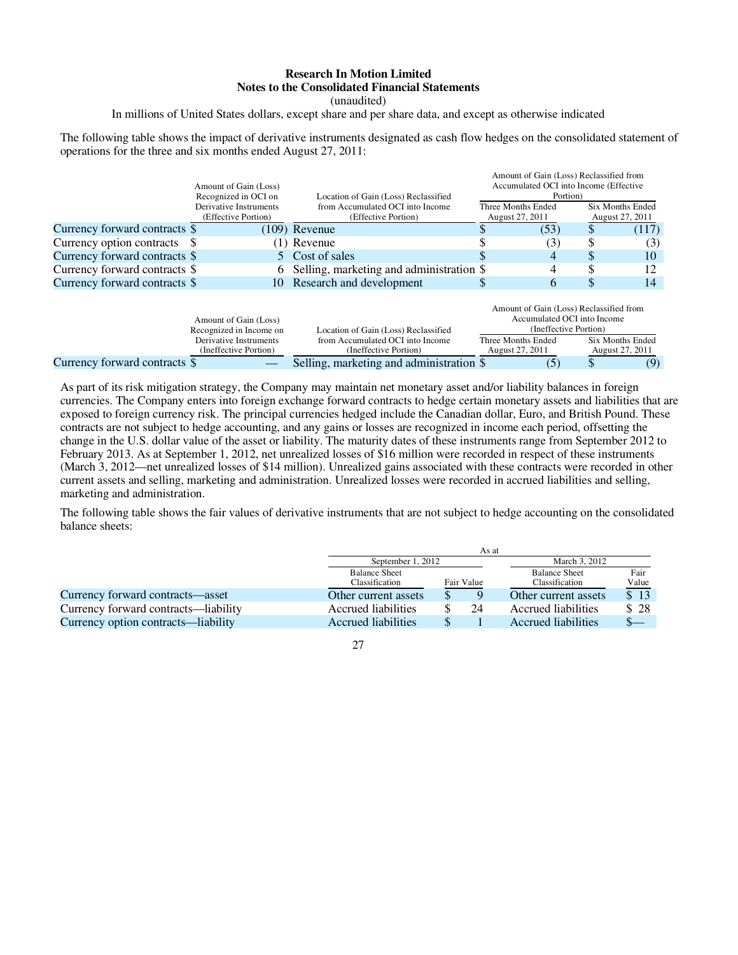(unaudited)

In millions of United States dollars, except share and per share data, and except as otherwise indicated

The following table shows the impact of derivative instruments designated as cash flow hedges on the consolidated statement of operations for the three and six months ended August 27, 2011:

|                               | Amount of Gain (Loss)                         |                                                         |                                       | Amount of Gain (Loss) Reclassified from<br>Accumulated OCI into Income (Effective) |   |                                            |
|-------------------------------|-----------------------------------------------|---------------------------------------------------------|---------------------------------------|------------------------------------------------------------------------------------|---|--------------------------------------------|
|                               | Recognized in OCI on                          | Location of Gain (Loss) Reclassified                    |                                       | Portion)                                                                           |   |                                            |
|                               | Derivative Instruments<br>(Effective Portion) | from Accumulated OCI into Income<br>(Effective Portion) | Three Months Ended<br>August 27, 2011 |                                                                                    |   | <b>Six Months Ended</b><br>August 27, 2011 |
| Currency forward contracts \$ |                                               | 109) Revenue                                            |                                       | (53)                                                                               | Φ | (117)                                      |
| Currency option contracts \$  |                                               | (1) Revenue                                             |                                       | (3)                                                                                |   | (3)                                        |
| Currency forward contracts \$ |                                               | 5 Cost of sales                                         |                                       |                                                                                    | Φ | 10                                         |
| Currency forward contracts \$ |                                               | 6 Selling, marketing and administration \$              |                                       |                                                                                    |   |                                            |
| Currency forward contracts \$ |                                               | 10 Research and development                             |                                       |                                                                                    | Φ | 14                                         |
|                               |                                               |                                                         |                                       |                                                                                    |   |                                            |

|                               |                         |                                          | Amount of Gain (Loss) Reclassified from |                       |                  |
|-------------------------------|-------------------------|------------------------------------------|-----------------------------------------|-----------------------|------------------|
|                               | Amount of Gain (Loss)   |                                          | Accumulated OCI into Income             |                       |                  |
|                               | Recognized in Income on | Location of Gain (Loss) Reclassified     |                                         | (Ineffective Portion) |                  |
|                               | Derivative Instruments  | from Accumulated OCI into Income         | Three Months Ended                      |                       | Six Months Ended |
|                               | (Ineffective Portion)   | (Ineffective Portion)                    | August 27, 2011                         |                       | August 27, 2011  |
| Currency forward contracts \$ |                         | Selling, marketing and administration \$ |                                         |                       | (9)              |

As part of its risk mitigation strategy, the Company may maintain net monetary asset and/or liability balances in foreign currencies. The Company enters into foreign exchange forward contracts to hedge certain monetary assets and liabilities that are exposed to foreign currency risk. The principal currencies hedged include the Canadian dollar, Euro, and British Pound. These contracts are not subject to hedge accounting, and any gains or losses are recognized in income each period, offsetting the change in the U.S. dollar value of the asset or liability. The maturity dates of these instruments range from September 2012 to February 2013. As at September 1, 2012, net unrealized losses of \$16 million were recorded in respect of these instruments (March 3, 2012—net unrealized losses of \$14 million). Unrealized gains associated with these contracts were recorded in other current assets and selling, marketing and administration. Unrealized losses were recorded in accrued liabilities and selling, marketing and administration.

The following table shows the fair values of derivative instruments that are not subject to hedge accounting on the consolidated balance sheets:

|                                      |                            | As at             |            |                      |       |  |
|--------------------------------------|----------------------------|-------------------|------------|----------------------|-------|--|
|                                      |                            | September 1, 2012 |            |                      |       |  |
|                                      | <b>Balance Sheet</b>       |                   |            | <b>Balance Sheet</b> | Fair  |  |
|                                      | Classification             |                   | Fair Value | Classification       | Value |  |
| Currency forward contracts—asset     | Other current assets       |                   |            | Other current assets | \$13  |  |
| Currency forward contracts—liability | <b>Accrued liabilities</b> |                   | 24         | Accrued liabilities  | \$ 28 |  |
| Currency option contracts—liability  | Accrued liabilities        |                   |            | Accrued liabilities  |       |  |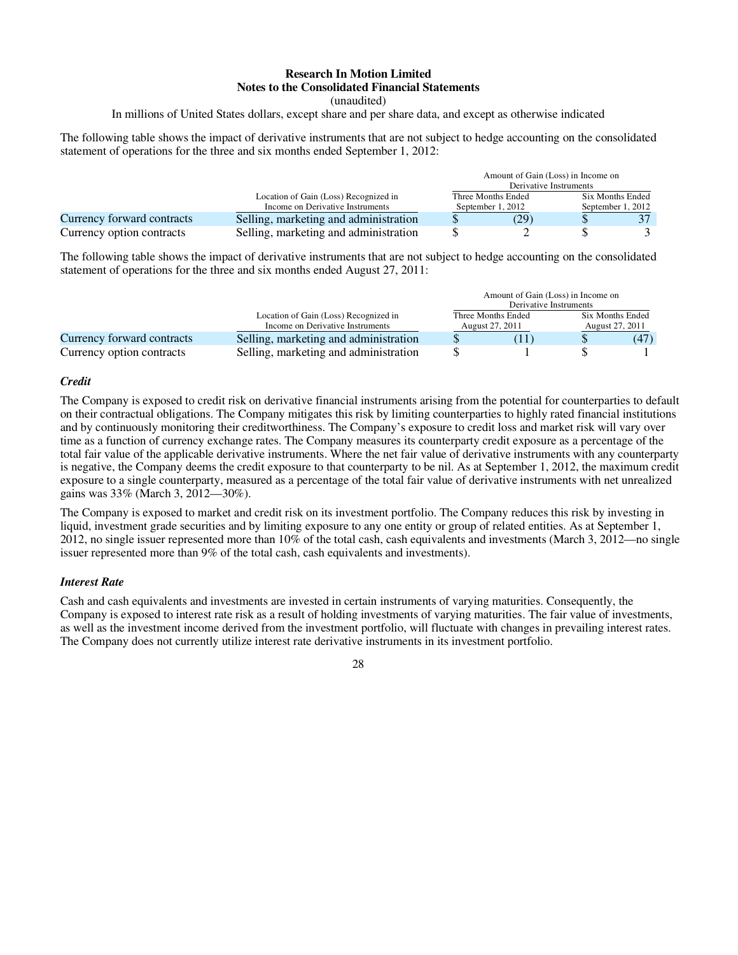(unaudited)

In millions of United States dollars, except share and per share data, and except as otherwise indicated

The following table shows the impact of derivative instruments that are not subject to hedge accounting on the consolidated statement of operations for the three and six months ended September 1, 2012:

|                            |                                                                           |                                         | Amount of Gain (Loss) in Income on<br>Derivative Instruments |                                       |  |  |
|----------------------------|---------------------------------------------------------------------------|-----------------------------------------|--------------------------------------------------------------|---------------------------------------|--|--|
|                            | Location of Gain (Loss) Recognized in<br>Income on Derivative Instruments | Three Months Ended<br>September 1, 2012 |                                                              | Six Months Ended<br>September 1, 2012 |  |  |
| Currency forward contracts | Selling, marketing and administration                                     | (29)                                    |                                                              |                                       |  |  |
| Currency option contracts  | Selling, marketing and administration                                     |                                         |                                                              |                                       |  |  |

The following table shows the impact of derivative instruments that are not subject to hedge accounting on the consolidated statement of operations for the three and six months ended August 27, 2011:

|                                  |                                       | Amount of Gain (Loss) in Income on |                        |  |                  |  |  |
|----------------------------------|---------------------------------------|------------------------------------|------------------------|--|------------------|--|--|
|                                  |                                       |                                    | Derivative Instruments |  |                  |  |  |
|                                  | Location of Gain (Loss) Recognized in |                                    | Three Months Ended     |  | Six Months Ended |  |  |
| Income on Derivative Instruments |                                       |                                    | August 27, 2011        |  | August 27, 2011  |  |  |
| Currency forward contracts       | Selling, marketing and administration |                                    |                        |  | (47              |  |  |
| Currency option contracts        | Selling, marketing and administration |                                    |                        |  |                  |  |  |

#### *Credit*

The Company is exposed to credit risk on derivative financial instruments arising from the potential for counterparties to default on their contractual obligations. The Company mitigates this risk by limiting counterparties to highly rated financial institutions and by continuously monitoring their creditworthiness. The Company's exposure to credit loss and market risk will vary over time as a function of currency exchange rates. The Company measures its counterparty credit exposure as a percentage of the total fair value of the applicable derivative instruments. Where the net fair value of derivative instruments with any counterparty is negative, the Company deems the credit exposure to that counterparty to be nil. As at September 1, 2012, the maximum credit exposure to a single counterparty, measured as a percentage of the total fair value of derivative instruments with net unrealized gains was 33% (March 3, 2012—30%).

The Company is exposed to market and credit risk on its investment portfolio. The Company reduces this risk by investing in liquid, investment grade securities and by limiting exposure to any one entity or group of related entities. As at September 1, 2012, no single issuer represented more than 10% of the total cash, cash equivalents and investments (March 3, 2012—no single issuer represented more than 9% of the total cash, cash equivalents and investments).

#### *Interest Rate*

Cash and cash equivalents and investments are invested in certain instruments of varying maturities. Consequently, the Company is exposed to interest rate risk as a result of holding investments of varying maturities. The fair value of investments, as well as the investment income derived from the investment portfolio, will fluctuate with changes in prevailing interest rates. The Company does not currently utilize interest rate derivative instruments in its investment portfolio.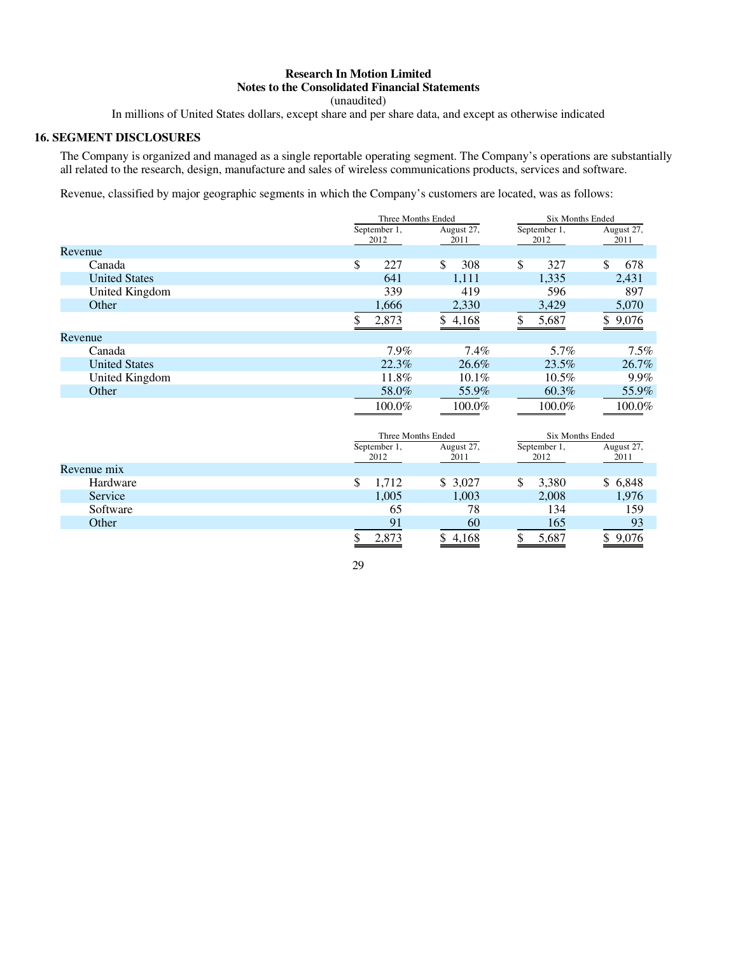(unaudited)

In millions of United States dollars, except share and per share data, and except as otherwise indicated

## **16. SEGMENT DISCLOSURES**

The Company is organized and managed as a single reportable operating segment. The Company's operations are substantially all related to the research, design, manufacture and sales of wireless communications products, services and software.

Revenue, classified by major geographic segments in which the Company's customers are located, was as follows:

|                      |                      | Three Months Ended |    |                                            | <b>Six Months Ended</b> |          |                    |           |
|----------------------|----------------------|--------------------|----|--------------------------------------------|-------------------------|----------|--------------------|-----------|
|                      | September 1,<br>2012 |                    |    | August 27,<br>September 1,<br>2011<br>2012 |                         |          | August 27,<br>2011 |           |
| Revenue              |                      |                    |    |                                            |                         |          |                    |           |
| Canada               | \$                   | 227                | \$ | 308                                        | \$                      | 327      | \$                 | 678       |
| <b>United States</b> |                      | 641                |    | 1,111                                      |                         | 1,335    |                    | 2,431     |
| United Kingdom       |                      | 339                |    | 419                                        |                         | 596      |                    | 897       |
| Other                |                      | 1,666              |    | 2,330                                      |                         | 3,429    |                    | 5,070     |
|                      |                      | 2,873              |    | 4,168                                      |                         | 5,687    |                    | \$9,076   |
| Revenue              |                      |                    |    |                                            |                         |          |                    |           |
| Canada               |                      | $7.9\%$            |    | $7.4\%$                                    |                         | 5.7%     |                    | $7.5\%$   |
| <b>United States</b> |                      | 22.3%              |    | 26.6%                                      |                         | 23.5%    |                    | 26.7%     |
| United Kingdom       |                      | 11.8%              |    | $10.1\%$                                   |                         | $10.5\%$ |                    | $9.9\%$   |
| Other                |                      | 58.0%              |    | 55.9%                                      |                         | 60.3%    |                    | 55.9%     |
|                      |                      | 100.0%             |    | 100.0%                                     |                         | 100.0%   |                    | $100.0\%$ |

|             | Three Months Ended   |                    | Six Months Ended     |                    |
|-------------|----------------------|--------------------|----------------------|--------------------|
|             | September 1,<br>2012 | August 27,<br>2011 | September 1,<br>2012 | August 27,<br>2011 |
| Revenue mix |                      |                    |                      |                    |
| Hardware    | 1,712                | \$3,027            | 3,380                | \$6,848            |
| Service     | 1,005                | 1,003              | 2,008                | 1,976              |
| Software    | 65                   | 78                 | 134                  | 159                |
| Other       | 91                   | 60                 | 165                  | 93                 |
|             | 2.873                | 4.168              | 5,687                | 9.076              |

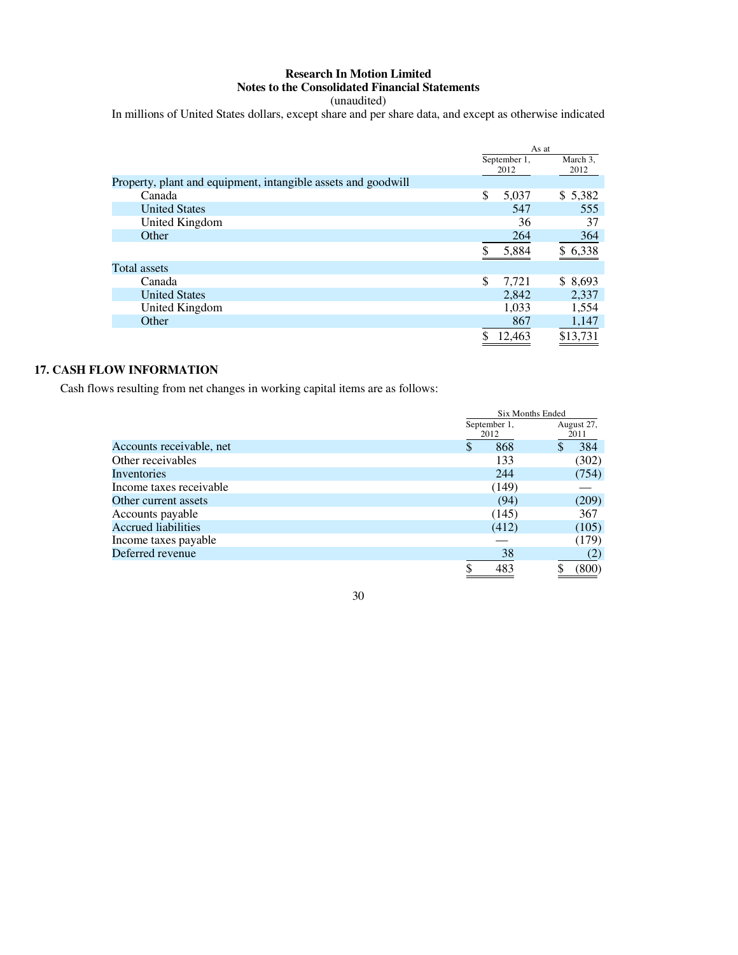(unaudited)

In millions of United States dollars, except share and per share data, and except as otherwise indicated

|                                                               | As at                |                  |  |
|---------------------------------------------------------------|----------------------|------------------|--|
|                                                               | September 1,<br>2012 | March 3,<br>2012 |  |
| Property, plant and equipment, intangible assets and goodwill |                      |                  |  |
| Canada                                                        | \$<br>5,037          | \$5,382          |  |
| <b>United States</b>                                          | 547                  | 555              |  |
| United Kingdom                                                | 36                   | 37               |  |
| Other                                                         | 264                  | 364              |  |
|                                                               | \$<br>5,884          | 6,338            |  |
| <b>Total</b> assets                                           |                      |                  |  |
| Canada                                                        | \$<br>7,721          | \$8,693          |  |
| <b>United States</b>                                          | 2,842                | 2,337            |  |
| United Kingdom                                                | 1,033                | 1,554            |  |
| Other                                                         | 867                  | 1,147            |  |
|                                                               | 12.463               | \$13,731         |  |

## **17. CASH FLOW INFORMATION**

Cash flows resulting from net changes in working capital items are as follows:

|                            | Six Months Ended     |                    |       |  |  |
|----------------------------|----------------------|--------------------|-------|--|--|
|                            | September 1,<br>2012 | August 27,<br>2011 |       |  |  |
| Accounts receivable, net   | \$<br>868            |                    | 384   |  |  |
| Other receivables          | 133                  |                    | (302) |  |  |
| Inventories                | 244                  |                    | (754) |  |  |
| Income taxes receivable    | (149)                |                    |       |  |  |
| Other current assets       | (94)                 |                    | (209) |  |  |
| Accounts payable           | (145)                |                    | 367   |  |  |
| <b>Accrued liabilities</b> | (412)                |                    | (105) |  |  |
| Income taxes payable       |                      |                    | (179) |  |  |
| Deferred revenue           | 38                   |                    | (2)   |  |  |
|                            | 483                  |                    | (800) |  |  |

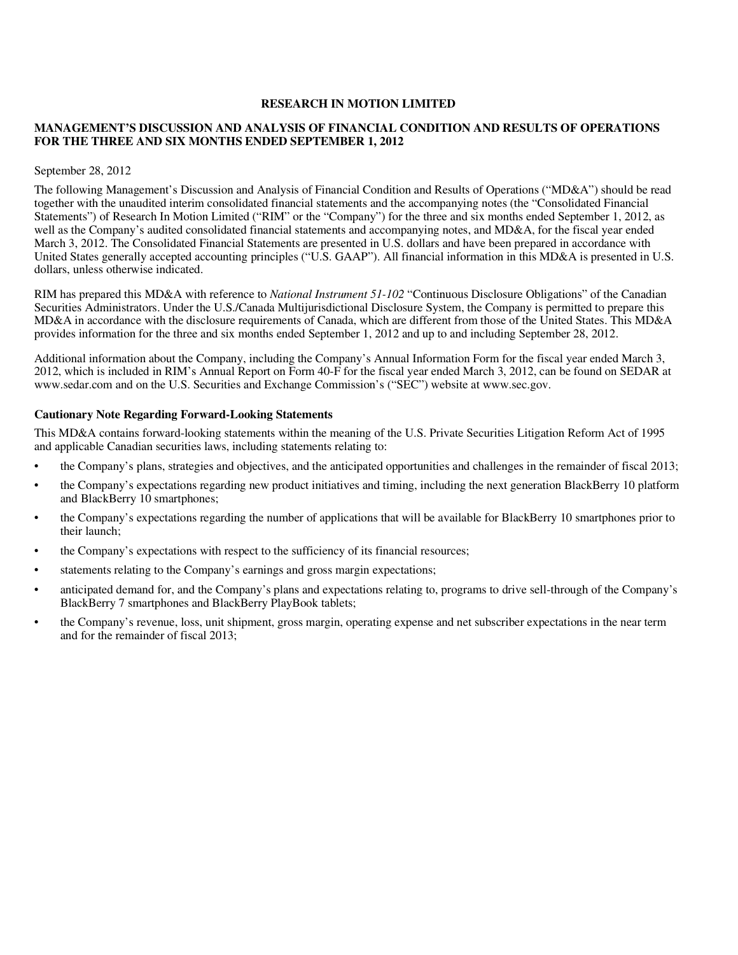### **RESEARCH IN MOTION LIMITED**

## **MANAGEMENT'S DISCUSSION AND ANALYSIS OF FINANCIAL CONDITION AND RESULTS OF OPERATIONS FOR THE THREE AND SIX MONTHS ENDED SEPTEMBER 1, 2012**

### September 28, 2012

The following Management's Discussion and Analysis of Financial Condition and Results of Operations ("MD&A") should be read together with the unaudited interim consolidated financial statements and the accompanying notes (the "Consolidated Financial Statements") of Research In Motion Limited ("RIM" or the "Company") for the three and six months ended September 1, 2012, as well as the Company's audited consolidated financial statements and accompanying notes, and MD&A, for the fiscal year ended March 3, 2012. The Consolidated Financial Statements are presented in U.S. dollars and have been prepared in accordance with United States generally accepted accounting principles ("U.S. GAAP"). All financial information in this MD&A is presented in U.S. dollars, unless otherwise indicated.

RIM has prepared this MD&A with reference to *National Instrument 51-102* "Continuous Disclosure Obligations" of the Canadian Securities Administrators. Under the U.S./Canada Multijurisdictional Disclosure System, the Company is permitted to prepare this MD&A in accordance with the disclosure requirements of Canada, which are different from those of the United States. This MD&A provides information for the three and six months ended September 1, 2012 and up to and including September 28, 2012.

Additional information about the Company, including the Company's Annual Information Form for the fiscal year ended March 3, 2012, which is included in RIM's Annual Report on Form 40-F for the fiscal year ended March 3, 2012, can be found on SEDAR at www.sedar.com and on the U.S. Securities and Exchange Commission's ("SEC") website at www.sec.gov.

## **Cautionary Note Regarding Forward-Looking Statements**

This MD&A contains forward-looking statements within the meaning of the U.S. Private Securities Litigation Reform Act of 1995 and applicable Canadian securities laws, including statements relating to:

- the Company's plans, strategies and objectives, and the anticipated opportunities and challenges in the remainder of fiscal 2013;
- the Company's expectations regarding new product initiatives and timing, including the next generation BlackBerry 10 platform and BlackBerry 10 smartphones;
- the Company's expectations regarding the number of applications that will be available for BlackBerry 10 smartphones prior to their launch;
- the Company's expectations with respect to the sufficiency of its financial resources;
- statements relating to the Company's earnings and gross margin expectations;
- anticipated demand for, and the Company's plans and expectations relating to, programs to drive sell-through of the Company's BlackBerry 7 smartphones and BlackBerry PlayBook tablets;
- the Company's revenue, loss, unit shipment, gross margin, operating expense and net subscriber expectations in the near term and for the remainder of fiscal 2013;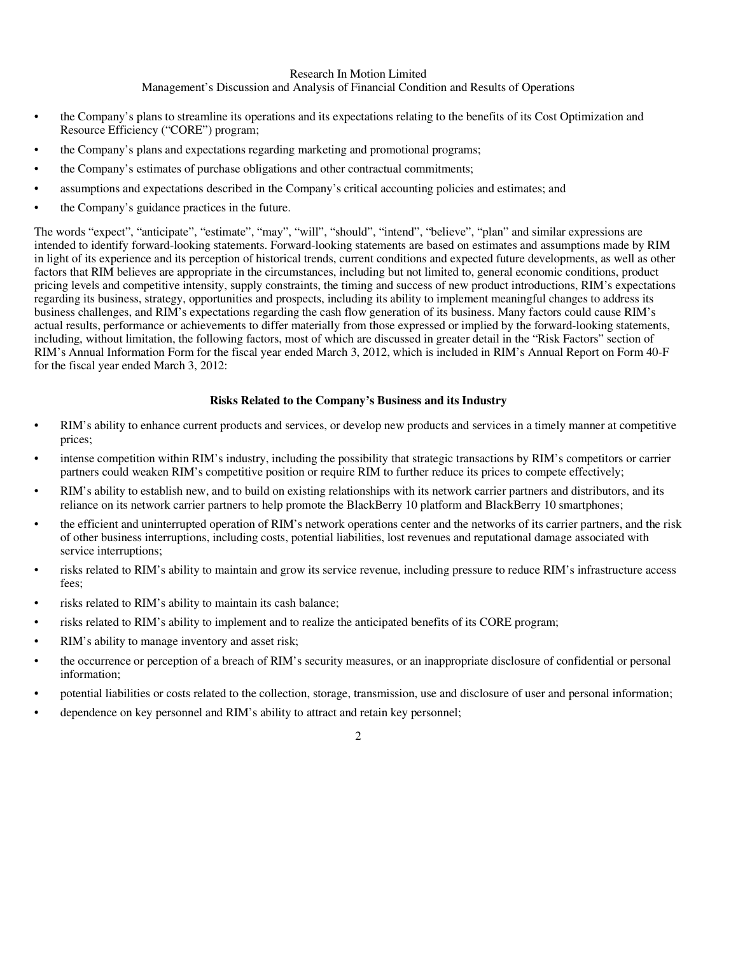Management's Discussion and Analysis of Financial Condition and Results of Operations

- the Company's plans to streamline its operations and its expectations relating to the benefits of its Cost Optimization and Resource Efficiency ("CORE") program;
- the Company's plans and expectations regarding marketing and promotional programs;
- the Company's estimates of purchase obligations and other contractual commitments;
- assumptions and expectations described in the Company's critical accounting policies and estimates; and
- the Company's guidance practices in the future.

The words "expect", "anticipate", "estimate", "may", "will", "should", "intend", "believe", "plan" and similar expressions are intended to identify forward-looking statements. Forward-looking statements are based on estimates and assumptions made by RIM in light of its experience and its perception of historical trends, current conditions and expected future developments, as well as other factors that RIM believes are appropriate in the circumstances, including but not limited to, general economic conditions, product pricing levels and competitive intensity, supply constraints, the timing and success of new product introductions, RIM's expectations regarding its business, strategy, opportunities and prospects, including its ability to implement meaningful changes to address its business challenges, and RIM's expectations regarding the cash flow generation of its business. Many factors could cause RIM's actual results, performance or achievements to differ materially from those expressed or implied by the forward-looking statements, including, without limitation, the following factors, most of which are discussed in greater detail in the "Risk Factors" section of RIM's Annual Information Form for the fiscal year ended March 3, 2012, which is included in RIM's Annual Report on Form 40-F for the fiscal year ended March 3, 2012:

## **Risks Related to the Company's Business and its Industry**

- RIM's ability to enhance current products and services, or develop new products and services in a timely manner at competitive prices;
- intense competition within RIM's industry, including the possibility that strategic transactions by RIM's competitors or carrier partners could weaken RIM's competitive position or require RIM to further reduce its prices to compete effectively;
- RIM's ability to establish new, and to build on existing relationships with its network carrier partners and distributors, and its reliance on its network carrier partners to help promote the BlackBerry 10 platform and BlackBerry 10 smartphones;
- the efficient and uninterrupted operation of RIM's network operations center and the networks of its carrier partners, and the risk of other business interruptions, including costs, potential liabilities, lost revenues and reputational damage associated with service interruptions;
- risks related to RIM's ability to maintain and grow its service revenue, including pressure to reduce RIM's infrastructure access fees;
- risks related to RIM's ability to maintain its cash balance;
- risks related to RIM's ability to implement and to realize the anticipated benefits of its CORE program;
- RIM's ability to manage inventory and asset risk;
- the occurrence or perception of a breach of RIM's security measures, or an inappropriate disclosure of confidential or personal information;
- potential liabilities or costs related to the collection, storage, transmission, use and disclosure of user and personal information;
- dependence on key personnel and RIM's ability to attract and retain key personnel;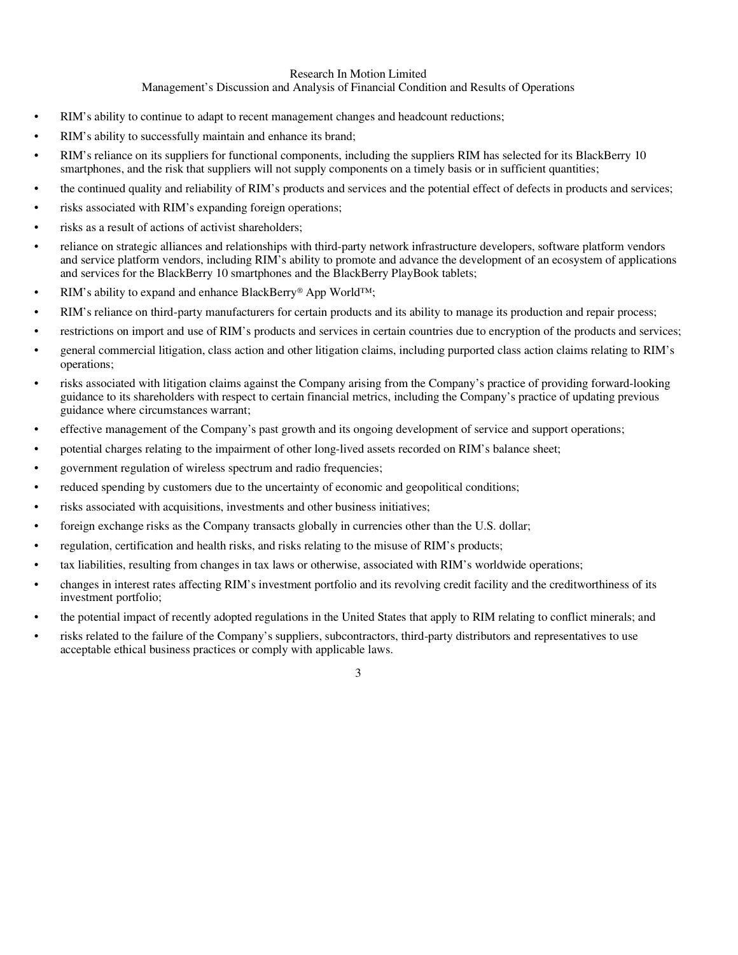### Management's Discussion and Analysis of Financial Condition and Results of Operations

- RIM's ability to continue to adapt to recent management changes and headcount reductions;
- RIM's ability to successfully maintain and enhance its brand;
- RIM's reliance on its suppliers for functional components, including the suppliers RIM has selected for its BlackBerry 10 smartphones, and the risk that suppliers will not supply components on a timely basis or in sufficient quantities;
- the continued quality and reliability of RIM's products and services and the potential effect of defects in products and services;
- risks associated with RIM's expanding foreign operations;
- risks as a result of actions of activist shareholders;
- reliance on strategic alliances and relationships with third-party network infrastructure developers, software platform vendors and service platform vendors, including RIM's ability to promote and advance the development of an ecosystem of applications and services for the BlackBerry 10 smartphones and the BlackBerry PlayBook tablets;
- RIM's ability to expand and enhance BlackBerry® App World<sup>TM</sup>;
- RIM's reliance on third-party manufacturers for certain products and its ability to manage its production and repair process;
- restrictions on import and use of RIM's products and services in certain countries due to encryption of the products and services;
- general commercial litigation, class action and other litigation claims, including purported class action claims relating to RIM's operations;
- risks associated with litigation claims against the Company arising from the Company's practice of providing forward-looking guidance to its shareholders with respect to certain financial metrics, including the Company's practice of updating previous guidance where circumstances warrant;
- effective management of the Company's past growth and its ongoing development of service and support operations;
- potential charges relating to the impairment of other long-lived assets recorded on RIM's balance sheet;
- government regulation of wireless spectrum and radio frequencies;
- reduced spending by customers due to the uncertainty of economic and geopolitical conditions;
- risks associated with acquisitions, investments and other business initiatives;
- foreign exchange risks as the Company transacts globally in currencies other than the U.S. dollar;
- regulation, certification and health risks, and risks relating to the misuse of RIM's products;
- tax liabilities, resulting from changes in tax laws or otherwise, associated with RIM's worldwide operations;
- changes in interest rates affecting RIM's investment portfolio and its revolving credit facility and the creditworthiness of its investment portfolio;
- the potential impact of recently adopted regulations in the United States that apply to RIM relating to conflict minerals; and
- risks related to the failure of the Company's suppliers, subcontractors, third-party distributors and representatives to use acceptable ethical business practices or comply with applicable laws.

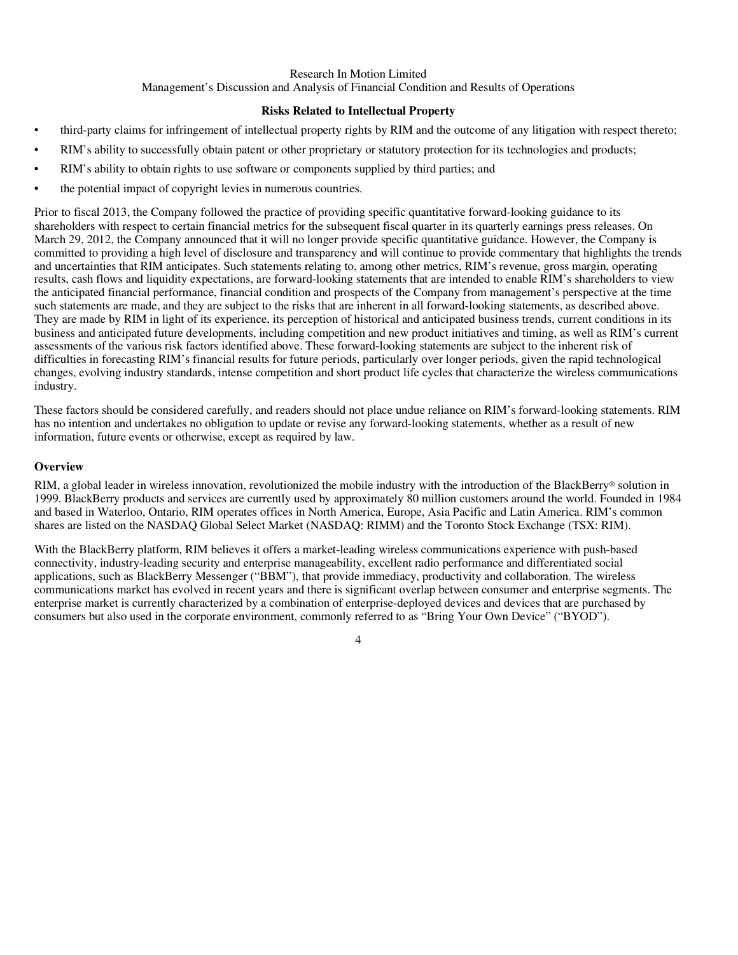Management's Discussion and Analysis of Financial Condition and Results of Operations

## **Risks Related to Intellectual Property**

- third-party claims for infringement of intellectual property rights by RIM and the outcome of any litigation with respect thereto;
- RIM's ability to successfully obtain patent or other proprietary or statutory protection for its technologies and products;
- RIM's ability to obtain rights to use software or components supplied by third parties; and
- the potential impact of copyright levies in numerous countries.

Prior to fiscal 2013, the Company followed the practice of providing specific quantitative forward-looking guidance to its shareholders with respect to certain financial metrics for the subsequent fiscal quarter in its quarterly earnings press releases. On March 29, 2012, the Company announced that it will no longer provide specific quantitative guidance. However, the Company is committed to providing a high level of disclosure and transparency and will continue to provide commentary that highlights the trends and uncertainties that RIM anticipates. Such statements relating to, among other metrics, RIM's revenue, gross margin, operating results, cash flows and liquidity expectations, are forward-looking statements that are intended to enable RIM's shareholders to view the anticipated financial performance, financial condition and prospects of the Company from management's perspective at the time such statements are made, and they are subject to the risks that are inherent in all forward-looking statements, as described above. They are made by RIM in light of its experience, its perception of historical and anticipated business trends, current conditions in its business and anticipated future developments, including competition and new product initiatives and timing, as well as RIM's current assessments of the various risk factors identified above. These forward-looking statements are subject to the inherent risk of difficulties in forecasting RIM's financial results for future periods, particularly over longer periods, given the rapid technological changes, evolving industry standards, intense competition and short product life cycles that characterize the wireless communications industry.

These factors should be considered carefully, and readers should not place undue reliance on RIM's forward-looking statements. RIM has no intention and undertakes no obligation to update or revise any forward-looking statements, whether as a result of new information, future events or otherwise, except as required by law.

## **Overview**

RIM, a global leader in wireless innovation, revolutionized the mobile industry with the introduction of the BlackBerry<sup>®</sup> solution in 1999. BlackBerry products and services are currently used by approximately 80 million customers around the world. Founded in 1984 and based in Waterloo, Ontario, RIM operates offices in North America, Europe, Asia Pacific and Latin America. RIM's common shares are listed on the NASDAQ Global Select Market (NASDAQ: RIMM) and the Toronto Stock Exchange (TSX: RIM).

With the BlackBerry platform, RIM believes it offers a market-leading wireless communications experience with push-based connectivity, industry-leading security and enterprise manageability, excellent radio performance and differentiated social applications, such as BlackBerry Messenger ("BBM"), that provide immediacy, productivity and collaboration. The wireless communications market has evolved in recent years and there is significant overlap between consumer and enterprise segments. The enterprise market is currently characterized by a combination of enterprise-deployed devices and devices that are purchased by consumers but also used in the corporate environment, commonly referred to as "Bring Your Own Device" ("BYOD").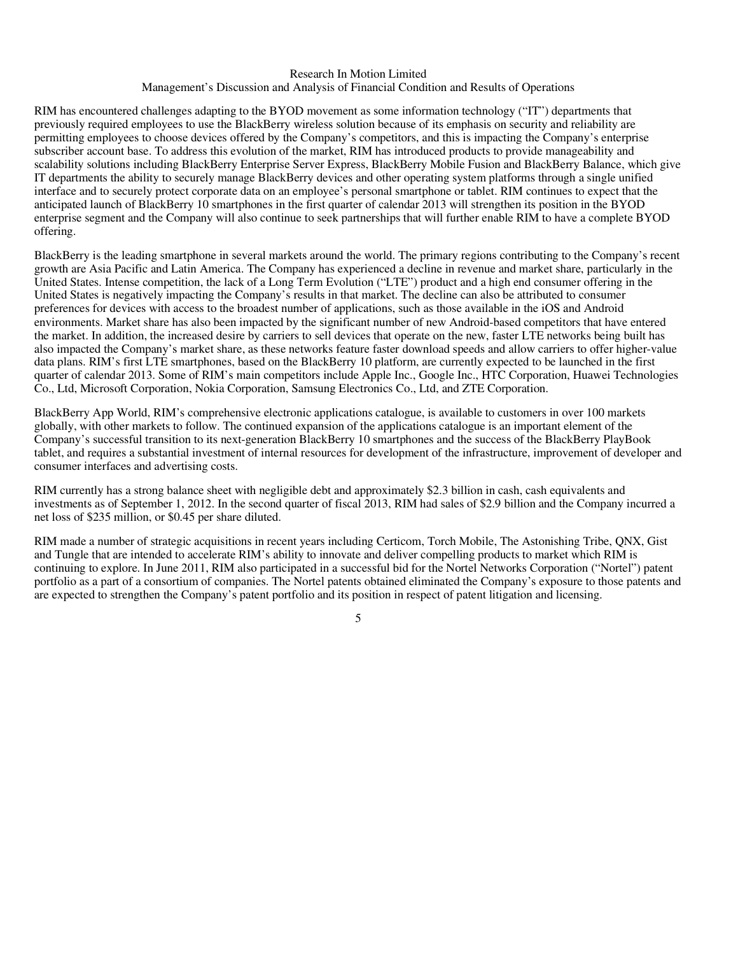RIM has encountered challenges adapting to the BYOD movement as some information technology ("IT") departments that previously required employees to use the BlackBerry wireless solution because of its emphasis on security and reliability are permitting employees to choose devices offered by the Company's competitors, and this is impacting the Company's enterprise subscriber account base. To address this evolution of the market, RIM has introduced products to provide manageability and scalability solutions including BlackBerry Enterprise Server Express, BlackBerry Mobile Fusion and BlackBerry Balance, which give IT departments the ability to securely manage BlackBerry devices and other operating system platforms through a single unified interface and to securely protect corporate data on an employee's personal smartphone or tablet. RIM continues to expect that the anticipated launch of BlackBerry 10 smartphones in the first quarter of calendar 2013 will strengthen its position in the BYOD enterprise segment and the Company will also continue to seek partnerships that will further enable RIM to have a complete BYOD offering.

BlackBerry is the leading smartphone in several markets around the world. The primary regions contributing to the Company's recent growth are Asia Pacific and Latin America. The Company has experienced a decline in revenue and market share, particularly in the United States. Intense competition, the lack of a Long Term Evolution ("LTE") product and a high end consumer offering in the United States is negatively impacting the Company's results in that market. The decline can also be attributed to consumer preferences for devices with access to the broadest number of applications, such as those available in the iOS and Android environments. Market share has also been impacted by the significant number of new Android-based competitors that have entered the market. In addition, the increased desire by carriers to sell devices that operate on the new, faster LTE networks being built has also impacted the Company's market share, as these networks feature faster download speeds and allow carriers to offer higher-value data plans. RIM's first LTE smartphones, based on the BlackBerry 10 platform, are currently expected to be launched in the first quarter of calendar 2013. Some of RIM's main competitors include Apple Inc., Google Inc., HTC Corporation, Huawei Technologies Co., Ltd, Microsoft Corporation, Nokia Corporation, Samsung Electronics Co., Ltd, and ZTE Corporation.

BlackBerry App World, RIM's comprehensive electronic applications catalogue, is available to customers in over 100 markets globally, with other markets to follow. The continued expansion of the applications catalogue is an important element of the Company's successful transition to its next-generation BlackBerry 10 smartphones and the success of the BlackBerry PlayBook tablet, and requires a substantial investment of internal resources for development of the infrastructure, improvement of developer and consumer interfaces and advertising costs.

RIM currently has a strong balance sheet with negligible debt and approximately \$2.3 billion in cash, cash equivalents and investments as of September 1, 2012. In the second quarter of fiscal 2013, RIM had sales of \$2.9 billion and the Company incurred a net loss of \$235 million, or \$0.45 per share diluted.

RIM made a number of strategic acquisitions in recent years including Certicom, Torch Mobile, The Astonishing Tribe, QNX, Gist and Tungle that are intended to accelerate RIM's ability to innovate and deliver compelling products to market which RIM is continuing to explore. In June 2011, RIM also participated in a successful bid for the Nortel Networks Corporation ("Nortel") patent portfolio as a part of a consortium of companies. The Nortel patents obtained eliminated the Company's exposure to those patents and are expected to strengthen the Company's patent portfolio and its position in respect of patent litigation and licensing.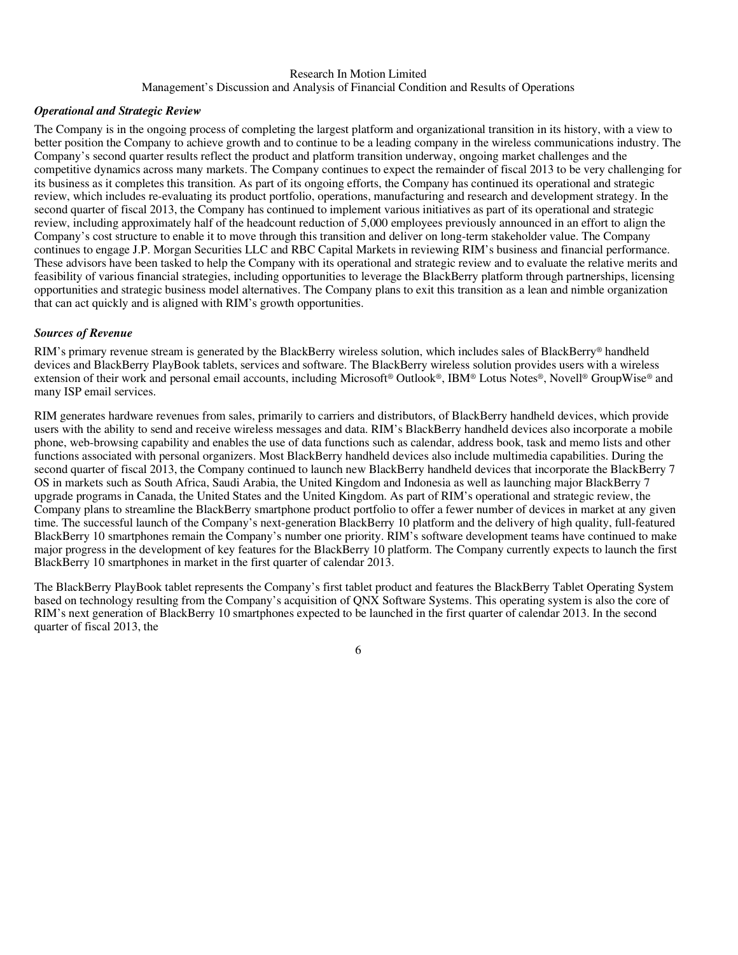#### *Operational and Strategic Review*

The Company is in the ongoing process of completing the largest platform and organizational transition in its history, with a view to better position the Company to achieve growth and to continue to be a leading company in the wireless communications industry. The Company's second quarter results reflect the product and platform transition underway, ongoing market challenges and the competitive dynamics across many markets. The Company continues to expect the remainder of fiscal 2013 to be very challenging for its business as it completes this transition. As part of its ongoing efforts, the Company has continued its operational and strategic review, which includes re-evaluating its product portfolio, operations, manufacturing and research and development strategy. In the second quarter of fiscal 2013, the Company has continued to implement various initiatives as part of its operational and strategic review, including approximately half of the headcount reduction of 5,000 employees previously announced in an effort to align the Company's cost structure to enable it to move through this transition and deliver on long-term stakeholder value. The Company continues to engage J.P. Morgan Securities LLC and RBC Capital Markets in reviewing RIM's business and financial performance. These advisors have been tasked to help the Company with its operational and strategic review and to evaluate the relative merits and feasibility of various financial strategies, including opportunities to leverage the BlackBerry platform through partnerships, licensing opportunities and strategic business model alternatives. The Company plans to exit this transition as a lean and nimble organization that can act quickly and is aligned with RIM's growth opportunities.

## *Sources of Revenue*

RIM's primary revenue stream is generated by the BlackBerry wireless solution, which includes sales of BlackBerry® handheld devices and BlackBerry PlayBook tablets, services and software. The BlackBerry wireless solution provides users with a wireless extension of their work and personal email accounts, including Microsoft® Outlook®, IBM® Lotus Notes®, Novell® GroupWise® and many ISP email services.

RIM generates hardware revenues from sales, primarily to carriers and distributors, of BlackBerry handheld devices, which provide users with the ability to send and receive wireless messages and data. RIM's BlackBerry handheld devices also incorporate a mobile phone, web-browsing capability and enables the use of data functions such as calendar, address book, task and memo lists and other functions associated with personal organizers. Most BlackBerry handheld devices also include multimedia capabilities. During the second quarter of fiscal 2013, the Company continued to launch new BlackBerry handheld devices that incorporate the BlackBerry 7 OS in markets such as South Africa, Saudi Arabia, the United Kingdom and Indonesia as well as launching major BlackBerry 7 upgrade programs in Canada, the United States and the United Kingdom. As part of RIM's operational and strategic review, the Company plans to streamline the BlackBerry smartphone product portfolio to offer a fewer number of devices in market at any given time. The successful launch of the Company's next-generation BlackBerry 10 platform and the delivery of high quality, full-featured BlackBerry 10 smartphones remain the Company's number one priority. RIM's software development teams have continued to make major progress in the development of key features for the BlackBerry 10 platform. The Company currently expects to launch the first BlackBerry 10 smartphones in market in the first quarter of calendar 2013.

The BlackBerry PlayBook tablet represents the Company's first tablet product and features the BlackBerry Tablet Operating System based on technology resulting from the Company's acquisition of QNX Software Systems. This operating system is also the core of RIM's next generation of BlackBerry 10 smartphones expected to be launched in the first quarter of calendar 2013. In the second quarter of fiscal 2013, the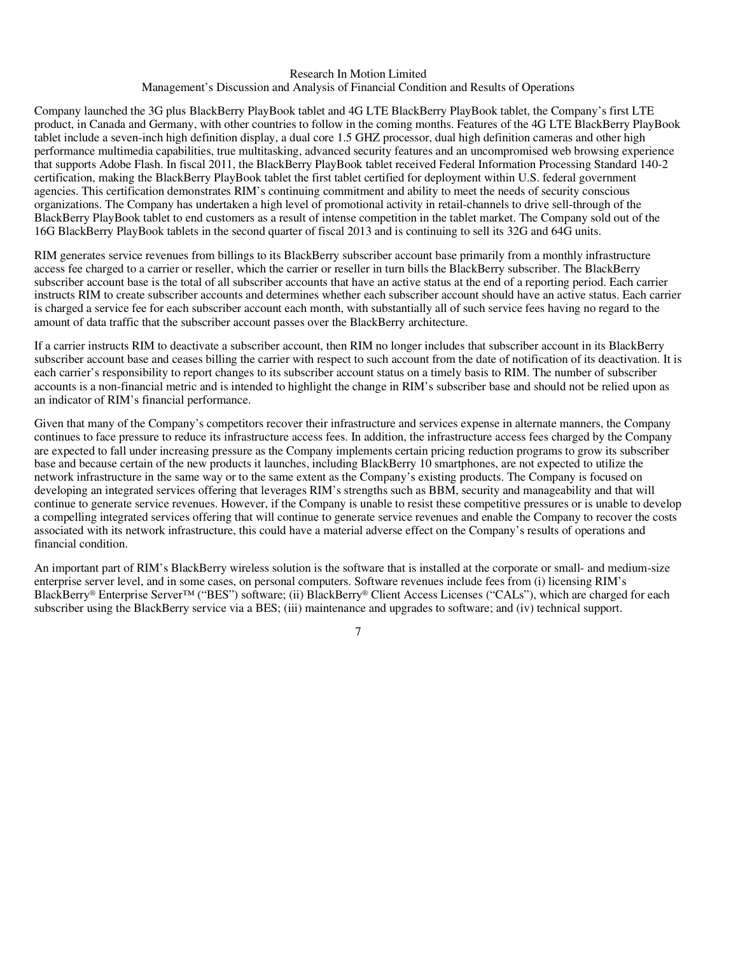Company launched the 3G plus BlackBerry PlayBook tablet and 4G LTE BlackBerry PlayBook tablet, the Company's first LTE product, in Canada and Germany, with other countries to follow in the coming months. Features of the 4G LTE BlackBerry PlayBook tablet include a seven-inch high definition display, a dual core 1.5 GHZ processor, dual high definition cameras and other high performance multimedia capabilities, true multitasking, advanced security features and an uncompromised web browsing experience that supports Adobe Flash. In fiscal 2011, the BlackBerry PlayBook tablet received Federal Information Processing Standard 140-2 certification, making the BlackBerry PlayBook tablet the first tablet certified for deployment within U.S. federal government agencies. This certification demonstrates RIM's continuing commitment and ability to meet the needs of security conscious organizations. The Company has undertaken a high level of promotional activity in retail-channels to drive sell-through of the BlackBerry PlayBook tablet to end customers as a result of intense competition in the tablet market. The Company sold out of the 16G BlackBerry PlayBook tablets in the second quarter of fiscal 2013 and is continuing to sell its 32G and 64G units.

RIM generates service revenues from billings to its BlackBerry subscriber account base primarily from a monthly infrastructure access fee charged to a carrier or reseller, which the carrier or reseller in turn bills the BlackBerry subscriber. The BlackBerry subscriber account base is the total of all subscriber accounts that have an active status at the end of a reporting period. Each carrier instructs RIM to create subscriber accounts and determines whether each subscriber account should have an active status. Each carrier is charged a service fee for each subscriber account each month, with substantially all of such service fees having no regard to the amount of data traffic that the subscriber account passes over the BlackBerry architecture.

If a carrier instructs RIM to deactivate a subscriber account, then RIM no longer includes that subscriber account in its BlackBerry subscriber account base and ceases billing the carrier with respect to such account from the date of notification of its deactivation. It is each carrier's responsibility to report changes to its subscriber account status on a timely basis to RIM. The number of subscriber accounts is a non-financial metric and is intended to highlight the change in RIM's subscriber base and should not be relied upon as an indicator of RIM's financial performance.

Given that many of the Company's competitors recover their infrastructure and services expense in alternate manners, the Company continues to face pressure to reduce its infrastructure access fees. In addition, the infrastructure access fees charged by the Company are expected to fall under increasing pressure as the Company implements certain pricing reduction programs to grow its subscriber base and because certain of the new products it launches, including BlackBerry 10 smartphones, are not expected to utilize the network infrastructure in the same way or to the same extent as the Company's existing products. The Company is focused on developing an integrated services offering that leverages RIM's strengths such as BBM, security and manageability and that will continue to generate service revenues. However, if the Company is unable to resist these competitive pressures or is unable to develop a compelling integrated services offering that will continue to generate service revenues and enable the Company to recover the costs associated with its network infrastructure, this could have a material adverse effect on the Company's results of operations and financial condition.

An important part of RIM's BlackBerry wireless solution is the software that is installed at the corporate or small- and medium-size enterprise server level, and in some cases, on personal computers. Software revenues include fees from (i) licensing RIM's BlackBerry® Enterprise Server™ ("BES") software; (ii) BlackBerry® Client Access Licenses ("CALs"), which are charged for each subscriber using the BlackBerry service via a BES; (iii) maintenance and upgrades to software; and (iv) technical support.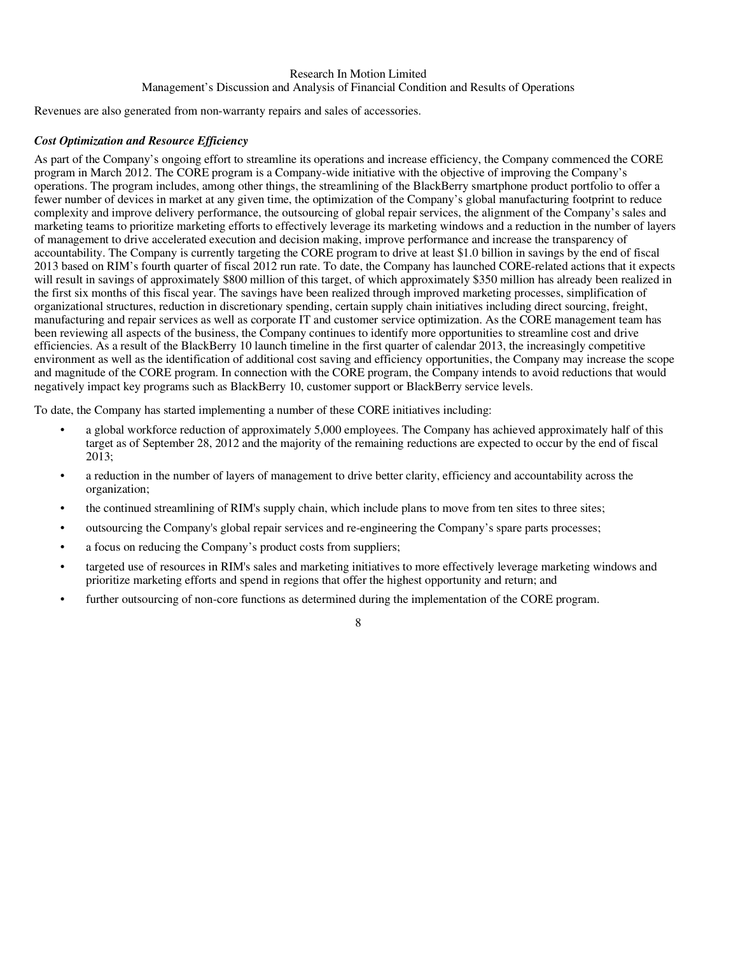Revenues are also generated from non-warranty repairs and sales of accessories.

## *Cost Optimization and Resource Efficiency*

As part of the Company's ongoing effort to streamline its operations and increase efficiency, the Company commenced the CORE program in March 2012. The CORE program is a Company-wide initiative with the objective of improving the Company's operations. The program includes, among other things, the streamlining of the BlackBerry smartphone product portfolio to offer a fewer number of devices in market at any given time, the optimization of the Company's global manufacturing footprint to reduce complexity and improve delivery performance, the outsourcing of global repair services, the alignment of the Company's sales and marketing teams to prioritize marketing efforts to effectively leverage its marketing windows and a reduction in the number of layers of management to drive accelerated execution and decision making, improve performance and increase the transparency of accountability. The Company is currently targeting the CORE program to drive at least \$1.0 billion in savings by the end of fiscal 2013 based on RIM's fourth quarter of fiscal 2012 run rate. To date, the Company has launched CORE-related actions that it expects will result in savings of approximately \$800 million of this target, of which approximately \$350 million has already been realized in the first six months of this fiscal year. The savings have been realized through improved marketing processes, simplification of organizational structures, reduction in discretionary spending, certain supply chain initiatives including direct sourcing, freight, manufacturing and repair services as well as corporate IT and customer service optimization. As the CORE management team has been reviewing all aspects of the business, the Company continues to identify more opportunities to streamline cost and drive efficiencies. As a result of the BlackBerry 10 launch timeline in the first quarter of calendar 2013, the increasingly competitive environment as well as the identification of additional cost saving and efficiency opportunities, the Company may increase the scope and magnitude of the CORE program. In connection with the CORE program, the Company intends to avoid reductions that would negatively impact key programs such as BlackBerry 10, customer support or BlackBerry service levels.

To date, the Company has started implementing a number of these CORE initiatives including:

- a global workforce reduction of approximately 5,000 employees. The Company has achieved approximately half of this target as of September 28, 2012 and the majority of the remaining reductions are expected to occur by the end of fiscal 2013;
- a reduction in the number of layers of management to drive better clarity, efficiency and accountability across the organization;
- the continued streamlining of RIM's supply chain, which include plans to move from ten sites to three sites;
- outsourcing the Company's global repair services and re-engineering the Company's spare parts processes;
- a focus on reducing the Company's product costs from suppliers;
- targeted use of resources in RIM's sales and marketing initiatives to more effectively leverage marketing windows and prioritize marketing efforts and spend in regions that offer the highest opportunity and return; and

8

further outsourcing of non-core functions as determined during the implementation of the CORE program.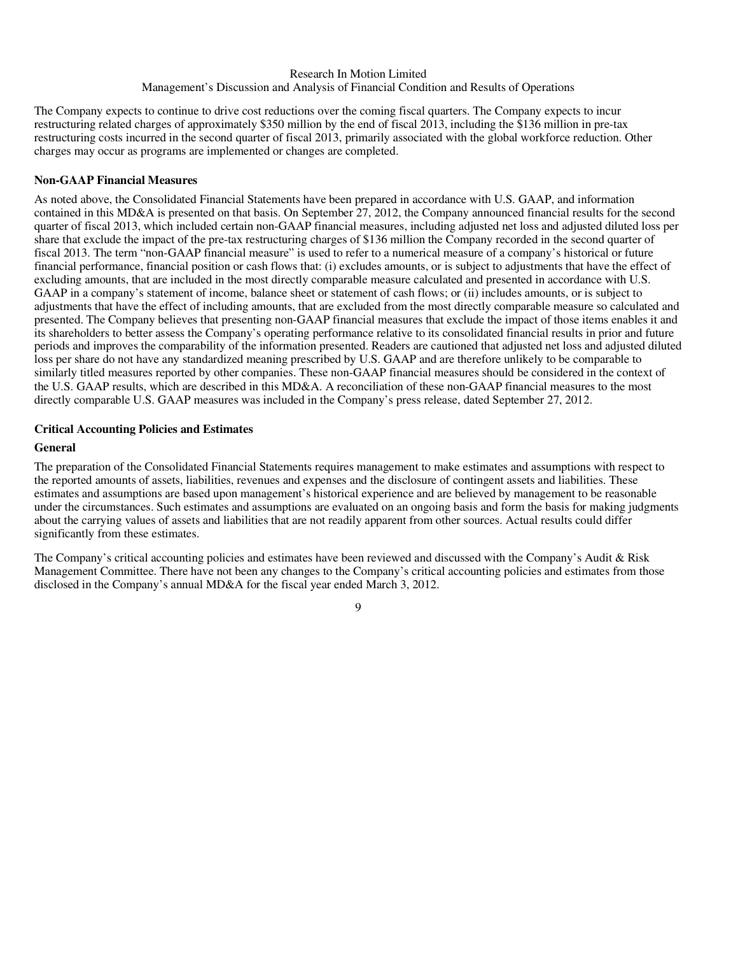The Company expects to continue to drive cost reductions over the coming fiscal quarters. The Company expects to incur restructuring related charges of approximately \$350 million by the end of fiscal 2013, including the \$136 million in pre-tax restructuring costs incurred in the second quarter of fiscal 2013, primarily associated with the global workforce reduction. Other charges may occur as programs are implemented or changes are completed.

## **Non-GAAP Financial Measures**

As noted above, the Consolidated Financial Statements have been prepared in accordance with U.S. GAAP, and information contained in this MD&A is presented on that basis. On September 27, 2012, the Company announced financial results for the second quarter of fiscal 2013, which included certain non-GAAP financial measures, including adjusted net loss and adjusted diluted loss per share that exclude the impact of the pre-tax restructuring charges of \$136 million the Company recorded in the second quarter of fiscal 2013. The term "non-GAAP financial measure" is used to refer to a numerical measure of a company's historical or future financial performance, financial position or cash flows that: (i) excludes amounts, or is subject to adjustments that have the effect of excluding amounts, that are included in the most directly comparable measure calculated and presented in accordance with U.S. GAAP in a company's statement of income, balance sheet or statement of cash flows; or (ii) includes amounts, or is subject to adjustments that have the effect of including amounts, that are excluded from the most directly comparable measure so calculated and presented. The Company believes that presenting non-GAAP financial measures that exclude the impact of those items enables it and its shareholders to better assess the Company's operating performance relative to its consolidated financial results in prior and future periods and improves the comparability of the information presented. Readers are cautioned that adjusted net loss and adjusted diluted loss per share do not have any standardized meaning prescribed by U.S. GAAP and are therefore unlikely to be comparable to similarly titled measures reported by other companies. These non-GAAP financial measures should be considered in the context of the U.S. GAAP results, which are described in this MD&A. A reconciliation of these non-GAAP financial measures to the most directly comparable U.S. GAAP measures was included in the Company's press release, dated September 27, 2012.

#### **Critical Accounting Policies and Estimates**

#### **General**

The preparation of the Consolidated Financial Statements requires management to make estimates and assumptions with respect to the reported amounts of assets, liabilities, revenues and expenses and the disclosure of contingent assets and liabilities. These estimates and assumptions are based upon management's historical experience and are believed by management to be reasonable under the circumstances. Such estimates and assumptions are evaluated on an ongoing basis and form the basis for making judgments about the carrying values of assets and liabilities that are not readily apparent from other sources. Actual results could differ significantly from these estimates.

The Company's critical accounting policies and estimates have been reviewed and discussed with the Company's Audit & Risk Management Committee. There have not been any changes to the Company's critical accounting policies and estimates from those disclosed in the Company's annual MD&A for the fiscal year ended March 3, 2012.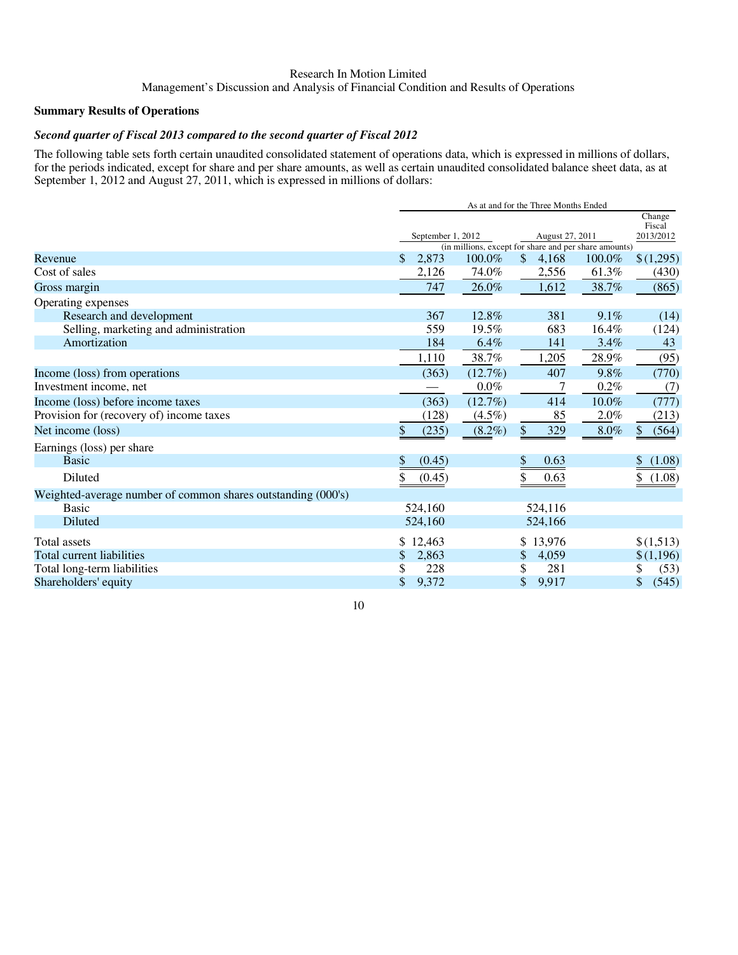## **Summary Results of Operations**

## *Second quarter of Fiscal 2013 compared to the second quarter of Fiscal 2012*

The following table sets forth certain unaudited consolidated statement of operations data, which is expressed in millions of dollars, for the periods indicated, except for share and per share amounts, as well as certain unaudited consolidated balance sheet data, as at September 1, 2012 and August 27, 2011, which is expressed in millions of dollars:

|                                                              | As at and for the Three Months Ended |                   |            |                |                 |                                                       |                        |
|--------------------------------------------------------------|--------------------------------------|-------------------|------------|----------------|-----------------|-------------------------------------------------------|------------------------|
|                                                              |                                      |                   |            |                |                 |                                                       | Change                 |
|                                                              |                                      | September 1, 2012 |            |                | August 27, 2011 |                                                       | Fiscal<br>2013/2012    |
|                                                              |                                      |                   |            |                |                 | (in millions, except for share and per share amounts) |                        |
| Revenue                                                      | \$.                                  | 2,873             | 100.0%     | $\mathbb{S}^-$ | 4,168           | 100.0%                                                | \$(1,295)              |
| Cost of sales                                                |                                      | 2,126             | 74.0%      |                | 2,556           | 61.3%                                                 | (430)                  |
| Gross margin                                                 |                                      | 747               | 26.0%      |                | 1,612           | 38.7%                                                 | (865)                  |
| Operating expenses                                           |                                      |                   |            |                |                 |                                                       |                        |
| Research and development                                     |                                      | 367               | 12.8%      |                | 381             | 9.1%                                                  | (14)                   |
| Selling, marketing and administration                        |                                      | 559               | 19.5%      |                | 683             | 16.4%                                                 | (124)                  |
| Amortization                                                 |                                      | 184               | 6.4%       |                | 141             | 3.4%                                                  | 43                     |
|                                                              |                                      | 1,110             | 38.7%      |                | 1,205           | 28.9%                                                 | (95)                   |
| Income (loss) from operations                                |                                      | (363)             | $(12.7\%)$ |                | 407             | 9.8%                                                  | (770)                  |
| Investment income, net                                       |                                      |                   | $0.0\%$    |                |                 | 0.2%                                                  | (7)                    |
| Income (loss) before income taxes                            |                                      | (363)             | (12.7%)    |                | 414             | 10.0%                                                 | (777)                  |
| Provision for (recovery of) income taxes                     |                                      | (128)             | $(4.5\%)$  |                | 85              | 2.0%                                                  | (213)                  |
| Net income (loss)                                            | $\mathbb{S}$                         | (235)             | $(8.2\%)$  | \$             | 329             | 8.0%                                                  | $\mathcal{S}$<br>(564) |
| Earnings (loss) per share                                    |                                      |                   |            |                |                 |                                                       |                        |
| <b>Basic</b>                                                 | \$                                   | (0.45)            |            | \$             | 0.63            |                                                       | (1.08)                 |
| Diluted                                                      | \$                                   | (0.45)            |            | \$             | 0.63            |                                                       | (1.08)                 |
| Weighted-average number of common shares outstanding (000's) |                                      |                   |            |                |                 |                                                       |                        |
| <b>Basic</b>                                                 |                                      | 524,160           |            |                | 524,116         |                                                       |                        |
| Diluted                                                      |                                      | 524,160           |            |                | 524,166         |                                                       |                        |
| <b>Total assets</b>                                          |                                      | \$12,463          |            |                | \$13,976        |                                                       | \$(1,513)              |
| Total current liabilities                                    | \$                                   | 2,863             |            | \$             | 4,059           |                                                       | \$(1,196)              |
| Total long-term liabilities                                  | \$                                   | 228               |            | \$             | 281             |                                                       | \$<br>(53)             |
| Shareholders' equity                                         | \$                                   | 9,372             |            | \$             | 9,917           |                                                       | \$<br>(545)            |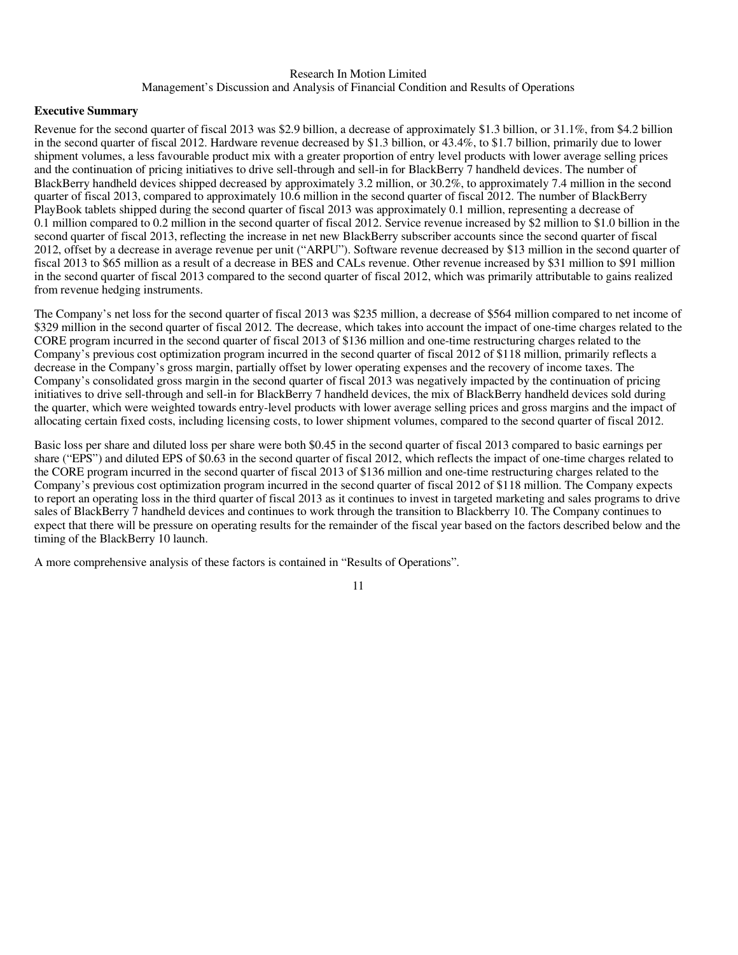### **Executive Summary**

Revenue for the second quarter of fiscal 2013 was \$2.9 billion, a decrease of approximately \$1.3 billion, or 31.1%, from \$4.2 billion in the second quarter of fiscal 2012. Hardware revenue decreased by \$1.3 billion, or 43.4%, to \$1.7 billion, primarily due to lower shipment volumes, a less favourable product mix with a greater proportion of entry level products with lower average selling prices and the continuation of pricing initiatives to drive sell-through and sell-in for BlackBerry 7 handheld devices. The number of BlackBerry handheld devices shipped decreased by approximately 3.2 million, or 30.2%, to approximately 7.4 million in the second quarter of fiscal 2013, compared to approximately 10.6 million in the second quarter of fiscal 2012. The number of BlackBerry PlayBook tablets shipped during the second quarter of fiscal 2013 was approximately 0.1 million, representing a decrease of 0.1 million compared to 0.2 million in the second quarter of fiscal 2012. Service revenue increased by \$2 million to \$1.0 billion in the second quarter of fiscal 2013, reflecting the increase in net new BlackBerry subscriber accounts since the second quarter of fiscal 2012, offset by a decrease in average revenue per unit ("ARPU"). Software revenue decreased by \$13 million in the second quarter of fiscal 2013 to \$65 million as a result of a decrease in BES and CALs revenue. Other revenue increased by \$31 million to \$91 million in the second quarter of fiscal 2013 compared to the second quarter of fiscal 2012, which was primarily attributable to gains realized from revenue hedging instruments.

The Company's net loss for the second quarter of fiscal 2013 was \$235 million, a decrease of \$564 million compared to net income of \$329 million in the second quarter of fiscal 2012. The decrease, which takes into account the impact of one-time charges related to the CORE program incurred in the second quarter of fiscal 2013 of \$136 million and one-time restructuring charges related to the Company's previous cost optimization program incurred in the second quarter of fiscal 2012 of \$118 million, primarily reflects a decrease in the Company's gross margin, partially offset by lower operating expenses and the recovery of income taxes. The Company's consolidated gross margin in the second quarter of fiscal 2013 was negatively impacted by the continuation of pricing initiatives to drive sell-through and sell-in for BlackBerry 7 handheld devices, the mix of BlackBerry handheld devices sold during the quarter, which were weighted towards entry-level products with lower average selling prices and gross margins and the impact of allocating certain fixed costs, including licensing costs, to lower shipment volumes, compared to the second quarter of fiscal 2012.

Basic loss per share and diluted loss per share were both \$0.45 in the second quarter of fiscal 2013 compared to basic earnings per share ("EPS") and diluted EPS of \$0.63 in the second quarter of fiscal 2012, which reflects the impact of one-time charges related to the CORE program incurred in the second quarter of fiscal 2013 of \$136 million and one-time restructuring charges related to the Company's previous cost optimization program incurred in the second quarter of fiscal 2012 of \$118 million. The Company expects to report an operating loss in the third quarter of fiscal 2013 as it continues to invest in targeted marketing and sales programs to drive sales of BlackBerry 7 handheld devices and continues to work through the transition to Blackberry 10. The Company continues to expect that there will be pressure on operating results for the remainder of the fiscal year based on the factors described below and the timing of the BlackBerry 10 launch.

A more comprehensive analysis of these factors is contained in "Results of Operations".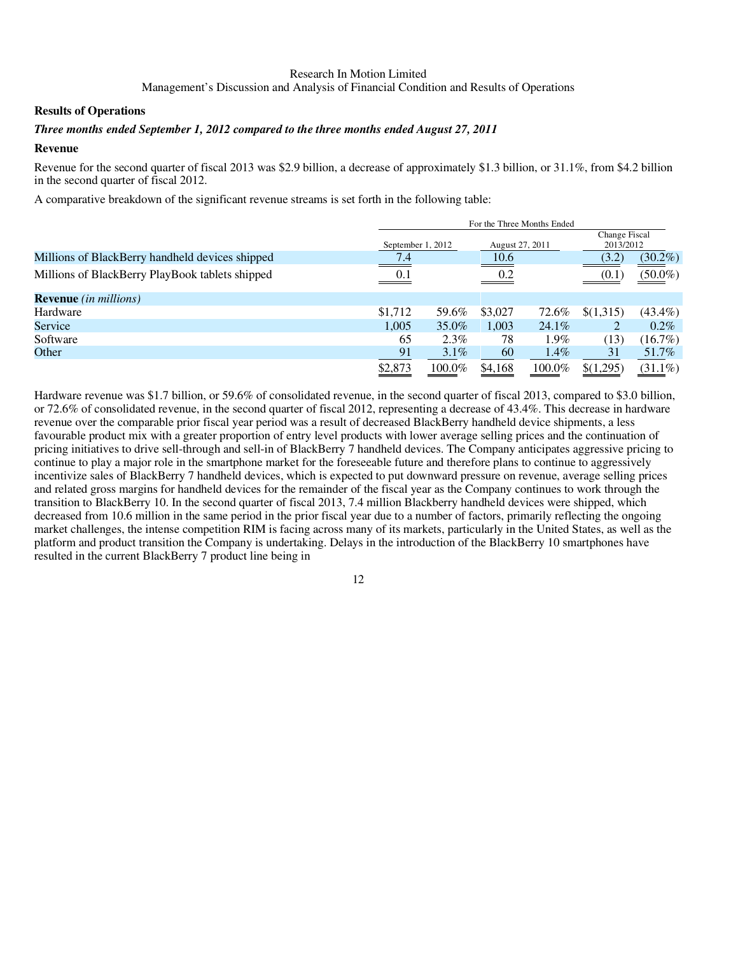## **Results of Operations**

## *Three months ended September 1, 2012 compared to the three months ended August 27, 2011*

## **Revenue**

Revenue for the second quarter of fiscal 2013 was \$2.9 billion, a decrease of approximately \$1.3 billion, or 31.1%, from \$4.2 billion in the second quarter of fiscal 2012.

A comparative breakdown of the significant revenue streams is set forth in the following table:

|                                                 | For the Three Months Ended |         |                    |         |                            |            |
|-------------------------------------------------|----------------------------|---------|--------------------|---------|----------------------------|------------|
|                                                 | September 1, 2012          |         | August 27, 2011    |         | Change Fiscal<br>2013/2012 |            |
| Millions of BlackBerry handheld devices shipped | $\frac{7.4}{2}$            |         | $\underline{10.6}$ |         | (3.2)                      | $(30.2\%)$ |
| Millions of BlackBerry PlayBook tablets shipped | 0.1<br>$\equiv$            |         | 0.2                |         | (0.1)                      | $(50.0\%)$ |
| <b>Revenue</b> ( <i>in millions</i> )           |                            |         |                    |         |                            |            |
| Hardware                                        | \$1,712                    | 59.6%   | \$3,027            | 72.6%   | \$(1,315)                  | $(43.4\%)$ |
| Service                                         | 1.005                      | 35.0%   | 1,003              | 24.1%   |                            | $0.2\%$    |
| Software                                        | 65                         | $2.3\%$ | 78                 | $1.9\%$ | (13)                       | $(16.7\%)$ |
| Other                                           | 91                         | $3.1\%$ | 60                 | $1.4\%$ | 31                         | 51.7%      |
|                                                 | \$2,873                    | 100.0%  | \$4.168            | 100.0%  | \$(1,295)                  | $(31.1\%)$ |

Hardware revenue was \$1.7 billion, or 59.6% of consolidated revenue, in the second quarter of fiscal 2013, compared to \$3.0 billion, or 72.6% of consolidated revenue, in the second quarter of fiscal 2012, representing a decrease of 43.4%. This decrease in hardware revenue over the comparable prior fiscal year period was a result of decreased BlackBerry handheld device shipments, a less favourable product mix with a greater proportion of entry level products with lower average selling prices and the continuation of pricing initiatives to drive sell-through and sell-in of BlackBerry 7 handheld devices. The Company anticipates aggressive pricing to continue to play a major role in the smartphone market for the foreseeable future and therefore plans to continue to aggressively incentivize sales of BlackBerry 7 handheld devices, which is expected to put downward pressure on revenue, average selling prices and related gross margins for handheld devices for the remainder of the fiscal year as the Company continues to work through the transition to BlackBerry 10. In the second quarter of fiscal 2013, 7.4 million Blackberry handheld devices were shipped, which decreased from 10.6 million in the same period in the prior fiscal year due to a number of factors, primarily reflecting the ongoing market challenges, the intense competition RIM is facing across many of its markets, particularly in the United States, as well as the platform and product transition the Company is undertaking. Delays in the introduction of the BlackBerry 10 smartphones have resulted in the current BlackBerry 7 product line being in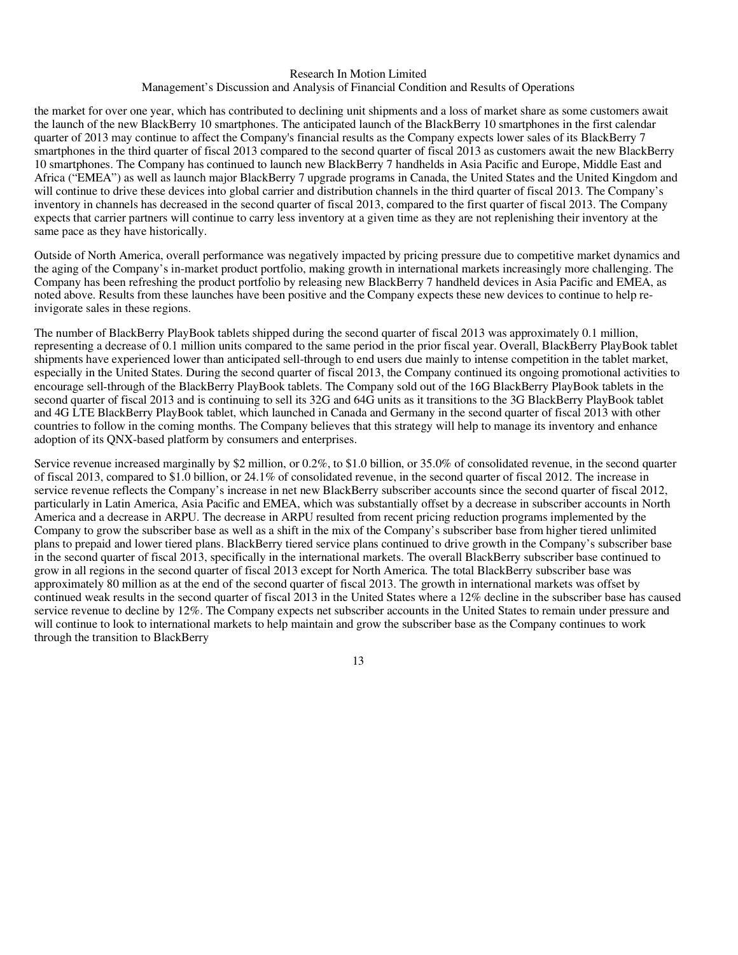## Management's Discussion and Analysis of Financial Condition and Results of Operations

the market for over one year, which has contributed to declining unit shipments and a loss of market share as some customers await the launch of the new BlackBerry 10 smartphones. The anticipated launch of the BlackBerry 10 smartphones in the first calendar quarter of 2013 may continue to affect the Company's financial results as the Company expects lower sales of its BlackBerry 7 smartphones in the third quarter of fiscal 2013 compared to the second quarter of fiscal 2013 as customers await the new BlackBerry 10 smartphones. The Company has continued to launch new BlackBerry 7 handhelds in Asia Pacific and Europe, Middle East and Africa ("EMEA") as well as launch major BlackBerry 7 upgrade programs in Canada, the United States and the United Kingdom and will continue to drive these devices into global carrier and distribution channels in the third quarter of fiscal 2013. The Company's inventory in channels has decreased in the second quarter of fiscal 2013, compared to the first quarter of fiscal 2013. The Company expects that carrier partners will continue to carry less inventory at a given time as they are not replenishing their inventory at the same pace as they have historically.

Outside of North America, overall performance was negatively impacted by pricing pressure due to competitive market dynamics and the aging of the Company's in-market product portfolio, making growth in international markets increasingly more challenging. The Company has been refreshing the product portfolio by releasing new BlackBerry 7 handheld devices in Asia Pacific and EMEA, as noted above. Results from these launches have been positive and the Company expects these new devices to continue to help reinvigorate sales in these regions.

The number of BlackBerry PlayBook tablets shipped during the second quarter of fiscal 2013 was approximately 0.1 million, representing a decrease of 0.1 million units compared to the same period in the prior fiscal year. Overall, BlackBerry PlayBook tablet shipments have experienced lower than anticipated sell-through to end users due mainly to intense competition in the tablet market, especially in the United States. During the second quarter of fiscal 2013, the Company continued its ongoing promotional activities to encourage sell-through of the BlackBerry PlayBook tablets. The Company sold out of the 16G BlackBerry PlayBook tablets in the second quarter of fiscal 2013 and is continuing to sell its 32G and 64G units as it transitions to the 3G BlackBerry PlayBook tablet and 4G LTE BlackBerry PlayBook tablet, which launched in Canada and Germany in the second quarter of fiscal 2013 with other countries to follow in the coming months. The Company believes that this strategy will help to manage its inventory and enhance adoption of its QNX-based platform by consumers and enterprises.

Service revenue increased marginally by \$2 million, or 0.2%, to \$1.0 billion, or 35.0% of consolidated revenue, in the second quarter of fiscal 2013, compared to \$1.0 billion, or 24.1% of consolidated revenue, in the second quarter of fiscal 2012. The increase in service revenue reflects the Company's increase in net new BlackBerry subscriber accounts since the second quarter of fiscal 2012, particularly in Latin America, Asia Pacific and EMEA, which was substantially offset by a decrease in subscriber accounts in North America and a decrease in ARPU. The decrease in ARPU resulted from recent pricing reduction programs implemented by the Company to grow the subscriber base as well as a shift in the mix of the Company's subscriber base from higher tiered unlimited plans to prepaid and lower tiered plans. BlackBerry tiered service plans continued to drive growth in the Company's subscriber base in the second quarter of fiscal 2013, specifically in the international markets. The overall BlackBerry subscriber base continued to grow in all regions in the second quarter of fiscal 2013 except for North America. The total BlackBerry subscriber base was approximately 80 million as at the end of the second quarter of fiscal 2013. The growth in international markets was offset by continued weak results in the second quarter of fiscal 2013 in the United States where a 12% decline in the subscriber base has caused service revenue to decline by 12%. The Company expects net subscriber accounts in the United States to remain under pressure and will continue to look to international markets to help maintain and grow the subscriber base as the Company continues to work through the transition to BlackBerry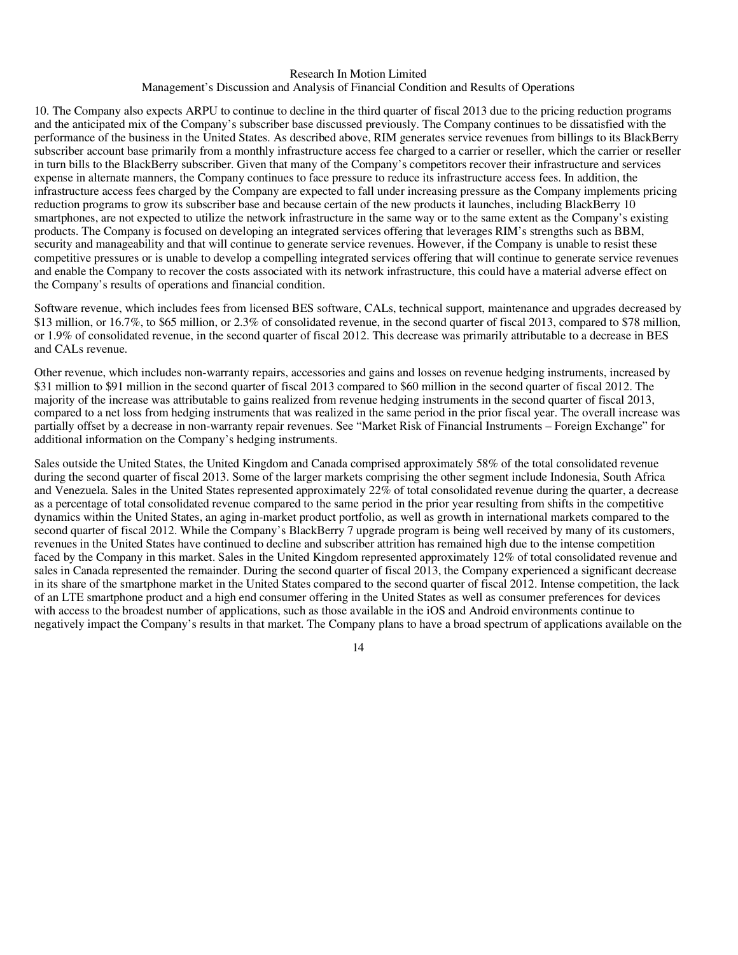10. The Company also expects ARPU to continue to decline in the third quarter of fiscal 2013 due to the pricing reduction programs and the anticipated mix of the Company's subscriber base discussed previously. The Company continues to be dissatisfied with the performance of the business in the United States. As described above, RIM generates service revenues from billings to its BlackBerry subscriber account base primarily from a monthly infrastructure access fee charged to a carrier or reseller, which the carrier or reseller in turn bills to the BlackBerry subscriber. Given that many of the Company's competitors recover their infrastructure and services expense in alternate manners, the Company continues to face pressure to reduce its infrastructure access fees. In addition, the infrastructure access fees charged by the Company are expected to fall under increasing pressure as the Company implements pricing reduction programs to grow its subscriber base and because certain of the new products it launches, including BlackBerry 10 smartphones, are not expected to utilize the network infrastructure in the same way or to the same extent as the Company's existing products. The Company is focused on developing an integrated services offering that leverages RIM's strengths such as BBM, security and manageability and that will continue to generate service revenues. However, if the Company is unable to resist these competitive pressures or is unable to develop a compelling integrated services offering that will continue to generate service revenues and enable the Company to recover the costs associated with its network infrastructure, this could have a material adverse effect on the Company's results of operations and financial condition.

Software revenue, which includes fees from licensed BES software, CALs, technical support, maintenance and upgrades decreased by \$13 million, or 16.7%, to \$65 million, or 2.3% of consolidated revenue, in the second quarter of fiscal 2013, compared to \$78 million, or 1.9% of consolidated revenue, in the second quarter of fiscal 2012. This decrease was primarily attributable to a decrease in BES and CALs revenue.

Other revenue, which includes non-warranty repairs, accessories and gains and losses on revenue hedging instruments, increased by \$31 million to \$91 million in the second quarter of fiscal 2013 compared to \$60 million in the second quarter of fiscal 2012. The majority of the increase was attributable to gains realized from revenue hedging instruments in the second quarter of fiscal 2013, compared to a net loss from hedging instruments that was realized in the same period in the prior fiscal year. The overall increase was partially offset by a decrease in non-warranty repair revenues. See "Market Risk of Financial Instruments – Foreign Exchange" for additional information on the Company's hedging instruments.

Sales outside the United States, the United Kingdom and Canada comprised approximately 58% of the total consolidated revenue during the second quarter of fiscal 2013. Some of the larger markets comprising the other segment include Indonesia, South Africa and Venezuela. Sales in the United States represented approximately  $22\%$  of total consolidated revenue during the quarter, a decrease as a percentage of total consolidated revenue compared to the same period in the prior year resulting from shifts in the competitive dynamics within the United States, an aging in-market product portfolio, as well as growth in international markets compared to the second quarter of fiscal 2012. While the Company's BlackBerry 7 upgrade program is being well received by many of its customers, revenues in the United States have continued to decline and subscriber attrition has remained high due to the intense competition faced by the Company in this market. Sales in the United Kingdom represented approximately 12% of total consolidated revenue and sales in Canada represented the remainder. During the second quarter of fiscal 2013, the Company experienced a significant decrease in its share of the smartphone market in the United States compared to the second quarter of fiscal 2012. Intense competition, the lack of an LTE smartphone product and a high end consumer offering in the United States as well as consumer preferences for devices with access to the broadest number of applications, such as those available in the iOS and Android environments continue to negatively impact the Company's results in that market. The Company plans to have a broad spectrum of applications available on the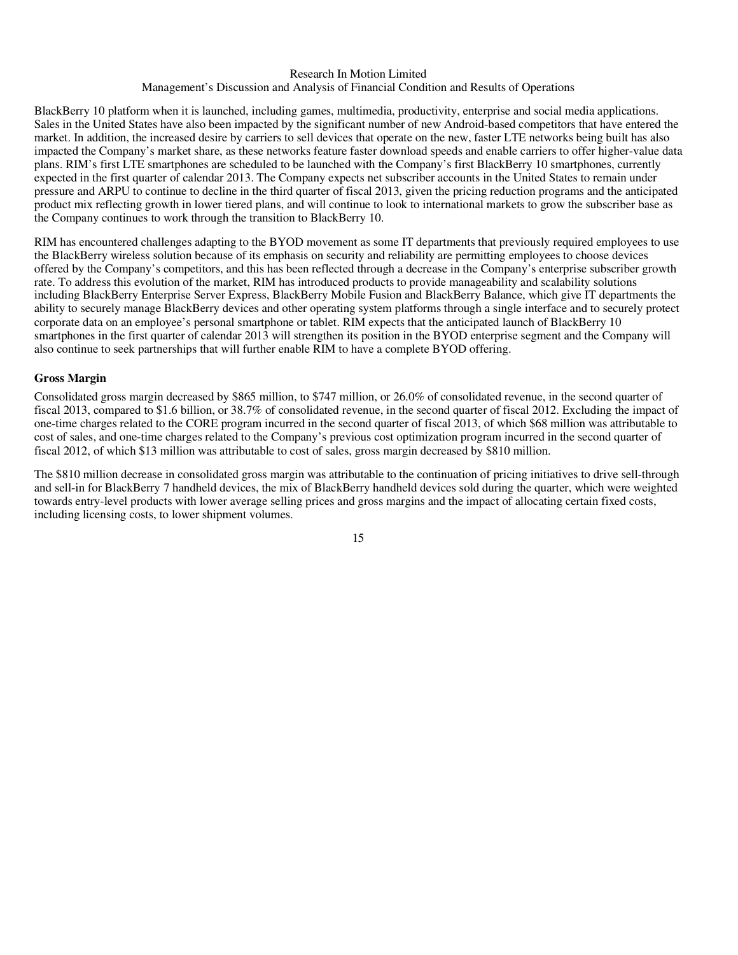#### Management's Discussion and Analysis of Financial Condition and Results of Operations

BlackBerry 10 platform when it is launched, including games, multimedia, productivity, enterprise and social media applications. Sales in the United States have also been impacted by the significant number of new Android-based competitors that have entered the market. In addition, the increased desire by carriers to sell devices that operate on the new, faster LTE networks being built has also impacted the Company's market share, as these networks feature faster download speeds and enable carriers to offer higher-value data plans. RIM's first LTE smartphones are scheduled to be launched with the Company's first BlackBerry 10 smartphones, currently expected in the first quarter of calendar 2013. The Company expects net subscriber accounts in the United States to remain under pressure and ARPU to continue to decline in the third quarter of fiscal 2013, given the pricing reduction programs and the anticipated product mix reflecting growth in lower tiered plans, and will continue to look to international markets to grow the subscriber base as the Company continues to work through the transition to BlackBerry 10.

RIM has encountered challenges adapting to the BYOD movement as some IT departments that previously required employees to use the BlackBerry wireless solution because of its emphasis on security and reliability are permitting employees to choose devices offered by the Company's competitors, and this has been reflected through a decrease in the Company's enterprise subscriber growth rate. To address this evolution of the market, RIM has introduced products to provide manageability and scalability solutions including BlackBerry Enterprise Server Express, BlackBerry Mobile Fusion and BlackBerry Balance, which give IT departments the ability to securely manage BlackBerry devices and other operating system platforms through a single interface and to securely protect corporate data on an employee's personal smartphone or tablet. RIM expects that the anticipated launch of BlackBerry 10 smartphones in the first quarter of calendar 2013 will strengthen its position in the BYOD enterprise segment and the Company will also continue to seek partnerships that will further enable RIM to have a complete BYOD offering.

## **Gross Margin**

Consolidated gross margin decreased by \$865 million, to \$747 million, or 26.0% of consolidated revenue, in the second quarter of fiscal 2013, compared to \$1.6 billion, or 38.7% of consolidated revenue, in the second quarter of fiscal 2012. Excluding the impact of one-time charges related to the CORE program incurred in the second quarter of fiscal 2013, of which \$68 million was attributable to cost of sales, and one-time charges related to the Company's previous cost optimization program incurred in the second quarter of fiscal 2012, of which \$13 million was attributable to cost of sales, gross margin decreased by \$810 million.

The \$810 million decrease in consolidated gross margin was attributable to the continuation of pricing initiatives to drive sell-through and sell-in for BlackBerry 7 handheld devices, the mix of BlackBerry handheld devices sold during the quarter, which were weighted towards entry-level products with lower average selling prices and gross margins and the impact of allocating certain fixed costs, including licensing costs, to lower shipment volumes.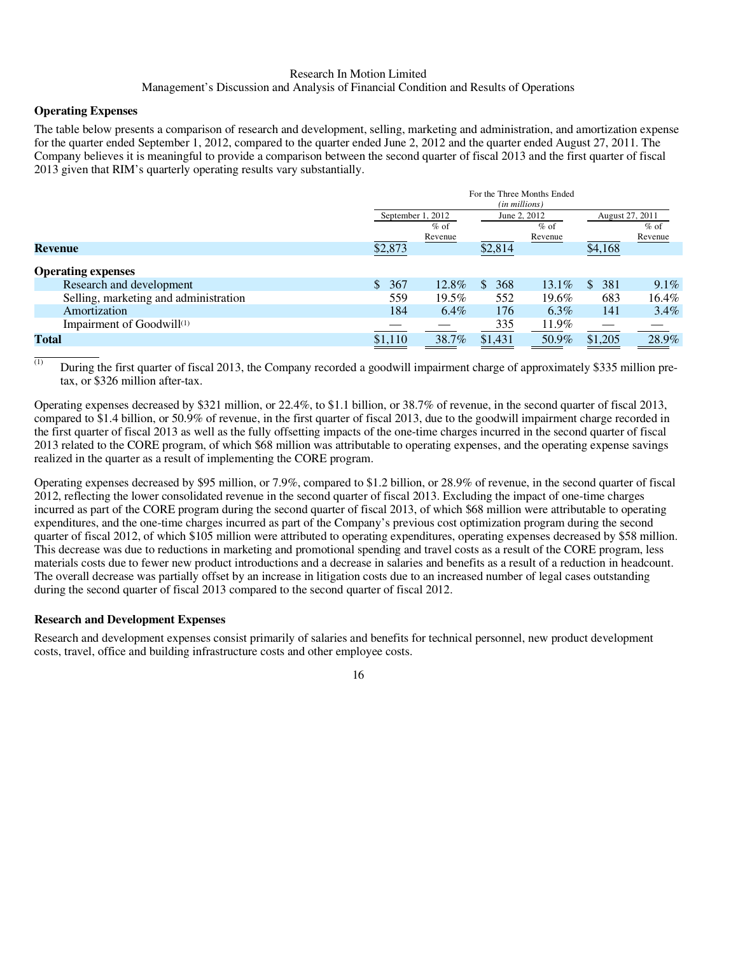## **Operating Expenses**

The table below presents a comparison of research and development, selling, marketing and administration, and amortization expense for the quarter ended September 1, 2012, compared to the quarter ended June 2, 2012 and the quarter ended August 27, 2011. The Company believes it is meaningful to provide a comparison between the second quarter of fiscal 2013 and the first quarter of fiscal 2013 given that RIM's quarterly operating results vary substantially.

|                                       | For the Three Months Ended<br>(in millions) |          |                     |          |           |                 |  |
|---------------------------------------|---------------------------------------------|----------|---------------------|----------|-----------|-----------------|--|
|                                       | September 1, 2012                           |          | June 2, 2012        |          |           | August 27, 2011 |  |
|                                       |                                             | $%$ of   |                     | $%$ of   |           | $%$ of          |  |
|                                       |                                             | Revenue  |                     | Revenue  |           | Revenue         |  |
| <b>Revenue</b>                        | \$2,873                                     |          | \$2,814             |          | \$4,168   |                 |  |
| <b>Operating expenses</b>             |                                             |          |                     |          |           |                 |  |
| Research and development              | 367<br>$\mathbb{S}$                         | 12.8%    | 368<br>$\mathbb{S}$ | $13.1\%$ | 381<br>\$ | $9.1\%$         |  |
| Selling, marketing and administration | 559                                         | $19.5\%$ | 552                 | $19.6\%$ | 683       | 16.4%           |  |
| Amortization                          | 184                                         | 6.4%     | 176                 | $6.3\%$  | 141       | $3.4\%$         |  |
| Impairment of Goodwill <sup>(1)</sup> |                                             |          | 335                 | 11.9%    |           |                 |  |
| Total                                 | \$1,110                                     | 38.7%    | \$1,431             | 50.9%    | \$1,205   | 28.9%           |  |

## (1)

During the first quarter of fiscal 2013, the Company recorded a goodwill impairment charge of approximately \$335 million pretax, or \$326 million after-tax.

Operating expenses decreased by \$321 million, or 22.4%, to \$1.1 billion, or 38.7% of revenue, in the second quarter of fiscal 2013, compared to \$1.4 billion, or 50.9% of revenue, in the first quarter of fiscal 2013, due to the goodwill impairment charge recorded in the first quarter of fiscal 2013 as well as the fully offsetting impacts of the one-time charges incurred in the second quarter of fiscal 2013 related to the CORE program, of which \$68 million was attributable to operating expenses, and the operating expense savings realized in the quarter as a result of implementing the CORE program.

Operating expenses decreased by \$95 million, or 7.9%, compared to \$1.2 billion, or 28.9% of revenue, in the second quarter of fiscal 2012, reflecting the lower consolidated revenue in the second quarter of fiscal 2013. Excluding the impact of one-time charges incurred as part of the CORE program during the second quarter of fiscal 2013, of which \$68 million were attributable to operating expenditures, and the one-time charges incurred as part of the Company's previous cost optimization program during the second quarter of fiscal 2012, of which \$105 million were attributed to operating expenditures, operating expenses decreased by \$58 million. This decrease was due to reductions in marketing and promotional spending and travel costs as a result of the CORE program, less materials costs due to fewer new product introductions and a decrease in salaries and benefits as a result of a reduction in headcount. The overall decrease was partially offset by an increase in litigation costs due to an increased number of legal cases outstanding during the second quarter of fiscal 2013 compared to the second quarter of fiscal 2012.

#### **Research and Development Expenses**

Research and development expenses consist primarily of salaries and benefits for technical personnel, new product development costs, travel, office and building infrastructure costs and other employee costs.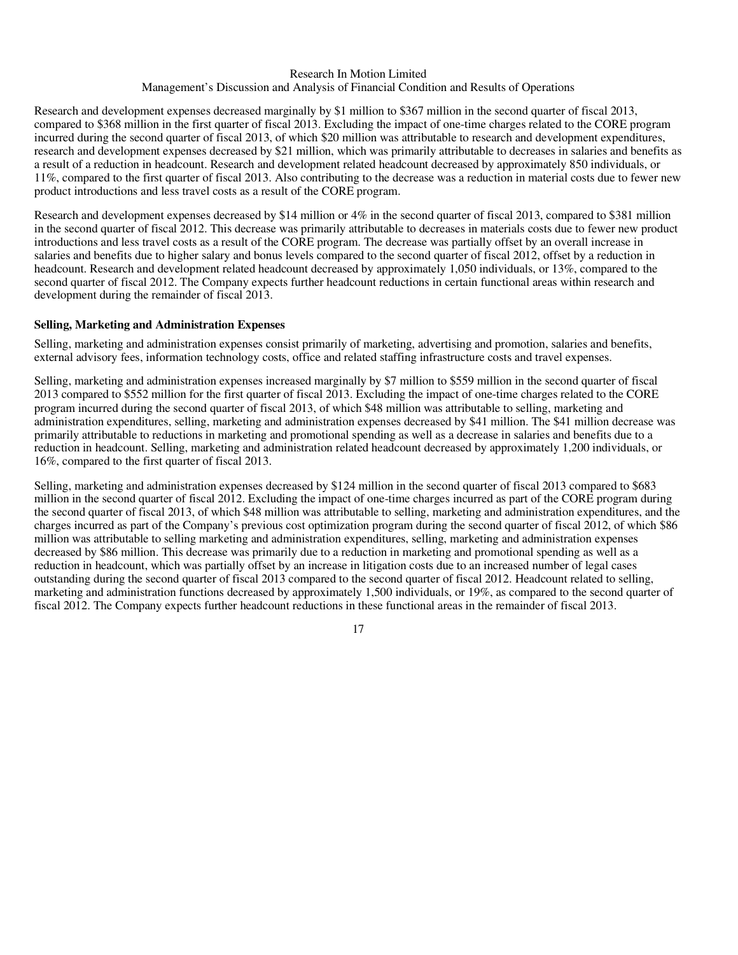Research and development expenses decreased marginally by \$1 million to \$367 million in the second quarter of fiscal 2013, compared to \$368 million in the first quarter of fiscal 2013. Excluding the impact of one-time charges related to the CORE program incurred during the second quarter of fiscal 2013, of which \$20 million was attributable to research and development expenditures, research and development expenses decreased by \$21 million, which was primarily attributable to decreases in salaries and benefits as a result of a reduction in headcount. Research and development related headcount decreased by approximately 850 individuals, or 11%, compared to the first quarter of fiscal 2013. Also contributing to the decrease was a reduction in material costs due to fewer new product introductions and less travel costs as a result of the CORE program.

Research and development expenses decreased by \$14 million or 4% in the second quarter of fiscal 2013, compared to \$381 million in the second quarter of fiscal 2012. This decrease was primarily attributable to decreases in materials costs due to fewer new product introductions and less travel costs as a result of the CORE program. The decrease was partially offset by an overall increase in salaries and benefits due to higher salary and bonus levels compared to the second quarter of fiscal 2012, offset by a reduction in headcount. Research and development related headcount decreased by approximately 1,050 individuals, or 13%, compared to the second quarter of fiscal 2012. The Company expects further headcount reductions in certain functional areas within research and development during the remainder of fiscal 2013.

## **Selling, Marketing and Administration Expenses**

Selling, marketing and administration expenses consist primarily of marketing, advertising and promotion, salaries and benefits, external advisory fees, information technology costs, office and related staffing infrastructure costs and travel expenses.

Selling, marketing and administration expenses increased marginally by \$7 million to \$559 million in the second quarter of fiscal 2013 compared to \$552 million for the first quarter of fiscal 2013. Excluding the impact of one-time charges related to the CORE program incurred during the second quarter of fiscal 2013, of which \$48 million was attributable to selling, marketing and administration expenditures, selling, marketing and administration expenses decreased by \$41 million. The \$41 million decrease was primarily attributable to reductions in marketing and promotional spending as well as a decrease in salaries and benefits due to a reduction in headcount. Selling, marketing and administration related headcount decreased by approximately 1,200 individuals, or 16%, compared to the first quarter of fiscal 2013.

Selling, marketing and administration expenses decreased by \$124 million in the second quarter of fiscal 2013 compared to \$683 million in the second quarter of fiscal 2012. Excluding the impact of one-time charges incurred as part of the CORE program during the second quarter of fiscal 2013, of which \$48 million was attributable to selling, marketing and administration expenditures, and the charges incurred as part of the Company's previous cost optimization program during the second quarter of fiscal 2012, of which \$86 million was attributable to selling marketing and administration expenditures, selling, marketing and administration expenses decreased by \$86 million. This decrease was primarily due to a reduction in marketing and promotional spending as well as a reduction in headcount, which was partially offset by an increase in litigation costs due to an increased number of legal cases outstanding during the second quarter of fiscal 2013 compared to the second quarter of fiscal 2012. Headcount related to selling, marketing and administration functions decreased by approximately 1,500 individuals, or 19%, as compared to the second quarter of fiscal 2012. The Company expects further headcount reductions in these functional areas in the remainder of fiscal 2013.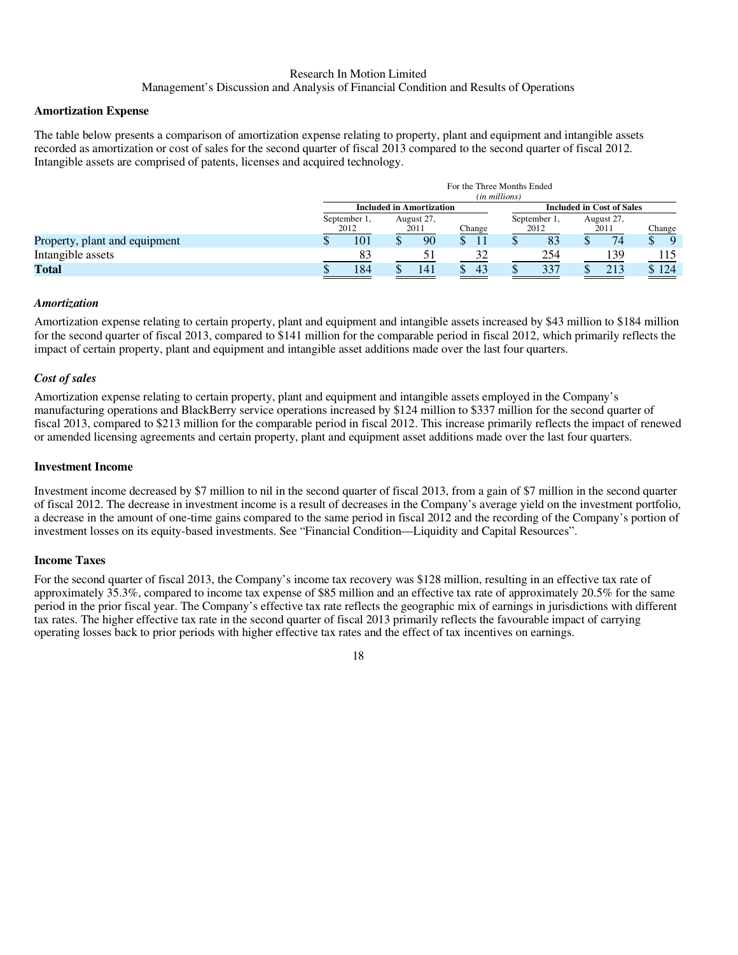## **Amortization Expense**

The table below presents a comparison of amortization expense relating to property, plant and equipment and intangible assets recorded as amortization or cost of sales for the second quarter of fiscal 2013 compared to the second quarter of fiscal 2012. Intangible assets are comprised of patents, licenses and acquired technology.

|                               |                     | For the Three Months Ended                                                           |        |                      |                    |        |  |  |  |  |  |  |  |
|-------------------------------|---------------------|--------------------------------------------------------------------------------------|--------|----------------------|--------------------|--------|--|--|--|--|--|--|--|
|                               |                     | (in millions)<br><b>Included in Cost of Sales</b><br><b>Included in Amortization</b> |        |                      |                    |        |  |  |  |  |  |  |  |
|                               | September 1<br>2012 | August 27,<br>2011                                                                   | Change | September 1,<br>2012 | August 27,<br>2011 | Change |  |  |  |  |  |  |  |
| Property, plant and equipment | 101                 | 90                                                                                   |        | 83                   | 74                 | 9      |  |  |  |  |  |  |  |
| Intangible assets             | 83                  |                                                                                      |        | 254                  | 139.               |        |  |  |  |  |  |  |  |
| <b>Total</b>                  | 184                 | 141                                                                                  | 43     | 337                  | 213                | \$124  |  |  |  |  |  |  |  |

#### *Amortization*

Amortization expense relating to certain property, plant and equipment and intangible assets increased by \$43 million to \$184 million for the second quarter of fiscal 2013, compared to \$141 million for the comparable period in fiscal 2012, which primarily reflects the impact of certain property, plant and equipment and intangible asset additions made over the last four quarters.

## *Cost of sales*

Amortization expense relating to certain property, plant and equipment and intangible assets employed in the Company's manufacturing operations and BlackBerry service operations increased by \$124 million to \$337 million for the second quarter of fiscal 2013, compared to \$213 million for the comparable period in fiscal 2012. This increase primarily reflects the impact of renewed or amended licensing agreements and certain property, plant and equipment asset additions made over the last four quarters.

## **Investment Income**

Investment income decreased by \$7 million to nil in the second quarter of fiscal 2013, from a gain of \$7 million in the second quarter of fiscal 2012. The decrease in investment income is a result of decreases in the Company's average yield on the investment portfolio, a decrease in the amount of one-time gains compared to the same period in fiscal 2012 and the recording of the Company's portion of investment losses on its equity-based investments. See "Financial Condition—Liquidity and Capital Resources".

#### **Income Taxes**

For the second quarter of fiscal 2013, the Company's income tax recovery was \$128 million, resulting in an effective tax rate of approximately 35.3%, compared to income tax expense of \$85 million and an effective tax rate of approximately 20.5% for the same period in the prior fiscal year. The Company's effective tax rate reflects the geographic mix of earnings in jurisdictions with different tax rates. The higher effective tax rate in the second quarter of fiscal 2013 primarily reflects the favourable impact of carrying operating losses back to prior periods with higher effective tax rates and the effect of tax incentives on earnings.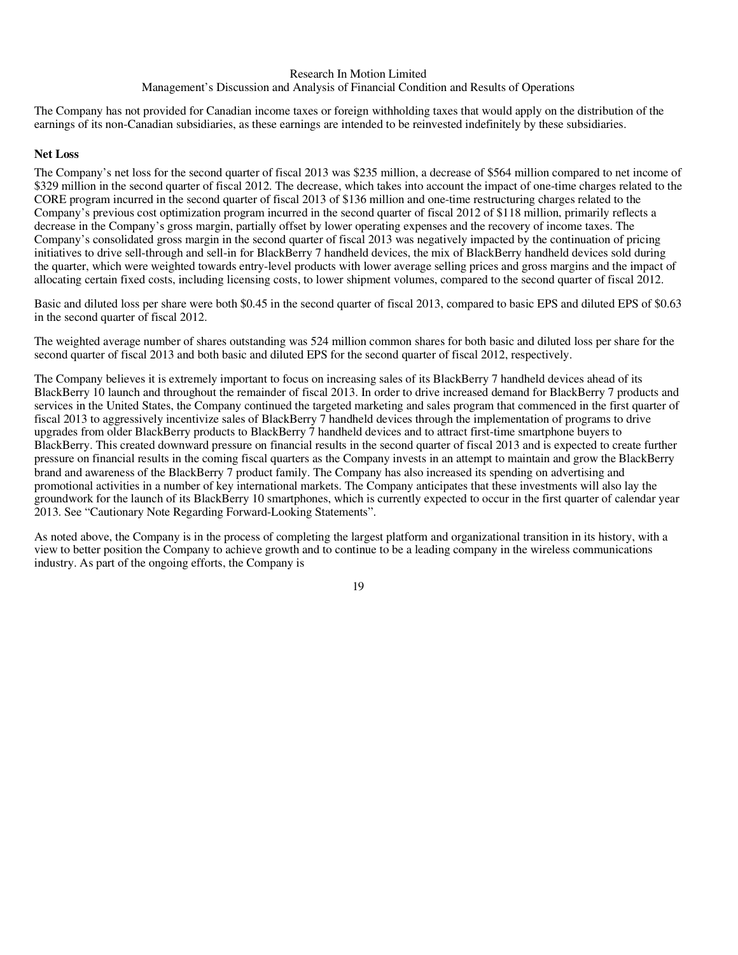The Company has not provided for Canadian income taxes or foreign withholding taxes that would apply on the distribution of the earnings of its non-Canadian subsidiaries, as these earnings are intended to be reinvested indefinitely by these subsidiaries.

## **Net Loss**

The Company's net loss for the second quarter of fiscal 2013 was \$235 million, a decrease of \$564 million compared to net income of \$329 million in the second quarter of fiscal 2012. The decrease, which takes into account the impact of one-time charges related to the CORE program incurred in the second quarter of fiscal 2013 of \$136 million and one-time restructuring charges related to the Company's previous cost optimization program incurred in the second quarter of fiscal 2012 of \$118 million, primarily reflects a decrease in the Company's gross margin, partially offset by lower operating expenses and the recovery of income taxes. The Company's consolidated gross margin in the second quarter of fiscal 2013 was negatively impacted by the continuation of pricing initiatives to drive sell-through and sell-in for BlackBerry 7 handheld devices, the mix of BlackBerry handheld devices sold during the quarter, which were weighted towards entry-level products with lower average selling prices and gross margins and the impact of allocating certain fixed costs, including licensing costs, to lower shipment volumes, compared to the second quarter of fiscal 2012.

Basic and diluted loss per share were both \$0.45 in the second quarter of fiscal 2013, compared to basic EPS and diluted EPS of \$0.63 in the second quarter of fiscal 2012.

The weighted average number of shares outstanding was 524 million common shares for both basic and diluted loss per share for the second quarter of fiscal 2013 and both basic and diluted EPS for the second quarter of fiscal 2012, respectively.

The Company believes it is extremely important to focus on increasing sales of its BlackBerry 7 handheld devices ahead of its BlackBerry 10 launch and throughout the remainder of fiscal 2013. In order to drive increased demand for BlackBerry 7 products and services in the United States, the Company continued the targeted marketing and sales program that commenced in the first quarter of fiscal 2013 to aggressively incentivize sales of BlackBerry 7 handheld devices through the implementation of programs to drive upgrades from older BlackBerry products to BlackBerry 7 handheld devices and to attract first-time smartphone buyers to BlackBerry. This created downward pressure on financial results in the second quarter of fiscal 2013 and is expected to create further pressure on financial results in the coming fiscal quarters as the Company invests in an attempt to maintain and grow the BlackBerry brand and awareness of the BlackBerry 7 product family. The Company has also increased its spending on advertising and promotional activities in a number of key international markets. The Company anticipates that these investments will also lay the groundwork for the launch of its BlackBerry 10 smartphones, which is currently expected to occur in the first quarter of calendar year 2013. See "Cautionary Note Regarding Forward-Looking Statements".

As noted above, the Company is in the process of completing the largest platform and organizational transition in its history, with a view to better position the Company to achieve growth and to continue to be a leading company in the wireless communications industry. As part of the ongoing efforts, the Company is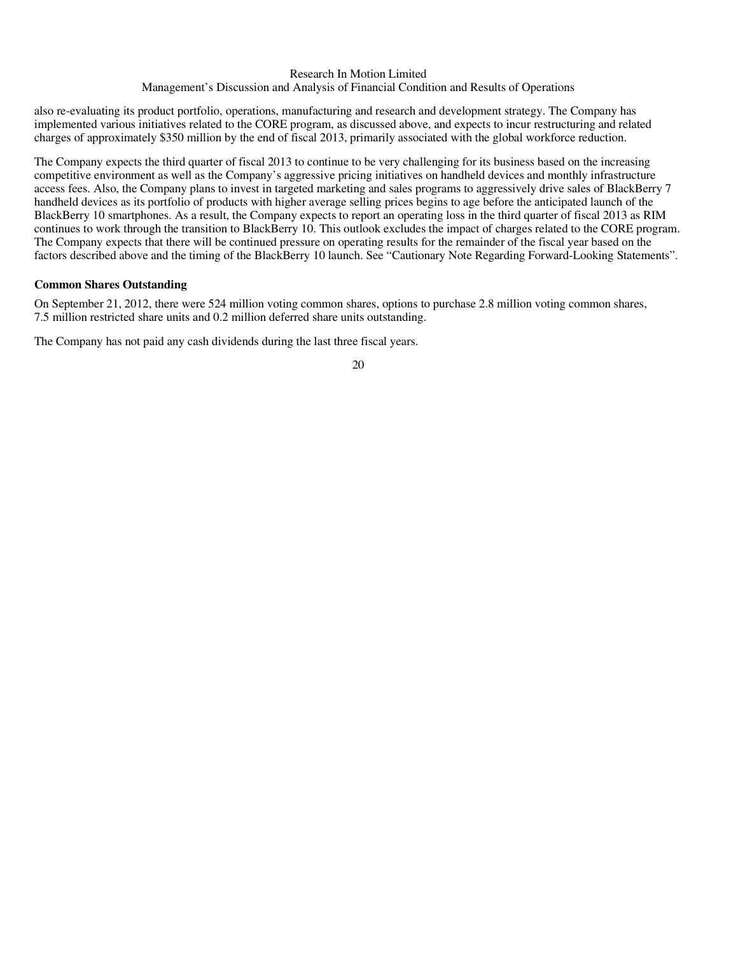also re-evaluating its product portfolio, operations, manufacturing and research and development strategy. The Company has implemented various initiatives related to the CORE program, as discussed above, and expects to incur restructuring and related charges of approximately \$350 million by the end of fiscal 2013, primarily associated with the global workforce reduction.

The Company expects the third quarter of fiscal 2013 to continue to be very challenging for its business based on the increasing competitive environment as well as the Company's aggressive pricing initiatives on handheld devices and monthly infrastructure access fees. Also, the Company plans to invest in targeted marketing and sales programs to aggressively drive sales of BlackBerry 7 handheld devices as its portfolio of products with higher average selling prices begins to age before the anticipated launch of the BlackBerry 10 smartphones. As a result, the Company expects to report an operating loss in the third quarter of fiscal 2013 as RIM continues to work through the transition to BlackBerry 10. This outlook excludes the impact of charges related to the CORE program. The Company expects that there will be continued pressure on operating results for the remainder of the fiscal year based on the factors described above and the timing of the BlackBerry 10 launch. See "Cautionary Note Regarding Forward-Looking Statements".

## **Common Shares Outstanding**

On September 21, 2012, there were 524 million voting common shares, options to purchase 2.8 million voting common shares, 7.5 million restricted share units and 0.2 million deferred share units outstanding.

The Company has not paid any cash dividends during the last three fiscal years.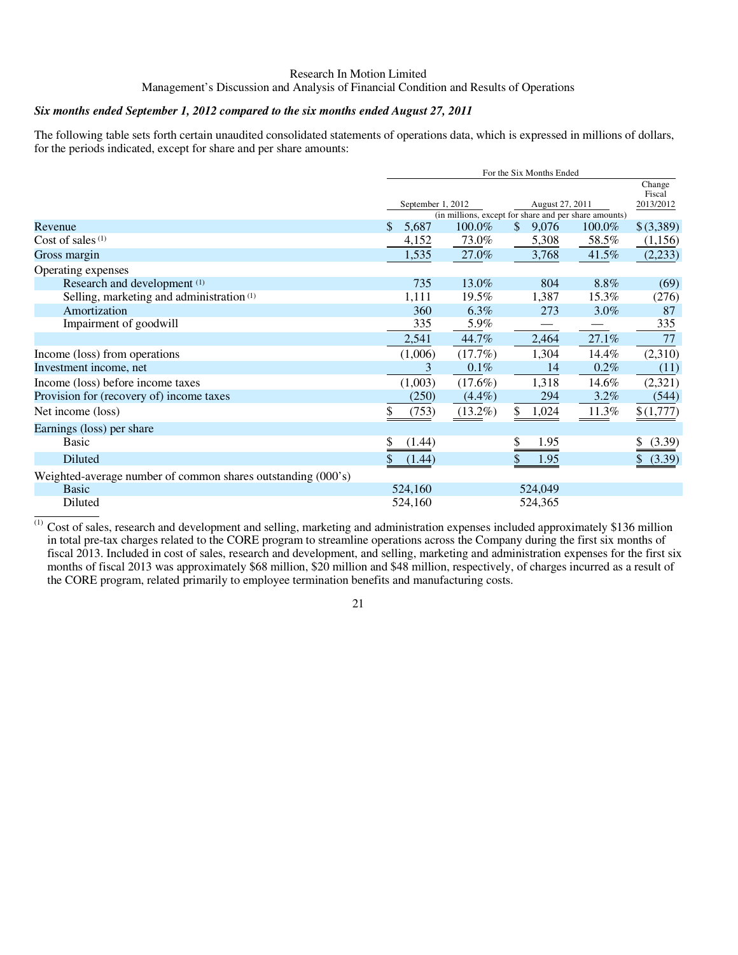## *Six months ended September 1, 2012 compared to the six months ended August 27, 2011*

The following table sets forth certain unaudited consolidated statements of operations data, which is expressed in millions of dollars, for the periods indicated, except for share and per share amounts:

|                                                              | For the Six Months Ended |            |                                                       |         |                  |  |  |  |
|--------------------------------------------------------------|--------------------------|------------|-------------------------------------------------------|---------|------------------|--|--|--|
|                                                              |                          |            |                                                       |         | Change<br>Fiscal |  |  |  |
|                                                              | September 1, 2012        |            | August 27, 2011                                       |         | 2013/2012        |  |  |  |
|                                                              |                          |            | (in millions, except for share and per share amounts) |         |                  |  |  |  |
| Revenue                                                      | 5,687<br>S.              | 100.0%     | <sup>\$</sup><br>9,076                                | 100.0%  | \$(3,389)        |  |  |  |
| Cost of sales $(1)$                                          | 4,152                    | 73.0%      | 5,308                                                 | 58.5%   | (1,156)          |  |  |  |
| Gross margin                                                 | 1,535                    | 27.0%      | 3,768                                                 | 41.5%   | (2,233)          |  |  |  |
| Operating expenses                                           |                          |            |                                                       |         |                  |  |  |  |
| Research and development (1)                                 | 735                      | 13.0%      | 804                                                   | 8.8%    | (69)             |  |  |  |
| Selling, marketing and administration <sup>(1)</sup>         | 1,111                    | 19.5%      | 1,387                                                 | 15.3%   | (276)            |  |  |  |
| Amortization                                                 | 360                      | $6.3\%$    | 273                                                   | $3.0\%$ | 87               |  |  |  |
| Impairment of goodwill                                       | 335                      | 5.9%       |                                                       |         | 335              |  |  |  |
|                                                              | 2,541                    | 44.7%      | 2,464                                                 | 27.1%   | 77               |  |  |  |
| Income (loss) from operations                                | (1,006)                  | (17.7%)    | 1,304                                                 | 14.4%   | (2,310)          |  |  |  |
| Investment income, net                                       | 3                        | $0.1\%$    | 14                                                    | 0.2%    | (11)             |  |  |  |
| Income (loss) before income taxes                            | (1,003)                  | $(17.6\%)$ | 1,318                                                 | 14.6%   | (2,321)          |  |  |  |
| Provision for (recovery of) income taxes                     | (250)                    | $(4.4\%)$  | 294                                                   | $3.2\%$ | (544)            |  |  |  |
| Net income (loss)                                            | (753)                    | $(13.2\%)$ | 1,024                                                 | 11.3%   | \$(1,777)        |  |  |  |
| Earnings (loss) per share                                    |                          |            |                                                       |         |                  |  |  |  |
| Basic                                                        | (1.44)                   |            | 1.95                                                  |         | (3.39)           |  |  |  |
| Diluted                                                      | (1.44)                   |            | 1.95                                                  |         | (3.39)           |  |  |  |
| Weighted-average number of common shares outstanding (000's) |                          |            |                                                       |         |                  |  |  |  |
| Basic                                                        | 524,160                  |            | 524,049                                               |         |                  |  |  |  |
| Diluted                                                      | 524,160                  |            | 524,365                                               |         |                  |  |  |  |

 $<sup>(1)</sup>$  Cost of sales, research and development and selling, marketing and administration expenses included approximately \$136 million</sup> in total pre-tax charges related to the CORE program to streamline operations across the Company during the first six months of fiscal 2013. Included in cost of sales, research and development, and selling, marketing and administration expenses for the first six months of fiscal 2013 was approximately \$68 million, \$20 million and \$48 million, respectively, of charges incurred as a result of the CORE program, related primarily to employee termination benefits and manufacturing costs.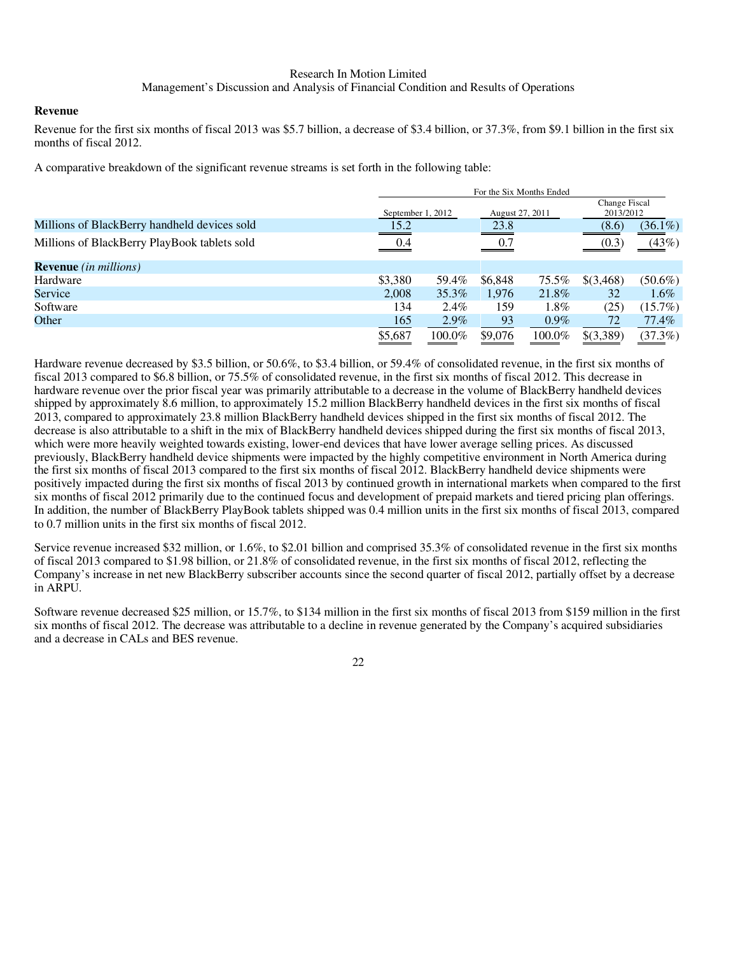#### **Revenue**

Revenue for the first six months of fiscal 2013 was \$5.7 billion, a decrease of \$3.4 billion, or 37.3%, from \$9.1 billion in the first six months of fiscal 2012.

A comparative breakdown of the significant revenue streams is set forth in the following table:

|                                              | For the Six Months Ended |         |                 |         |                            |            |  |  |  |  |
|----------------------------------------------|--------------------------|---------|-----------------|---------|----------------------------|------------|--|--|--|--|
|                                              | September 1, 2012        |         | August 27, 2011 |         | Change Fiscal<br>2013/2012 |            |  |  |  |  |
| Millions of BlackBerry handheld devices sold | 15.2<br>$\sim$           |         | 23.8            |         | (8.6)                      | $(36.1\%)$ |  |  |  |  |
| Millions of BlackBerry PlayBook tablets sold | 0.4                      |         | 0.7             |         | (0.3)                      | (43%)      |  |  |  |  |
| <b>Revenue</b> (in millions)                 |                          |         |                 |         |                            |            |  |  |  |  |
| Hardware                                     | \$3,380                  | 59.4%   | \$6,848         | 75.5%   | \$(3,468)                  | $(50.6\%)$ |  |  |  |  |
| Service                                      | 2,008                    | 35.3%   | 1,976           | 21.8%   | 32                         | $1.6\%$    |  |  |  |  |
| Software                                     | 134                      | $2.4\%$ | 159             | $1.8\%$ | (25)                       | $(15.7\%)$ |  |  |  |  |
| Other                                        | 165                      | $2.9\%$ | 93              | $0.9\%$ |                            | 77.4%      |  |  |  |  |
|                                              | \$5,687                  | 100.0%  | \$9,076         | 100.0%  | \$(3,389)                  | (37.3%)    |  |  |  |  |

Hardware revenue decreased by \$3.5 billion, or 50.6%, to \$3.4 billion, or 59.4% of consolidated revenue, in the first six months of fiscal 2013 compared to \$6.8 billion, or 75.5% of consolidated revenue, in the first six months of fiscal 2012. This decrease in hardware revenue over the prior fiscal year was primarily attributable to a decrease in the volume of BlackBerry handheld devices shipped by approximately 8.6 million, to approximately 15.2 million BlackBerry handheld devices in the first six months of fiscal 2013, compared to approximately 23.8 million BlackBerry handheld devices shipped in the first six months of fiscal 2012. The decrease is also attributable to a shift in the mix of BlackBerry handheld devices shipped during the first six months of fiscal 2013, which were more heavily weighted towards existing, lower-end devices that have lower average selling prices. As discussed previously, BlackBerry handheld device shipments were impacted by the highly competitive environment in North America during the first six months of fiscal 2013 compared to the first six months of fiscal 2012. BlackBerry handheld device shipments were positively impacted during the first six months of fiscal 2013 by continued growth in international markets when compared to the first six months of fiscal 2012 primarily due to the continued focus and development of prepaid markets and tiered pricing plan offerings. In addition, the number of BlackBerry PlayBook tablets shipped was 0.4 million units in the first six months of fiscal 2013, compared to 0.7 million units in the first six months of fiscal 2012.

Service revenue increased \$32 million, or 1.6%, to \$2.01 billion and comprised 35.3% of consolidated revenue in the first six months of fiscal 2013 compared to \$1.98 billion, or 21.8% of consolidated revenue, in the first six months of fiscal 2012, reflecting the Company's increase in net new BlackBerry subscriber accounts since the second quarter of fiscal 2012, partially offset by a decrease in ARPU.

Software revenue decreased \$25 million, or 15.7%, to \$134 million in the first six months of fiscal 2013 from \$159 million in the first six months of fiscal 2012. The decrease was attributable to a decline in revenue generated by the Company's acquired subsidiaries and a decrease in CALs and BES revenue.

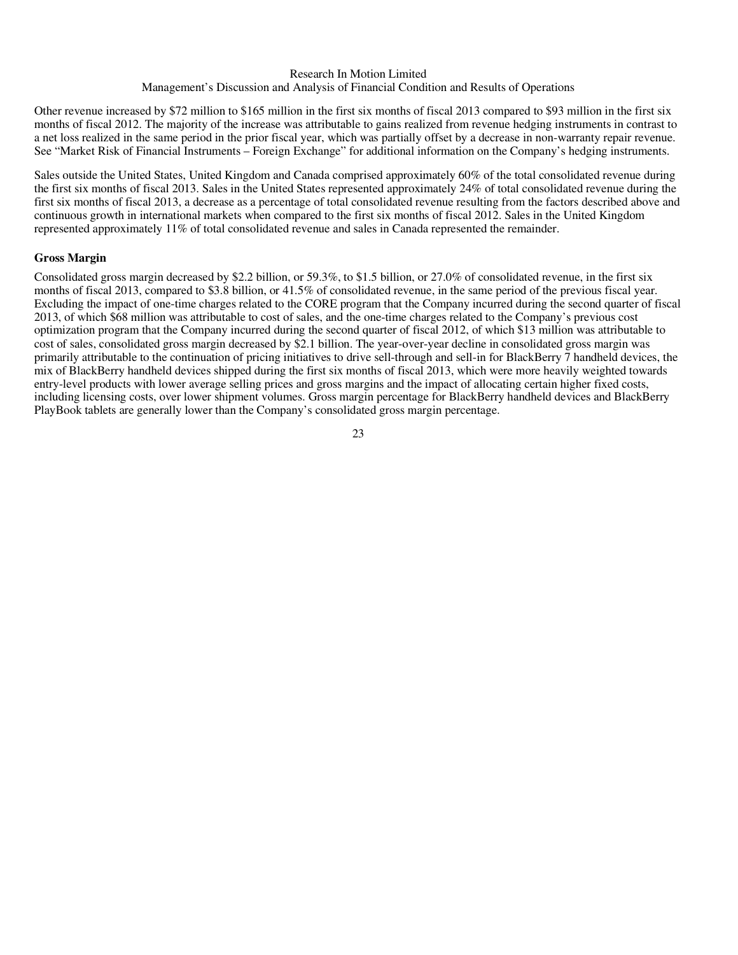#### Management's Discussion and Analysis of Financial Condition and Results of Operations

Other revenue increased by \$72 million to \$165 million in the first six months of fiscal 2013 compared to \$93 million in the first six months of fiscal 2012. The majority of the increase was attributable to gains realized from revenue hedging instruments in contrast to a net loss realized in the same period in the prior fiscal year, which was partially offset by a decrease in non-warranty repair revenue. See "Market Risk of Financial Instruments – Foreign Exchange" for additional information on the Company's hedging instruments.

Sales outside the United States, United Kingdom and Canada comprised approximately 60% of the total consolidated revenue during the first six months of fiscal 2013. Sales in the United States represented approximately 24% of total consolidated revenue during the first six months of fiscal 2013, a decrease as a percentage of total consolidated revenue resulting from the factors described above and continuous growth in international markets when compared to the first six months of fiscal 2012. Sales in the United Kingdom represented approximately 11% of total consolidated revenue and sales in Canada represented the remainder.

#### **Gross Margin**

Consolidated gross margin decreased by \$2.2 billion, or 59.3%, to \$1.5 billion, or 27.0% of consolidated revenue, in the first six months of fiscal 2013, compared to \$3.8 billion, or 41.5% of consolidated revenue, in the same period of the previous fiscal year. Excluding the impact of one-time charges related to the CORE program that the Company incurred during the second quarter of fiscal 2013, of which \$68 million was attributable to cost of sales, and the one-time charges related to the Company's previous cost optimization program that the Company incurred during the second quarter of fiscal 2012, of which \$13 million was attributable to cost of sales, consolidated gross margin decreased by \$2.1 billion. The year-over-year decline in consolidated gross margin was primarily attributable to the continuation of pricing initiatives to drive sell-through and sell-in for BlackBerry 7 handheld devices, the mix of BlackBerry handheld devices shipped during the first six months of fiscal 2013, which were more heavily weighted towards entry-level products with lower average selling prices and gross margins and the impact of allocating certain higher fixed costs, including licensing costs, over lower shipment volumes. Gross margin percentage for BlackBerry handheld devices and BlackBerry PlayBook tablets are generally lower than the Company's consolidated gross margin percentage.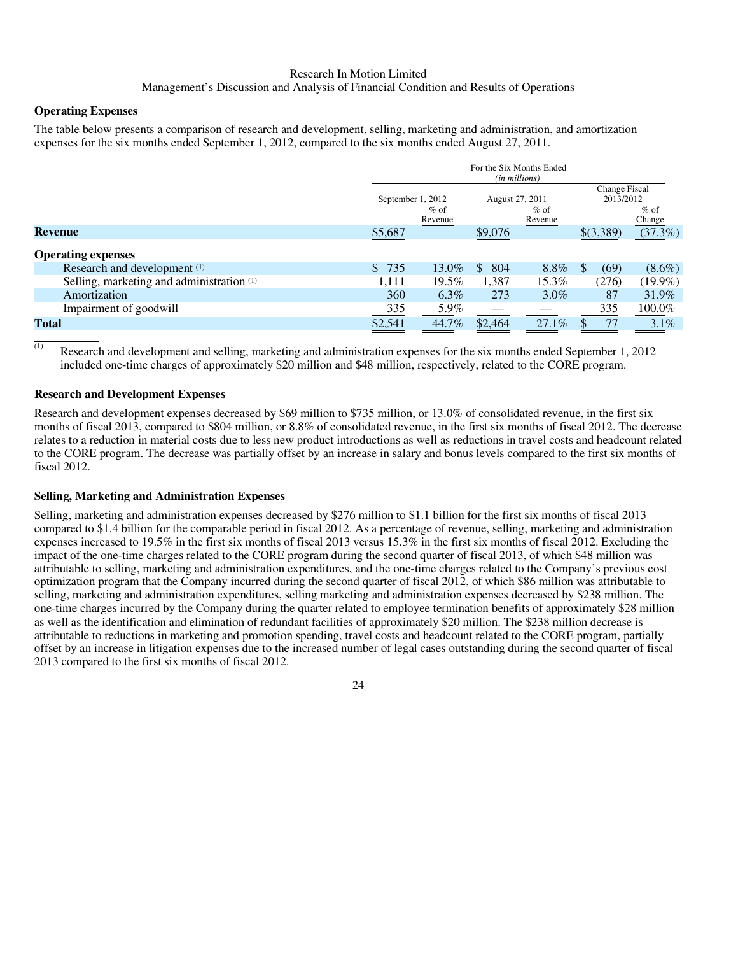## **Operating Expenses**

The table below presents a comparison of research and development, selling, marketing and administration, and amortization expenses for the six months ended September 1, 2012, compared to the six months ended August 27, 2011.

|                                                      | For the Six Months Ended<br>(in millions) |                                      |          |                   |                            |                  |  |  |  |  |
|------------------------------------------------------|-------------------------------------------|--------------------------------------|----------|-------------------|----------------------------|------------------|--|--|--|--|
|                                                      |                                           | September 1, 2012<br>August 27, 2011 |          |                   | Change Fiscal<br>2013/2012 |                  |  |  |  |  |
|                                                      |                                           | $%$ of<br>Revenue                    |          | $%$ of<br>Revenue |                            | $%$ of<br>Change |  |  |  |  |
| <b>Revenue</b>                                       | \$5,687                                   |                                      | \$9,076  |                   | \$(3,389)                  | (37.3%)          |  |  |  |  |
| <b>Operating expenses</b>                            |                                           |                                      |          |                   |                            |                  |  |  |  |  |
| Research and development (1)                         | 735<br>$\mathbb{S}^-$                     | 13.0%                                | 804<br>S | 8.8%              | (69)<br><b>S</b>           | $(8.6\%)$        |  |  |  |  |
| Selling, marketing and administration <sup>(1)</sup> | 1,111                                     | 19.5%                                | 1,387    | 15.3%             | (276)                      | $(19.9\%)$       |  |  |  |  |
| Amortization                                         | 360                                       | $6.3\%$                              | 273      | $3.0\%$           | 87                         | 31.9%            |  |  |  |  |
| Impairment of goodwill                               | 335                                       | 5.9%                                 |          |                   | 335                        | 100.0%           |  |  |  |  |
| <b>Total</b>                                         | \$2,541                                   | 44.7%                                | \$2,464  | 27.1%             | 77                         | 3.1%             |  |  |  |  |

Research and development and selling, marketing and administration expenses for the six months ended September 1, 2012 included one-time charges of approximately \$20 million and \$48 million, respectively, related to the CORE program. (1)

## **Research and Development Expenses**

Research and development expenses decreased by \$69 million to \$735 million, or 13.0% of consolidated revenue, in the first six months of fiscal 2013, compared to \$804 million, or 8.8% of consolidated revenue, in the first six months of fiscal 2012. The decrease relates to a reduction in material costs due to less new product introductions as well as reductions in travel costs and headcount related to the CORE program. The decrease was partially offset by an increase in salary and bonus levels compared to the first six months of fiscal 2012.

## **Selling, Marketing and Administration Expenses**

Selling, marketing and administration expenses decreased by \$276 million to \$1.1 billion for the first six months of fiscal 2013 compared to \$1.4 billion for the comparable period in fiscal 2012. As a percentage of revenue, selling, marketing and administration expenses increased to 19.5% in the first six months of fiscal 2013 versus 15.3% in the first six months of fiscal 2012. Excluding the impact of the one-time charges related to the CORE program during the second quarter of fiscal 2013, of which \$48 million was attributable to selling, marketing and administration expenditures, and the one-time charges related to the Company's previous cost optimization program that the Company incurred during the second quarter of fiscal 2012, of which \$86 million was attributable to selling, marketing and administration expenditures, selling marketing and administration expenses decreased by \$238 million. The one-time charges incurred by the Company during the quarter related to employee termination benefits of approximately \$28 million as well as the identification and elimination of redundant facilities of approximately \$20 million. The \$238 million decrease is attributable to reductions in marketing and promotion spending, travel costs and headcount related to the CORE program, partially offset by an increase in litigation expenses due to the increased number of legal cases outstanding during the second quarter of fiscal 2013 compared to the first six months of fiscal 2012.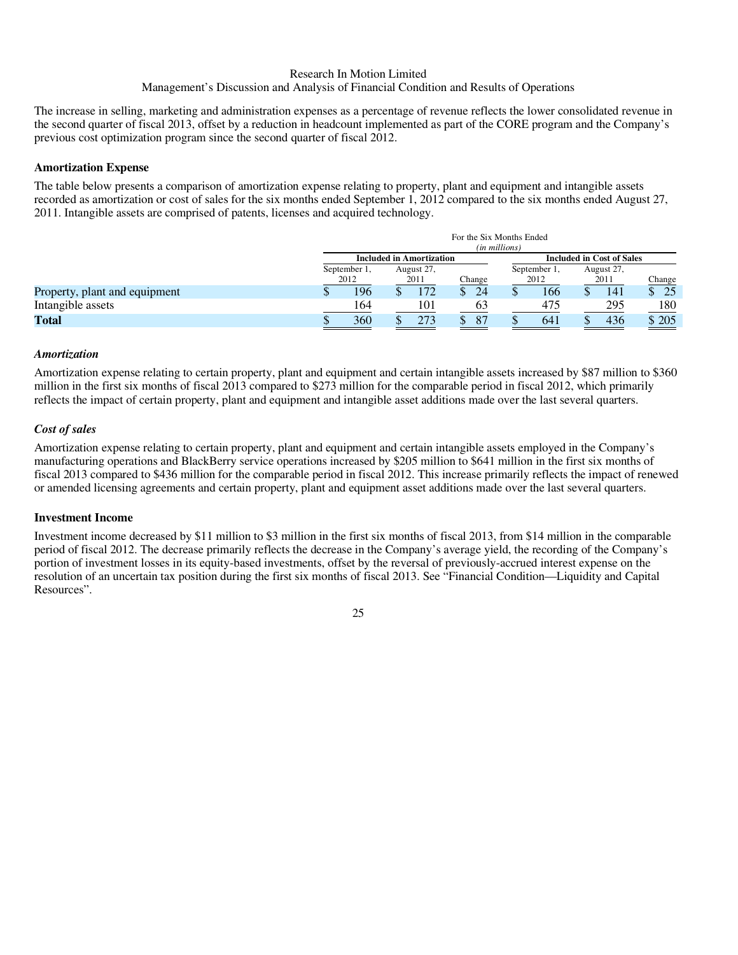The increase in selling, marketing and administration expenses as a percentage of revenue reflects the lower consolidated revenue in the second quarter of fiscal 2013, offset by a reduction in headcount implemented as part of the CORE program and the Company's previous cost optimization program since the second quarter of fiscal 2012.

## **Amortization Expense**

The table below presents a comparison of amortization expense relating to property, plant and equipment and intangible assets recorded as amortization or cost of sales for the six months ended September 1, 2012 compared to the six months ended August 27, 2011. Intangible assets are comprised of patents, licenses and acquired technology.

|                               | For the Six Months Ended<br>(in millions) |     |      |                                 |        |    |              |     |            |                                  |                  |  |
|-------------------------------|-------------------------------------------|-----|------|---------------------------------|--------|----|--------------|-----|------------|----------------------------------|------------------|--|
|                               |                                           |     |      | <b>Included in Amortization</b> |        |    |              |     |            | <b>Included in Cost of Sales</b> |                  |  |
|                               | September 1,<br>2012                      |     |      | August 27,                      |        |    | September 1, |     | August 27, |                                  |                  |  |
|                               |                                           |     | 2011 |                                 | Change |    | 2012         |     | 2011       |                                  | Change           |  |
| Property, plant and equipment |                                           | 196 |      | 172                             |        | 24 |              | 166 |            | 141                              | 25               |  |
| Intangible assets             |                                           | 164 |      | 101                             |        | 63 |              | 475 |            | 295                              | 180              |  |
| <b>Total</b>                  |                                           | 360 |      | 273                             |        | 87 |              | 641 |            | 436                              | \$ 205<br>$\sim$ |  |

## *Amortization*

Amortization expense relating to certain property, plant and equipment and certain intangible assets increased by \$87 million to \$360 million in the first six months of fiscal 2013 compared to \$273 million for the comparable period in fiscal 2012, which primarily reflects the impact of certain property, plant and equipment and intangible asset additions made over the last several quarters.

## *Cost of sales*

Amortization expense relating to certain property, plant and equipment and certain intangible assets employed in the Company's manufacturing operations and BlackBerry service operations increased by \$205 million to \$641 million in the first six months of fiscal 2013 compared to \$436 million for the comparable period in fiscal 2012. This increase primarily reflects the impact of renewed or amended licensing agreements and certain property, plant and equipment asset additions made over the last several quarters.

## **Investment Income**

Investment income decreased by \$11 million to \$3 million in the first six months of fiscal 2013, from \$14 million in the comparable period of fiscal 2012. The decrease primarily reflects the decrease in the Company's average yield, the recording of the Company's portion of investment losses in its equity-based investments, offset by the reversal of previously-accrued interest expense on the resolution of an uncertain tax position during the first six months of fiscal 2013. See "Financial Condition—Liquidity and Capital Resources".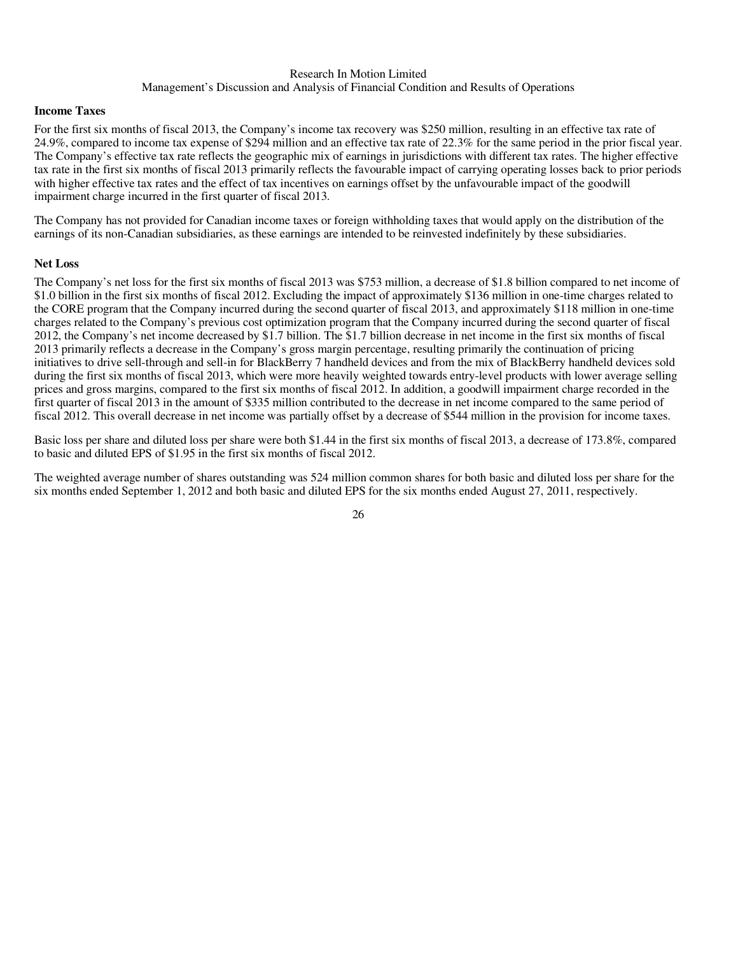#### **Income Taxes**

For the first six months of fiscal 2013, the Company's income tax recovery was \$250 million, resulting in an effective tax rate of 24.9%, compared to income tax expense of \$294 million and an effective tax rate of 22.3% for the same period in the prior fiscal year. The Company's effective tax rate reflects the geographic mix of earnings in jurisdictions with different tax rates. The higher effective tax rate in the first six months of fiscal 2013 primarily reflects the favourable impact of carrying operating losses back to prior periods with higher effective tax rates and the effect of tax incentives on earnings offset by the unfavourable impact of the goodwill impairment charge incurred in the first quarter of fiscal 2013.

The Company has not provided for Canadian income taxes or foreign withholding taxes that would apply on the distribution of the earnings of its non-Canadian subsidiaries, as these earnings are intended to be reinvested indefinitely by these subsidiaries.

#### **Net Loss**

The Company's net loss for the first six months of fiscal 2013 was \$753 million, a decrease of \$1.8 billion compared to net income of \$1.0 billion in the first six months of fiscal 2012. Excluding the impact of approximately \$136 million in one-time charges related to the CORE program that the Company incurred during the second quarter of fiscal 2013, and approximately \$118 million in one-time charges related to the Company's previous cost optimization program that the Company incurred during the second quarter of fiscal 2012, the Company's net income decreased by \$1.7 billion. The \$1.7 billion decrease in net income in the first six months of fiscal 2013 primarily reflects a decrease in the Company's gross margin percentage, resulting primarily the continuation of pricing initiatives to drive sell-through and sell-in for BlackBerry 7 handheld devices and from the mix of BlackBerry handheld devices sold during the first six months of fiscal 2013, which were more heavily weighted towards entry-level products with lower average selling prices and gross margins, compared to the first six months of fiscal 2012. In addition, a goodwill impairment charge recorded in the first quarter of fiscal 2013 in the amount of \$335 million contributed to the decrease in net income compared to the same period of fiscal 2012. This overall decrease in net income was partially offset by a decrease of \$544 million in the provision for income taxes.

Basic loss per share and diluted loss per share were both \$1.44 in the first six months of fiscal 2013, a decrease of 173.8%, compared to basic and diluted EPS of \$1.95 in the first six months of fiscal 2012.

The weighted average number of shares outstanding was 524 million common shares for both basic and diluted loss per share for the six months ended September 1, 2012 and both basic and diluted EPS for the six months ended August 27, 2011, respectively.

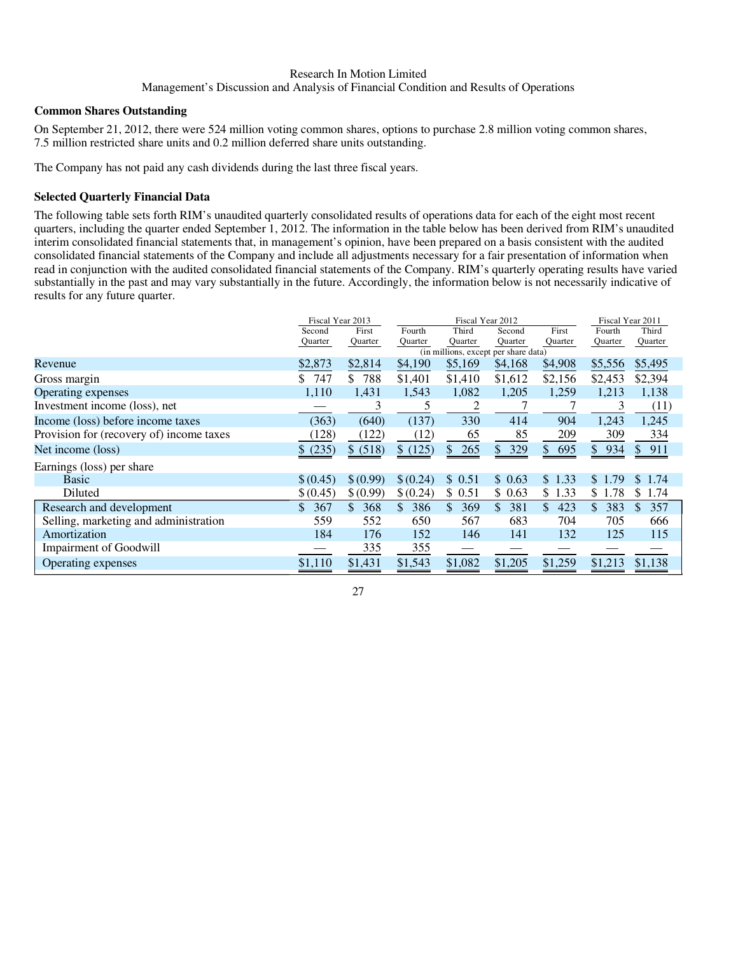#### **Common Shares Outstanding**

On September 21, 2012, there were 524 million voting common shares, options to purchase 2.8 million voting common shares, 7.5 million restricted share units and 0.2 million deferred share units outstanding.

The Company has not paid any cash dividends during the last three fiscal years.

## **Selected Quarterly Financial Data**

The following table sets forth RIM's unaudited quarterly consolidated results of operations data for each of the eight most recent quarters, including the quarter ended September 1, 2012. The information in the table below has been derived from RIM's unaudited interim consolidated financial statements that, in management's opinion, have been prepared on a basis consistent with the audited consolidated financial statements of the Company and include all adjustments necessary for a fair presentation of information when read in conjunction with the audited consolidated financial statements of the Company. RIM's quarterly operating results have varied substantially in the past and may vary substantially in the future. Accordingly, the information below is not necessarily indicative of results for any future quarter.

|                                          | Fiscal Year 2013 |            |            | Fiscal Year 2012    |                                      |                        |                     | Fiscal Year 2011 |
|------------------------------------------|------------------|------------|------------|---------------------|--------------------------------------|------------------------|---------------------|------------------|
|                                          | Second           | First      | Fourth     | Third               | Second                               | First                  | Fourth              | Third            |
|                                          | Quarter          | Quarter    | Quarter    | Quarter             | Quarter                              | Quarter                | Quarter             | Quarter          |
|                                          |                  |            |            |                     | (in millions, except per share data) |                        |                     |                  |
| Revenue                                  | \$2,873          | \$2,814    | \$4,190    | \$5,169             | \$4,168                              | \$4,908                | \$5,556             | \$5,495          |
| Gross margin                             | 747<br>S.        | 788<br>\$. | \$1,401    | \$1,410             | \$1,612                              | \$2,156                | \$2,453             | \$2,394          |
| Operating expenses                       | 1,110            | 1,431      | 1,543      | 1,082               | 1,205                                | 1,259                  | 1,213               | 1,138            |
| Investment income (loss), net            |                  | 3          | 5          | 2                   |                                      |                        | 3                   | (11)             |
| Income (loss) before income taxes        | (363)            | (640)      | (137)      | 330                 | 414                                  | 904                    | 1,243               | 1,245            |
| Provision for (recovery of) income taxes | (128)            | (122)      | (12)       | 65                  | 85                                   | 209                    | 309                 | 334              |
| Net income (loss)                        | \$ (235)         | \$ (518)   | \$(125)    | 265<br>$\mathbb{S}$ | 329<br>\$                            | 695<br>\$              | $\mathbb{S}$<br>934 | 911<br>\$.       |
| Earnings (loss) per share                |                  |            |            |                     |                                      |                        |                     |                  |
| Basic                                    | \$ (0.45)        | \$ (0.99)  | \$ (0.24)  | \$0.51              | \$0.63                               | 1.33<br>$\mathbb{S}^-$ | S.<br>1.79          | 1.74             |
| Diluted                                  | \$(0.45)         | \$ (0.99)  | \$ (0.24)  | \$0.51              | \$0.63                               | 1.33<br>\$             | \$.<br>1.78         | 1.74             |
| Research and development                 | 367<br>\$.       | \$<br>368  | 386<br>\$. | $\mathbb{S}$<br>369 | \$<br>381                            | \$<br>423              | 383<br>\$.          | 357              |
| Selling, marketing and administration    | 559              | 552        | 650        | 567                 | 683                                  | 704                    | 705                 | 666              |
| Amortization                             | 184              | 176        | 152        | 146                 | 141                                  | 132                    | 125                 | 115              |
| <b>Impairment of Goodwill</b>            |                  | 335        | 355        |                     |                                      |                        |                     |                  |
| Operating expenses                       | \$1,110          | \$1,431    | \$1,543    | \$1,082             | \$1,205                              | \$1,259                | \$1,213             | \$1,138          |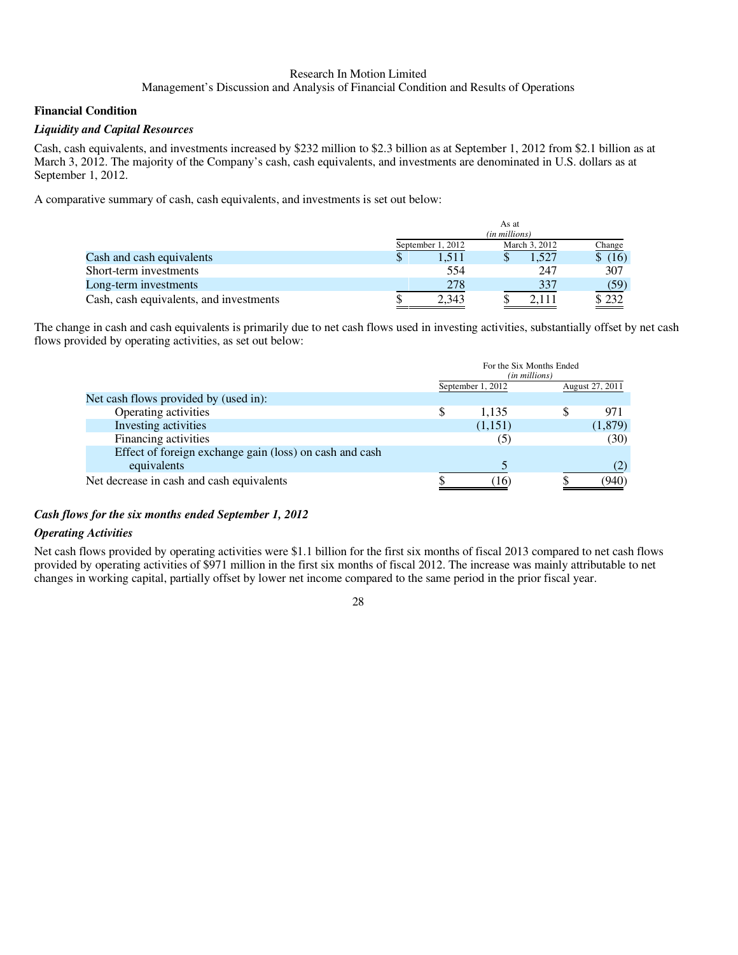## **Financial Condition**

## *Liquidity and Capital Resources*

Cash, cash equivalents, and investments increased by \$232 million to \$2.3 billion as at September 1, 2012 from \$2.1 billion as at March 3, 2012. The majority of the Company's cash, cash equivalents, and investments are denominated in U.S. dollars as at September 1, 2012.

A comparative summary of cash, cash equivalents, and investments is set out below:

|                                         |                   | As at<br>(in millions) |               |        |  |  |  |  |  |
|-----------------------------------------|-------------------|------------------------|---------------|--------|--|--|--|--|--|
|                                         | September 1, 2012 |                        | March 3, 2012 | Change |  |  |  |  |  |
| Cash and cash equivalents               | l .511            | Ф                      | 1.527         | (16)   |  |  |  |  |  |
| Short-term investments                  |                   | 554                    | 247           | 307    |  |  |  |  |  |
| Long-term investments                   |                   | 278                    | 337           | (59)   |  |  |  |  |  |
| Cash, cash equivalents, and investments | 2.343             |                        |               | 232    |  |  |  |  |  |

The change in cash and cash equivalents is primarily due to net cash flows used in investing activities, substantially offset by net cash flows provided by operating activities, as set out below:

|                                                         |  | For the Six Months Ended<br>(in millions) |   |                 |  |
|---------------------------------------------------------|--|-------------------------------------------|---|-----------------|--|
|                                                         |  | September 1, 2012                         |   | August 27, 2011 |  |
| Net cash flows provided by (used in):                   |  |                                           |   |                 |  |
| Operating activities                                    |  | 1.135                                     | S | 971             |  |
| Investing activities                                    |  | (1,151)                                   |   | (1,879)         |  |
| Financing activities                                    |  | (5)                                       |   | (30)            |  |
| Effect of foreign exchange gain (loss) on cash and cash |  |                                           |   |                 |  |
| equivalents                                             |  |                                           |   |                 |  |
| Net decrease in cash and cash equivalents               |  | 16 <sup>1</sup>                           |   | (940)           |  |

## *Cash flows for the six months ended September 1, 2012*

## *Operating Activities*

Net cash flows provided by operating activities were \$1.1 billion for the first six months of fiscal 2013 compared to net cash flows provided by operating activities of \$971 million in the first six months of fiscal 2012. The increase was mainly attributable to net changes in working capital, partially offset by lower net income compared to the same period in the prior fiscal year.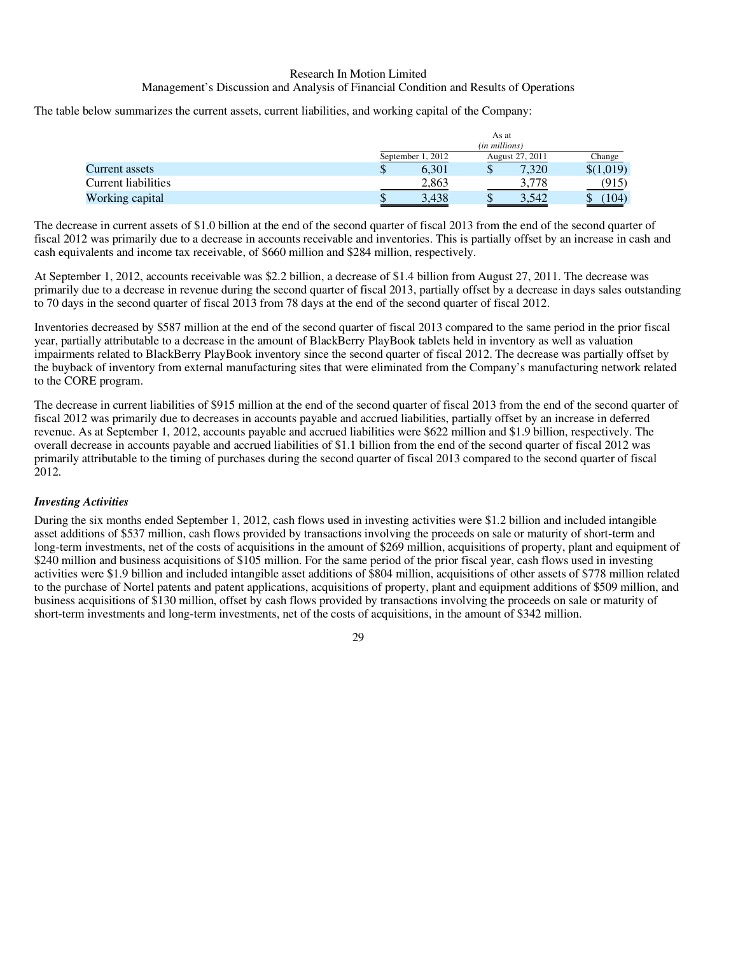The table below summarizes the current assets, current liabilities, and working capital of the Company:

|                     |   | As at             |   |                 |           |  |  |  |  |  |
|---------------------|---|-------------------|---|-----------------|-----------|--|--|--|--|--|
|                     |   | (in millions)     |   |                 |           |  |  |  |  |  |
|                     |   | September 1, 2012 |   | August 27, 2011 | Change    |  |  |  |  |  |
| Current assets      | Φ | 6.301             | Φ | 7,320           | \$(1,019) |  |  |  |  |  |
| Current liabilities |   | 2,863             |   |                 | (915)     |  |  |  |  |  |
| Working capital     |   | 3.438             |   | 3,542           | 104       |  |  |  |  |  |

The decrease in current assets of \$1.0 billion at the end of the second quarter of fiscal 2013 from the end of the second quarter of fiscal 2012 was primarily due to a decrease in accounts receivable and inventories. This is partially offset by an increase in cash and cash equivalents and income tax receivable, of \$660 million and \$284 million, respectively.

At September 1, 2012, accounts receivable was \$2.2 billion, a decrease of \$1.4 billion from August 27, 2011. The decrease was primarily due to a decrease in revenue during the second quarter of fiscal 2013, partially offset by a decrease in days sales outstanding to 70 days in the second quarter of fiscal 2013 from 78 days at the end of the second quarter of fiscal 2012.

Inventories decreased by \$587 million at the end of the second quarter of fiscal 2013 compared to the same period in the prior fiscal year, partially attributable to a decrease in the amount of BlackBerry PlayBook tablets held in inventory as well as valuation impairments related to BlackBerry PlayBook inventory since the second quarter of fiscal 2012. The decrease was partially offset by the buyback of inventory from external manufacturing sites that were eliminated from the Company's manufacturing network related to the CORE program.

The decrease in current liabilities of \$915 million at the end of the second quarter of fiscal 2013 from the end of the second quarter of fiscal 2012 was primarily due to decreases in accounts payable and accrued liabilities, partially offset by an increase in deferred revenue. As at September 1, 2012, accounts payable and accrued liabilities were \$622 million and \$1.9 billion, respectively. The overall decrease in accounts payable and accrued liabilities of \$1.1 billion from the end of the second quarter of fiscal 2012 was primarily attributable to the timing of purchases during the second quarter of fiscal 2013 compared to the second quarter of fiscal 2012.

## *Investing Activities*

During the six months ended September 1, 2012, cash flows used in investing activities were \$1.2 billion and included intangible asset additions of \$537 million, cash flows provided by transactions involving the proceeds on sale or maturity of short-term and long-term investments, net of the costs of acquisitions in the amount of \$269 million, acquisitions of property, plant and equipment of \$240 million and business acquisitions of \$105 million. For the same period of the prior fiscal year, cash flows used in investing activities were \$1.9 billion and included intangible asset additions of \$804 million, acquisitions of other assets of \$778 million related to the purchase of Nortel patents and patent applications, acquisitions of property, plant and equipment additions of \$509 million, and business acquisitions of \$130 million, offset by cash flows provided by transactions involving the proceeds on sale or maturity of short-term investments and long-term investments, net of the costs of acquisitions, in the amount of \$342 million.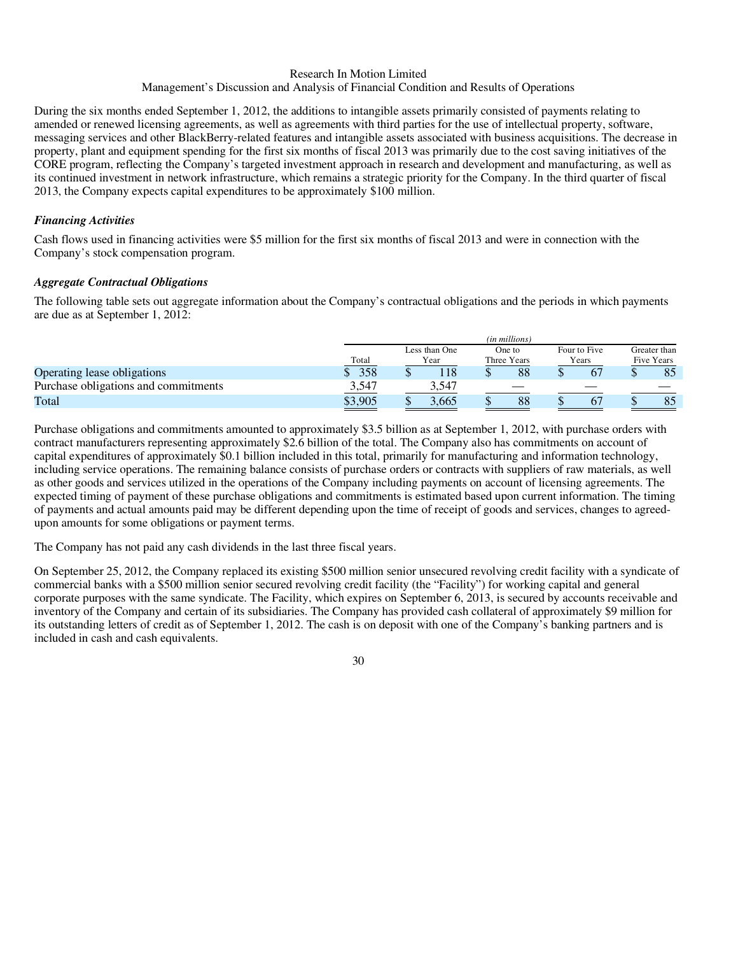Management's Discussion and Analysis of Financial Condition and Results of Operations

During the six months ended September 1, 2012, the additions to intangible assets primarily consisted of payments relating to amended or renewed licensing agreements, as well as agreements with third parties for the use of intellectual property, software, messaging services and other BlackBerry-related features and intangible assets associated with business acquisitions. The decrease in property, plant and equipment spending for the first six months of fiscal 2013 was primarily due to the cost saving initiatives of the CORE program, reflecting the Company's targeted investment approach in research and development and manufacturing, as well as its continued investment in network infrastructure, which remains a strategic priority for the Company. In the third quarter of fiscal 2013, the Company expects capital expenditures to be approximately \$100 million.

## *Financing Activities*

Cash flows used in financing activities were \$5 million for the first six months of fiscal 2013 and were in connection with the Company's stock compensation program.

#### *Aggregate Contractual Obligations*

The following table sets out aggregate information about the Company's contractual obligations and the periods in which payments are due as at September 1, 2012:

|                                      |                                | $(in$ millions) |       |  |                       |  |                       |  |                            |  |  |  |
|--------------------------------------|--------------------------------|-----------------|-------|--|-----------------------|--|-----------------------|--|----------------------------|--|--|--|
|                                      | Less than One<br>Total<br>Year |                 |       |  | One to<br>Three Years |  | Four to Five<br>Years |  | Greater than<br>Five Years |  |  |  |
| Operating lease obligations          | 358                            |                 | 118   |  | 88                    |  | O.                    |  | 85                         |  |  |  |
| Purchase obligations and commitments | <u>3,547</u>                   |                 | 3.547 |  |                       |  |                       |  |                            |  |  |  |
| Total                                | \$3,905                        |                 | 3.665 |  | 88                    |  | n.                    |  | 85                         |  |  |  |

Purchase obligations and commitments amounted to approximately \$3.5 billion as at September 1, 2012, with purchase orders with contract manufacturers representing approximately \$2.6 billion of the total. The Company also has commitments on account of capital expenditures of approximately \$0.1 billion included in this total, primarily for manufacturing and information technology, including service operations. The remaining balance consists of purchase orders or contracts with suppliers of raw materials, as well as other goods and services utilized in the operations of the Company including payments on account of licensing agreements. The expected timing of payment of these purchase obligations and commitments is estimated based upon current information. The timing of payments and actual amounts paid may be different depending upon the time of receipt of goods and services, changes to agreedupon amounts for some obligations or payment terms.

The Company has not paid any cash dividends in the last three fiscal years.

On September 25, 2012, the Company replaced its existing \$500 million senior unsecured revolving credit facility with a syndicate of commercial banks with a \$500 million senior secured revolving credit facility (the "Facility") for working capital and general corporate purposes with the same syndicate. The Facility, which expires on September 6, 2013, is secured by accounts receivable and inventory of the Company and certain of its subsidiaries. The Company has provided cash collateral of approximately \$9 million for its outstanding letters of credit as of September 1, 2012. The cash is on deposit with one of the Company's banking partners and is included in cash and cash equivalents.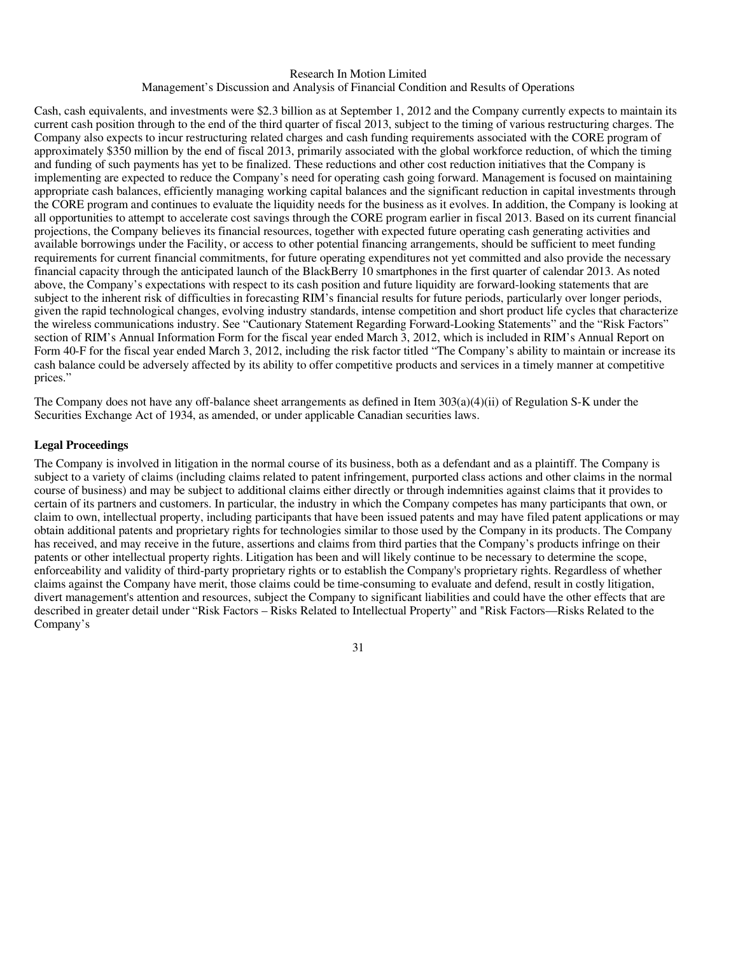Cash, cash equivalents, and investments were \$2.3 billion as at September 1, 2012 and the Company currently expects to maintain its current cash position through to the end of the third quarter of fiscal 2013, subject to the timing of various restructuring charges. The Company also expects to incur restructuring related charges and cash funding requirements associated with the CORE program of approximately \$350 million by the end of fiscal 2013, primarily associated with the global workforce reduction, of which the timing and funding of such payments has yet to be finalized. These reductions and other cost reduction initiatives that the Company is implementing are expected to reduce the Company's need for operating cash going forward. Management is focused on maintaining appropriate cash balances, efficiently managing working capital balances and the significant reduction in capital investments through the CORE program and continues to evaluate the liquidity needs for the business as it evolves. In addition, the Company is looking at all opportunities to attempt to accelerate cost savings through the CORE program earlier in fiscal 2013. Based on its current financial projections, the Company believes its financial resources, together with expected future operating cash generating activities and available borrowings under the Facility, or access to other potential financing arrangements, should be sufficient to meet funding requirements for current financial commitments, for future operating expenditures not yet committed and also provide the necessary financial capacity through the anticipated launch of the BlackBerry 10 smartphones in the first quarter of calendar 2013. As noted above, the Company's expectations with respect to its cash position and future liquidity are forward-looking statements that are subject to the inherent risk of difficulties in forecasting RIM's financial results for future periods, particularly over longer periods, given the rapid technological changes, evolving industry standards, intense competition and short product life cycles that characterize the wireless communications industry. See "Cautionary Statement Regarding Forward-Looking Statements" and the "Risk Factors" section of RIM's Annual Information Form for the fiscal year ended March 3, 2012, which is included in RIM's Annual Report on Form 40-F for the fiscal year ended March 3, 2012, including the risk factor titled "The Company's ability to maintain or increase its cash balance could be adversely affected by its ability to offer competitive products and services in a timely manner at competitive prices."

The Company does not have any off-balance sheet arrangements as defined in Item 303(a)(4)(ii) of Regulation S-K under the Securities Exchange Act of 1934, as amended, or under applicable Canadian securities laws.

## **Legal Proceedings**

The Company is involved in litigation in the normal course of its business, both as a defendant and as a plaintiff. The Company is subject to a variety of claims (including claims related to patent infringement, purported class actions and other claims in the normal course of business) and may be subject to additional claims either directly or through indemnities against claims that it provides to certain of its partners and customers. In particular, the industry in which the Company competes has many participants that own, or claim to own, intellectual property, including participants that have been issued patents and may have filed patent applications or may obtain additional patents and proprietary rights for technologies similar to those used by the Company in its products. The Company has received, and may receive in the future, assertions and claims from third parties that the Company's products infringe on their patents or other intellectual property rights. Litigation has been and will likely continue to be necessary to determine the scope, enforceability and validity of third-party proprietary rights or to establish the Company's proprietary rights. Regardless of whether claims against the Company have merit, those claims could be time-consuming to evaluate and defend, result in costly litigation, divert management's attention and resources, subject the Company to significant liabilities and could have the other effects that are described in greater detail under "Risk Factors – Risks Related to Intellectual Property" and "Risk Factors—Risks Related to the Company's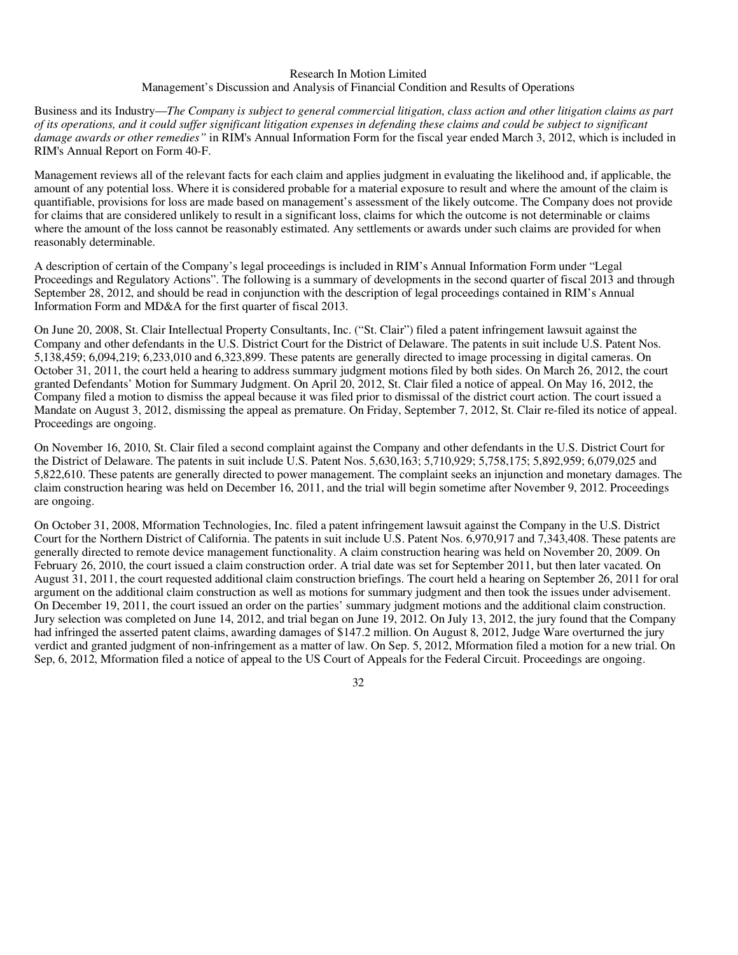Business and its Industry—*The Company is subject to general commercial litigation, class action and other litigation claims as part of its operations, and it could suffer significant litigation expenses in defending these claims and could be subject to significant damage awards or other remedies"* in RIM's Annual Information Form for the fiscal year ended March 3, 2012, which is included in RIM's Annual Report on Form 40-F.

Management reviews all of the relevant facts for each claim and applies judgment in evaluating the likelihood and, if applicable, the amount of any potential loss. Where it is considered probable for a material exposure to result and where the amount of the claim is quantifiable, provisions for loss are made based on management's assessment of the likely outcome. The Company does not provide for claims that are considered unlikely to result in a significant loss, claims for which the outcome is not determinable or claims where the amount of the loss cannot be reasonably estimated. Any settlements or awards under such claims are provided for when reasonably determinable.

A description of certain of the Company's legal proceedings is included in RIM's Annual Information Form under "Legal Proceedings and Regulatory Actions". The following is a summary of developments in the second quarter of fiscal 2013 and through September 28, 2012, and should be read in conjunction with the description of legal proceedings contained in RIM's Annual Information Form and MD&A for the first quarter of fiscal 2013.

On June 20, 2008, St. Clair Intellectual Property Consultants, Inc. ("St. Clair") filed a patent infringement lawsuit against the Company and other defendants in the U.S. District Court for the District of Delaware. The patents in suit include U.S. Patent Nos. 5,138,459; 6,094,219; 6,233,010 and 6,323,899. These patents are generally directed to image processing in digital cameras. On October 31, 2011, the court held a hearing to address summary judgment motions filed by both sides. On March 26, 2012, the court granted Defendants' Motion for Summary Judgment. On April 20, 2012, St. Clair filed a notice of appeal. On May 16, 2012, the Company filed a motion to dismiss the appeal because it was filed prior to dismissal of the district court action. The court issued a Mandate on August 3, 2012, dismissing the appeal as premature. On Friday, September 7, 2012, St. Clair re-filed its notice of appeal. Proceedings are ongoing.

On November 16, 2010, St. Clair filed a second complaint against the Company and other defendants in the U.S. District Court for the District of Delaware. The patents in suit include U.S. Patent Nos. 5,630,163; 5,710,929; 5,758,175; 5,892,959; 6,079,025 and 5,822,610. These patents are generally directed to power management. The complaint seeks an injunction and monetary damages. The claim construction hearing was held on December 16, 2011, and the trial will begin sometime after November 9, 2012. Proceedings are ongoing.

On October 31, 2008, Mformation Technologies, Inc. filed a patent infringement lawsuit against the Company in the U.S. District Court for the Northern District of California. The patents in suit include U.S. Patent Nos. 6,970,917 and 7,343,408. These patents are generally directed to remote device management functionality. A claim construction hearing was held on November 20, 2009. On February 26, 2010, the court issued a claim construction order. A trial date was set for September 2011, but then later vacated. On August 31, 2011, the court requested additional claim construction briefings. The court held a hearing on September 26, 2011 for oral argument on the additional claim construction as well as motions for summary judgment and then took the issues under advisement. On December 19, 2011, the court issued an order on the parties' summary judgment motions and the additional claim construction. Jury selection was completed on June 14, 2012, and trial began on June 19, 2012. On July 13, 2012, the jury found that the Company had infringed the asserted patent claims, awarding damages of \$147.2 million. On August 8, 2012, Judge Ware overturned the jury verdict and granted judgment of non-infringement as a matter of law. On Sep. 5, 2012, Mformation filed a motion for a new trial. On Sep, 6, 2012, Mformation filed a notice of appeal to the US Court of Appeals for the Federal Circuit. Proceedings are ongoing.

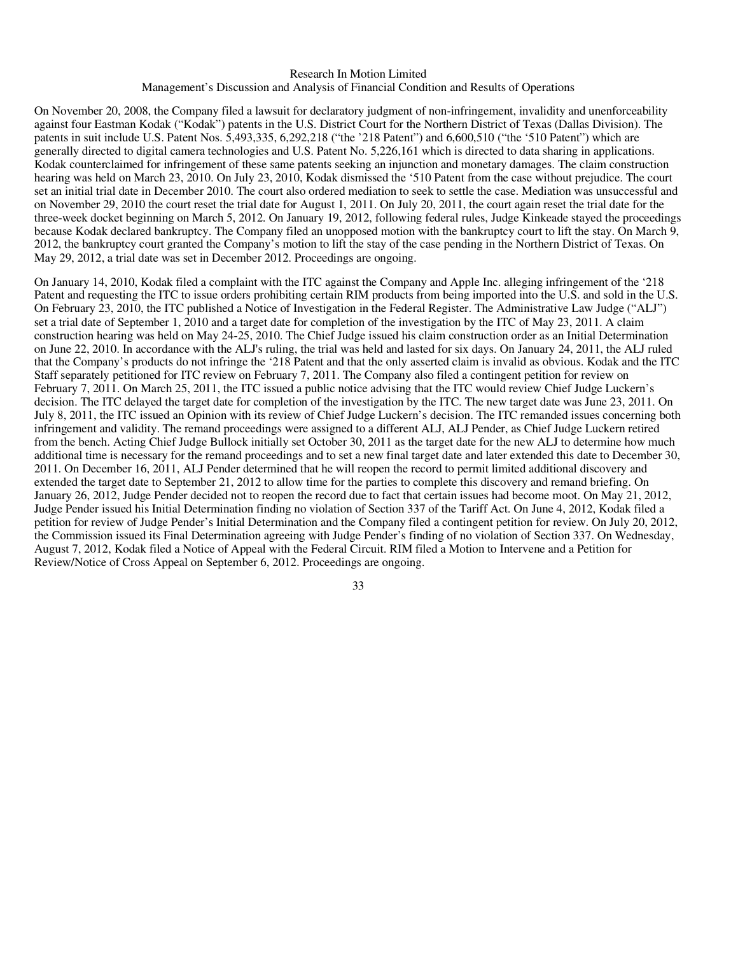On November 20, 2008, the Company filed a lawsuit for declaratory judgment of non-infringement, invalidity and unenforceability against four Eastman Kodak ("Kodak") patents in the U.S. District Court for the Northern District of Texas (Dallas Division). The patents in suit include U.S. Patent Nos. 5,493,335, 6,292,218 ("the '218 Patent") and 6,600,510 ("the '510 Patent") which are generally directed to digital camera technologies and U.S. Patent No. 5,226,161 which is directed to data sharing in applications. Kodak counterclaimed for infringement of these same patents seeking an injunction and monetary damages. The claim construction hearing was held on March 23, 2010. On July 23, 2010, Kodak dismissed the '510 Patent from the case without prejudice. The court set an initial trial date in December 2010. The court also ordered mediation to seek to settle the case. Mediation was unsuccessful and on November 29, 2010 the court reset the trial date for August 1, 2011. On July 20, 2011, the court again reset the trial date for the three-week docket beginning on March 5, 2012. On January 19, 2012, following federal rules, Judge Kinkeade stayed the proceedings because Kodak declared bankruptcy. The Company filed an unopposed motion with the bankruptcy court to lift the stay. On March 9, 2012, the bankruptcy court granted the Company's motion to lift the stay of the case pending in the Northern District of Texas. On May 29, 2012, a trial date was set in December 2012. Proceedings are ongoing.

On January 14, 2010, Kodak filed a complaint with the ITC against the Company and Apple Inc. alleging infringement of the '218 Patent and requesting the ITC to issue orders prohibiting certain RIM products from being imported into the U.S. and sold in the U.S. On February 23, 2010, the ITC published a Notice of Investigation in the Federal Register. The Administrative Law Judge ("ALJ") set a trial date of September 1, 2010 and a target date for completion of the investigation by the ITC of May 23, 2011. A claim construction hearing was held on May 24-25, 2010. The Chief Judge issued his claim construction order as an Initial Determination on June 22, 2010. In accordance with the ALJ's ruling, the trial was held and lasted for six days. On January 24, 2011, the ALJ ruled that the Company's products do not infringe the '218 Patent and that the only asserted claim is invalid as obvious. Kodak and the ITC Staff separately petitioned for ITC review on February 7, 2011. The Company also filed a contingent petition for review on February 7, 2011. On March 25, 2011, the ITC issued a public notice advising that the ITC would review Chief Judge Luckern's decision. The ITC delayed the target date for completion of the investigation by the ITC. The new target date was June 23, 2011. On July 8, 2011, the ITC issued an Opinion with its review of Chief Judge Luckern's decision. The ITC remanded issues concerning both infringement and validity. The remand proceedings were assigned to a different ALJ, ALJ Pender, as Chief Judge Luckern retired from the bench. Acting Chief Judge Bullock initially set October 30, 2011 as the target date for the new ALJ to determine how much additional time is necessary for the remand proceedings and to set a new final target date and later extended this date to December 30, 2011. On December 16, 2011, ALJ Pender determined that he will reopen the record to permit limited additional discovery and extended the target date to September 21, 2012 to allow time for the parties to complete this discovery and remand briefing. On January 26, 2012, Judge Pender decided not to reopen the record due to fact that certain issues had become moot. On May 21, 2012, Judge Pender issued his Initial Determination finding no violation of Section 337 of the Tariff Act. On June 4, 2012, Kodak filed a petition for review of Judge Pender's Initial Determination and the Company filed a contingent petition for review. On July 20, 2012, the Commission issued its Final Determination agreeing with Judge Pender's finding of no violation of Section 337. On Wednesday, August 7, 2012, Kodak filed a Notice of Appeal with the Federal Circuit. RIM filed a Motion to Intervene and a Petition for Review/Notice of Cross Appeal on September 6, 2012. Proceedings are ongoing.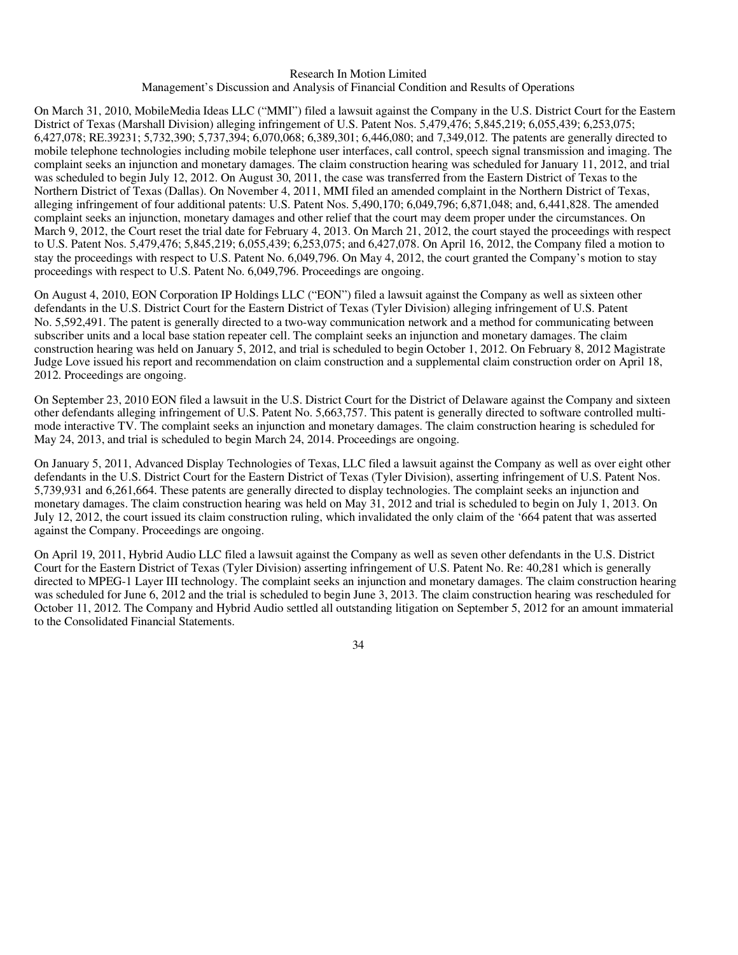On March 31, 2010, MobileMedia Ideas LLC ("MMI") filed a lawsuit against the Company in the U.S. District Court for the Eastern District of Texas (Marshall Division) alleging infringement of U.S. Patent Nos. 5,479,476; 5,845,219; 6,055,439; 6,253,075; 6,427,078; RE.39231; 5,732,390; 5,737,394; 6,070,068; 6,389,301; 6,446,080; and 7,349,012. The patents are generally directed to mobile telephone technologies including mobile telephone user interfaces, call control, speech signal transmission and imaging. The complaint seeks an injunction and monetary damages. The claim construction hearing was scheduled for January 11, 2012, and trial was scheduled to begin July 12, 2012. On August 30, 2011, the case was transferred from the Eastern District of Texas to the Northern District of Texas (Dallas). On November 4, 2011, MMI filed an amended complaint in the Northern District of Texas, alleging infringement of four additional patents: U.S. Patent Nos. 5,490,170; 6,049,796; 6,871,048; and, 6,441,828. The amended complaint seeks an injunction, monetary damages and other relief that the court may deem proper under the circumstances. On March 9, 2012, the Court reset the trial date for February 4, 2013. On March 21, 2012, the court stayed the proceedings with respect to U.S. Patent Nos. 5,479,476; 5,845,219; 6,055,439; 6,253,075; and 6,427,078. On April 16, 2012, the Company filed a motion to stay the proceedings with respect to U.S. Patent No. 6,049,796. On May 4, 2012, the court granted the Company's motion to stay proceedings with respect to U.S. Patent No. 6,049,796. Proceedings are ongoing.

On August 4, 2010, EON Corporation IP Holdings LLC ("EON") filed a lawsuit against the Company as well as sixteen other defendants in the U.S. District Court for the Eastern District of Texas (Tyler Division) alleging infringement of U.S. Patent No. 5,592,491. The patent is generally directed to a two-way communication network and a method for communicating between subscriber units and a local base station repeater cell. The complaint seeks an injunction and monetary damages. The claim construction hearing was held on January 5, 2012, and trial is scheduled to begin October 1, 2012. On February 8, 2012 Magistrate Judge Love issued his report and recommendation on claim construction and a supplemental claim construction order on April 18, 2012. Proceedings are ongoing.

On September 23, 2010 EON filed a lawsuit in the U.S. District Court for the District of Delaware against the Company and sixteen other defendants alleging infringement of U.S. Patent No. 5,663,757. This patent is generally directed to software controlled multimode interactive TV. The complaint seeks an injunction and monetary damages. The claim construction hearing is scheduled for May 24, 2013, and trial is scheduled to begin March 24, 2014. Proceedings are ongoing.

On January 5, 2011, Advanced Display Technologies of Texas, LLC filed a lawsuit against the Company as well as over eight other defendants in the U.S. District Court for the Eastern District of Texas (Tyler Division), asserting infringement of U.S. Patent Nos. 5,739,931 and 6,261,664. These patents are generally directed to display technologies. The complaint seeks an injunction and monetary damages. The claim construction hearing was held on May 31, 2012 and trial is scheduled to begin on July 1, 2013. On July 12, 2012, the court issued its claim construction ruling, which invalidated the only claim of the '664 patent that was asserted against the Company. Proceedings are ongoing.

On April 19, 2011, Hybrid Audio LLC filed a lawsuit against the Company as well as seven other defendants in the U.S. District Court for the Eastern District of Texas (Tyler Division) asserting infringement of U.S. Patent No. Re: 40,281 which is generally directed to MPEG-1 Layer III technology. The complaint seeks an injunction and monetary damages. The claim construction hearing was scheduled for June 6, 2012 and the trial is scheduled to begin June 3, 2013. The claim construction hearing was rescheduled for October 11, 2012. The Company and Hybrid Audio settled all outstanding litigation on September 5, 2012 for an amount immaterial to the Consolidated Financial Statements.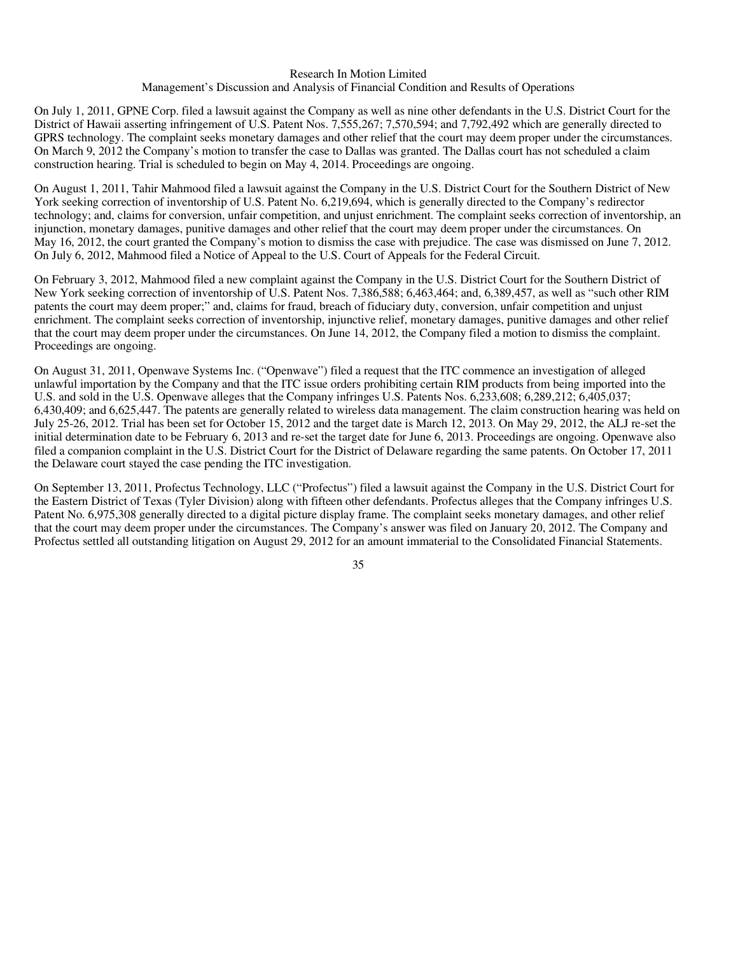On July 1, 2011, GPNE Corp. filed a lawsuit against the Company as well as nine other defendants in the U.S. District Court for the District of Hawaii asserting infringement of U.S. Patent Nos. 7,555,267; 7,570,594; and 7,792,492 which are generally directed to GPRS technology. The complaint seeks monetary damages and other relief that the court may deem proper under the circumstances. On March 9, 2012 the Company's motion to transfer the case to Dallas was granted. The Dallas court has not scheduled a claim construction hearing. Trial is scheduled to begin on May 4, 2014. Proceedings are ongoing.

On August 1, 2011, Tahir Mahmood filed a lawsuit against the Company in the U.S. District Court for the Southern District of New York seeking correction of inventorship of U.S. Patent No. 6,219,694, which is generally directed to the Company's redirector technology; and, claims for conversion, unfair competition, and unjust enrichment. The complaint seeks correction of inventorship, an injunction, monetary damages, punitive damages and other relief that the court may deem proper under the circumstances. On May 16, 2012, the court granted the Company's motion to dismiss the case with prejudice. The case was dismissed on June 7, 2012. On July 6, 2012, Mahmood filed a Notice of Appeal to the U.S. Court of Appeals for the Federal Circuit.

On February 3, 2012, Mahmood filed a new complaint against the Company in the U.S. District Court for the Southern District of New York seeking correction of inventorship of U.S. Patent Nos. 7,386,588; 6,463,464; and, 6,389,457, as well as "such other RIM patents the court may deem proper;" and, claims for fraud, breach of fiduciary duty, conversion, unfair competition and unjust enrichment. The complaint seeks correction of inventorship, injunctive relief, monetary damages, punitive damages and other relief that the court may deem proper under the circumstances. On June 14, 2012, the Company filed a motion to dismiss the complaint. Proceedings are ongoing.

On August 31, 2011, Openwave Systems Inc. ("Openwave") filed a request that the ITC commence an investigation of alleged unlawful importation by the Company and that the ITC issue orders prohibiting certain RIM products from being imported into the U.S. and sold in the U.S. Openwave alleges that the Company infringes U.S. Patents Nos. 6,233,608; 6,289,212; 6,405,037; 6,430,409; and 6,625,447. The patents are generally related to wireless data management. The claim construction hearing was held on July 25-26, 2012. Trial has been set for October 15, 2012 and the target date is March 12, 2013. On May 29, 2012, the ALJ re-set the initial determination date to be February 6, 2013 and re-set the target date for June 6, 2013. Proceedings are ongoing. Openwave also filed a companion complaint in the U.S. District Court for the District of Delaware regarding the same patents. On October 17, 2011 the Delaware court stayed the case pending the ITC investigation.

On September 13, 2011, Profectus Technology, LLC ("Profectus") filed a lawsuit against the Company in the U.S. District Court for the Eastern District of Texas (Tyler Division) along with fifteen other defendants. Profectus alleges that the Company infringes U.S. Patent No. 6,975,308 generally directed to a digital picture display frame. The complaint seeks monetary damages, and other relief that the court may deem proper under the circumstances. The Company's answer was filed on January 20, 2012. The Company and Profectus settled all outstanding litigation on August 29, 2012 for an amount immaterial to the Consolidated Financial Statements.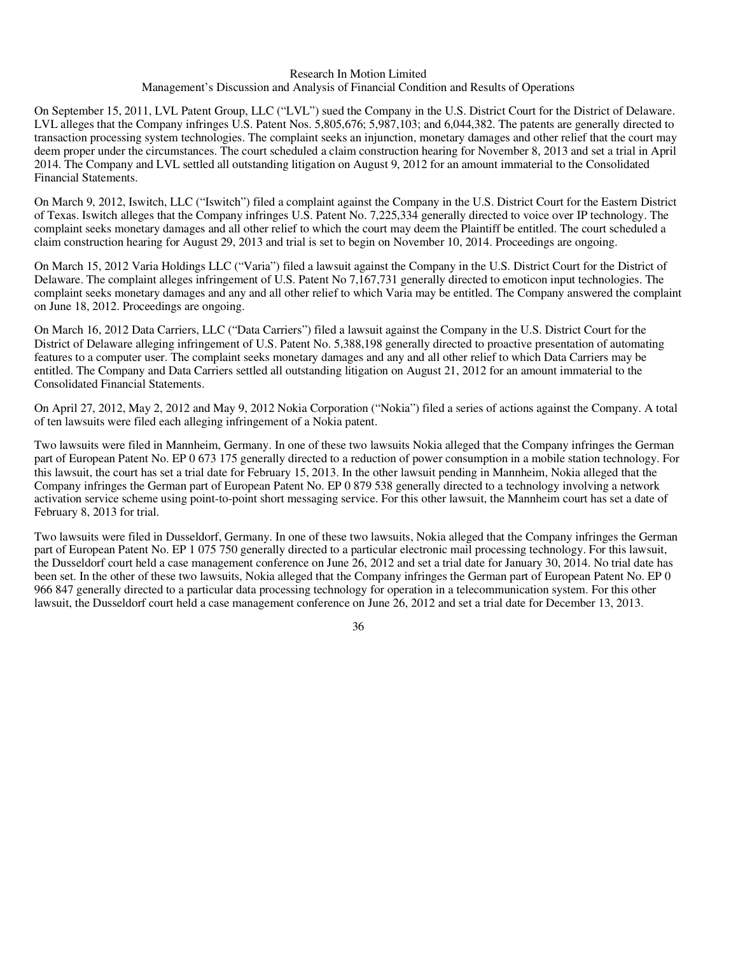On September 15, 2011, LVL Patent Group, LLC ("LVL") sued the Company in the U.S. District Court for the District of Delaware. LVL alleges that the Company infringes U.S. Patent Nos. 5,805,676; 5,987,103; and 6,044,382. The patents are generally directed to transaction processing system technologies. The complaint seeks an injunction, monetary damages and other relief that the court may deem proper under the circumstances. The court scheduled a claim construction hearing for November 8, 2013 and set a trial in April 2014. The Company and LVL settled all outstanding litigation on August 9, 2012 for an amount immaterial to the Consolidated Financial Statements.

On March 9, 2012, Iswitch, LLC ("Iswitch") filed a complaint against the Company in the U.S. District Court for the Eastern District of Texas. Iswitch alleges that the Company infringes U.S. Patent No. 7,225,334 generally directed to voice over IP technology. The complaint seeks monetary damages and all other relief to which the court may deem the Plaintiff be entitled. The court scheduled a claim construction hearing for August 29, 2013 and trial is set to begin on November 10, 2014. Proceedings are ongoing.

On March 15, 2012 Varia Holdings LLC ("Varia") filed a lawsuit against the Company in the U.S. District Court for the District of Delaware. The complaint alleges infringement of U.S. Patent No 7,167,731 generally directed to emoticon input technologies. The complaint seeks monetary damages and any and all other relief to which Varia may be entitled. The Company answered the complaint on June 18, 2012. Proceedings are ongoing.

On March 16, 2012 Data Carriers, LLC ("Data Carriers") filed a lawsuit against the Company in the U.S. District Court for the District of Delaware alleging infringement of U.S. Patent No. 5,388,198 generally directed to proactive presentation of automating features to a computer user. The complaint seeks monetary damages and any and all other relief to which Data Carriers may be entitled. The Company and Data Carriers settled all outstanding litigation on August 21, 2012 for an amount immaterial to the Consolidated Financial Statements.

On April 27, 2012, May 2, 2012 and May 9, 2012 Nokia Corporation ("Nokia") filed a series of actions against the Company. A total of ten lawsuits were filed each alleging infringement of a Nokia patent.

Two lawsuits were filed in Mannheim, Germany. In one of these two lawsuits Nokia alleged that the Company infringes the German part of European Patent No. EP 0 673 175 generally directed to a reduction of power consumption in a mobile station technology. For this lawsuit, the court has set a trial date for February 15, 2013. In the other lawsuit pending in Mannheim, Nokia alleged that the Company infringes the German part of European Patent No. EP 0 879 538 generally directed to a technology involving a network activation service scheme using point-to-point short messaging service. For this other lawsuit, the Mannheim court has set a date of February 8, 2013 for trial.

Two lawsuits were filed in Dusseldorf, Germany. In one of these two lawsuits, Nokia alleged that the Company infringes the German part of European Patent No. EP 1 075 750 generally directed to a particular electronic mail processing technology. For this lawsuit, the Dusseldorf court held a case management conference on June 26, 2012 and set a trial date for January 30, 2014. No trial date has been set. In the other of these two lawsuits, Nokia alleged that the Company infringes the German part of European Patent No. EP 0 966 847 generally directed to a particular data processing technology for operation in a telecommunication system. For this other lawsuit, the Dusseldorf court held a case management conference on June 26, 2012 and set a trial date for December 13, 2013.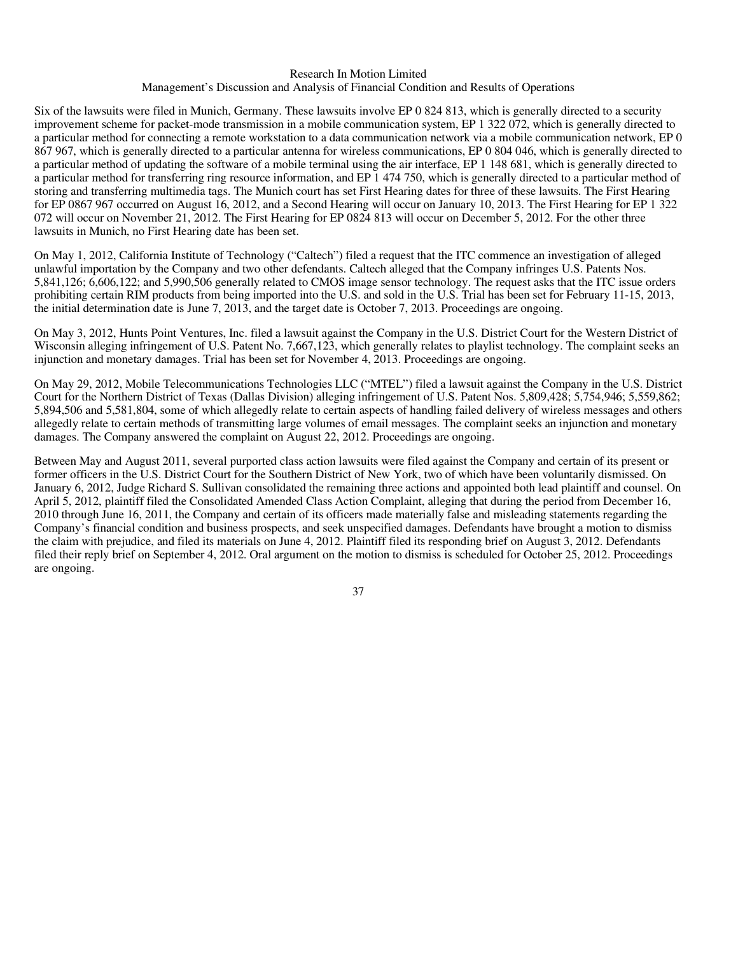Six of the lawsuits were filed in Munich, Germany. These lawsuits involve EP 0 824 813, which is generally directed to a security improvement scheme for packet-mode transmission in a mobile communication system, EP 1 322 072, which is generally directed to a particular method for connecting a remote workstation to a data communication network via a mobile communication network, EP 0 867 967, which is generally directed to a particular antenna for wireless communications, EP 0 804 046, which is generally directed to a particular method of updating the software of a mobile terminal using the air interface, EP 1 148 681, which is generally directed to a particular method for transferring ring resource information, and EP 1 474 750, which is generally directed to a particular method of storing and transferring multimedia tags. The Munich court has set First Hearing dates for three of these lawsuits. The First Hearing for EP 0867 967 occurred on August 16, 2012, and a Second Hearing will occur on January 10, 2013. The First Hearing for EP 1 322 072 will occur on November 21, 2012. The First Hearing for EP 0824 813 will occur on December 5, 2012. For the other three lawsuits in Munich, no First Hearing date has been set.

On May 1, 2012, California Institute of Technology ("Caltech") filed a request that the ITC commence an investigation of alleged unlawful importation by the Company and two other defendants. Caltech alleged that the Company infringes U.S. Patents Nos. 5,841,126; 6,606,122; and 5,990,506 generally related to CMOS image sensor technology. The request asks that the ITC issue orders prohibiting certain RIM products from being imported into the U.S. and sold in the U.S. Trial has been set for February 11-15, 2013, the initial determination date is June 7, 2013, and the target date is October 7, 2013. Proceedings are ongoing.

On May 3, 2012, Hunts Point Ventures, Inc. filed a lawsuit against the Company in the U.S. District Court for the Western District of Wisconsin alleging infringement of U.S. Patent No. 7,667,123, which generally relates to playlist technology. The complaint seeks an injunction and monetary damages. Trial has been set for November 4, 2013. Proceedings are ongoing.

On May 29, 2012, Mobile Telecommunications Technologies LLC ("MTEL") filed a lawsuit against the Company in the U.S. District Court for the Northern District of Texas (Dallas Division) alleging infringement of U.S. Patent Nos. 5,809,428; 5,754,946; 5,559,862; 5,894,506 and 5,581,804, some of which allegedly relate to certain aspects of handling failed delivery of wireless messages and others allegedly relate to certain methods of transmitting large volumes of email messages. The complaint seeks an injunction and monetary damages. The Company answered the complaint on August 22, 2012. Proceedings are ongoing.

Between May and August 2011, several purported class action lawsuits were filed against the Company and certain of its present or former officers in the U.S. District Court for the Southern District of New York, two of which have been voluntarily dismissed. On January 6, 2012, Judge Richard S. Sullivan consolidated the remaining three actions and appointed both lead plaintiff and counsel. On April 5, 2012, plaintiff filed the Consolidated Amended Class Action Complaint, alleging that during the period from December 16, 2010 through June 16, 2011, the Company and certain of its officers made materially false and misleading statements regarding the Company's financial condition and business prospects, and seek unspecified damages. Defendants have brought a motion to dismiss the claim with prejudice, and filed its materials on June 4, 2012. Plaintiff filed its responding brief on August 3, 2012. Defendants filed their reply brief on September 4, 2012. Oral argument on the motion to dismiss is scheduled for October 25, 2012. Proceedings are ongoing.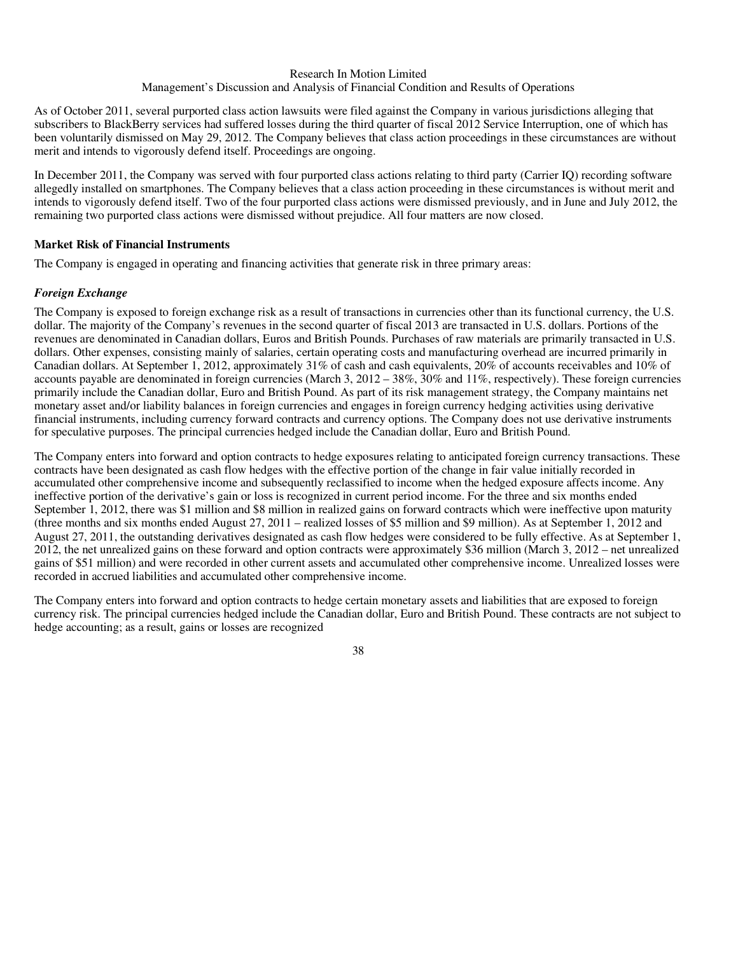# Research In Motion Limited

#### Management's Discussion and Analysis of Financial Condition and Results of Operations

As of October 2011, several purported class action lawsuits were filed against the Company in various jurisdictions alleging that subscribers to BlackBerry services had suffered losses during the third quarter of fiscal 2012 Service Interruption, one of which has been voluntarily dismissed on May 29, 2012. The Company believes that class action proceedings in these circumstances are without merit and intends to vigorously defend itself. Proceedings are ongoing.

In December 2011, the Company was served with four purported class actions relating to third party (Carrier IQ) recording software allegedly installed on smartphones. The Company believes that a class action proceeding in these circumstances is without merit and intends to vigorously defend itself. Two of the four purported class actions were dismissed previously, and in June and July 2012, the remaining two purported class actions were dismissed without prejudice. All four matters are now closed.

# **Market Risk of Financial Instruments**

The Company is engaged in operating and financing activities that generate risk in three primary areas:

# *Foreign Exchange*

The Company is exposed to foreign exchange risk as a result of transactions in currencies other than its functional currency, the U.S. dollar. The majority of the Company's revenues in the second quarter of fiscal 2013 are transacted in U.S. dollars. Portions of the revenues are denominated in Canadian dollars, Euros and British Pounds. Purchases of raw materials are primarily transacted in U.S. dollars. Other expenses, consisting mainly of salaries, certain operating costs and manufacturing overhead are incurred primarily in Canadian dollars. At September 1, 2012, approximately 31% of cash and cash equivalents, 20% of accounts receivables and 10% of accounts payable are denominated in foreign currencies (March 3,  $2012 - 38\%$ ,  $30\%$  and  $11\%$ , respectively). These foreign currencies primarily include the Canadian dollar, Euro and British Pound. As part of its risk management strategy, the Company maintains net monetary asset and/or liability balances in foreign currencies and engages in foreign currency hedging activities using derivative financial instruments, including currency forward contracts and currency options. The Company does not use derivative instruments for speculative purposes. The principal currencies hedged include the Canadian dollar, Euro and British Pound.

The Company enters into forward and option contracts to hedge exposures relating to anticipated foreign currency transactions. These contracts have been designated as cash flow hedges with the effective portion of the change in fair value initially recorded in accumulated other comprehensive income and subsequently reclassified to income when the hedged exposure affects income. Any ineffective portion of the derivative's gain or loss is recognized in current period income. For the three and six months ended September 1, 2012, there was \$1 million and \$8 million in realized gains on forward contracts which were ineffective upon maturity (three months and six months ended August 27, 2011 – realized losses of \$5 million and \$9 million). As at September 1, 2012 and August 27, 2011, the outstanding derivatives designated as cash flow hedges were considered to be fully effective. As at September 1, 2012, the net unrealized gains on these forward and option contracts were approximately \$36 million (March 3, 2012 – net unrealized gains of \$51 million) and were recorded in other current assets and accumulated other comprehensive income. Unrealized losses were recorded in accrued liabilities and accumulated other comprehensive income.

The Company enters into forward and option contracts to hedge certain monetary assets and liabilities that are exposed to foreign currency risk. The principal currencies hedged include the Canadian dollar, Euro and British Pound. These contracts are not subject to hedge accounting; as a result, gains or losses are recognized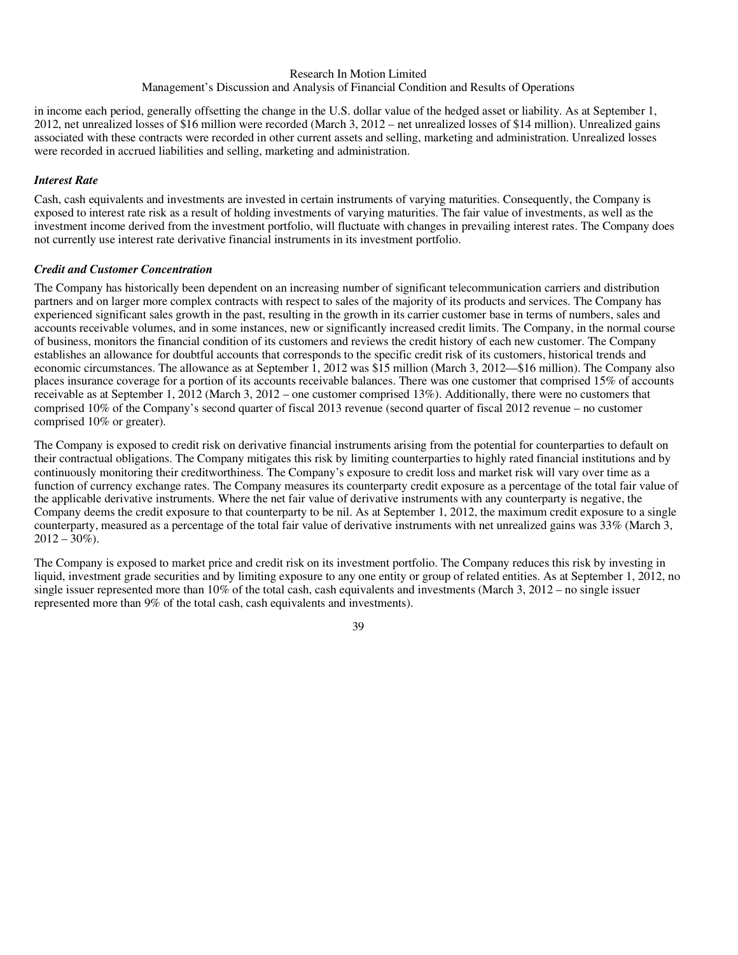in income each period, generally offsetting the change in the U.S. dollar value of the hedged asset or liability. As at September 1, 2012, net unrealized losses of \$16 million were recorded (March 3, 2012 – net unrealized losses of \$14 million). Unrealized gains associated with these contracts were recorded in other current assets and selling, marketing and administration. Unrealized losses were recorded in accrued liabilities and selling, marketing and administration.

# *Interest Rate*

Cash, cash equivalents and investments are invested in certain instruments of varying maturities. Consequently, the Company is exposed to interest rate risk as a result of holding investments of varying maturities. The fair value of investments, as well as the investment income derived from the investment portfolio, will fluctuate with changes in prevailing interest rates. The Company does not currently use interest rate derivative financial instruments in its investment portfolio.

# *Credit and Customer Concentration*

The Company has historically been dependent on an increasing number of significant telecommunication carriers and distribution partners and on larger more complex contracts with respect to sales of the majority of its products and services. The Company has experienced significant sales growth in the past, resulting in the growth in its carrier customer base in terms of numbers, sales and accounts receivable volumes, and in some instances, new or significantly increased credit limits. The Company, in the normal course of business, monitors the financial condition of its customers and reviews the credit history of each new customer. The Company establishes an allowance for doubtful accounts that corresponds to the specific credit risk of its customers, historical trends and economic circumstances. The allowance as at September 1, 2012 was \$15 million (March 3, 2012—\$16 million). The Company also places insurance coverage for a portion of its accounts receivable balances. There was one customer that comprised 15% of accounts receivable as at September 1, 2012 (March 3, 2012 – one customer comprised 13%). Additionally, there were no customers that comprised 10% of the Company's second quarter of fiscal 2013 revenue (second quarter of fiscal 2012 revenue – no customer comprised 10% or greater).

The Company is exposed to credit risk on derivative financial instruments arising from the potential for counterparties to default on their contractual obligations. The Company mitigates this risk by limiting counterparties to highly rated financial institutions and by continuously monitoring their creditworthiness. The Company's exposure to credit loss and market risk will vary over time as a function of currency exchange rates. The Company measures its counterparty credit exposure as a percentage of the total fair value of the applicable derivative instruments. Where the net fair value of derivative instruments with any counterparty is negative, the Company deems the credit exposure to that counterparty to be nil. As at September 1, 2012, the maximum credit exposure to a single counterparty, measured as a percentage of the total fair value of derivative instruments with net unrealized gains was 33% (March 3,  $2012 - 30\%$ ).

The Company is exposed to market price and credit risk on its investment portfolio. The Company reduces this risk by investing in liquid, investment grade securities and by limiting exposure to any one entity or group of related entities. As at September 1, 2012, no single issuer represented more than  $10\%$  of the total cash, cash equivalents and investments (March 3, 2012 – no single issuer represented more than 9% of the total cash, cash equivalents and investments).